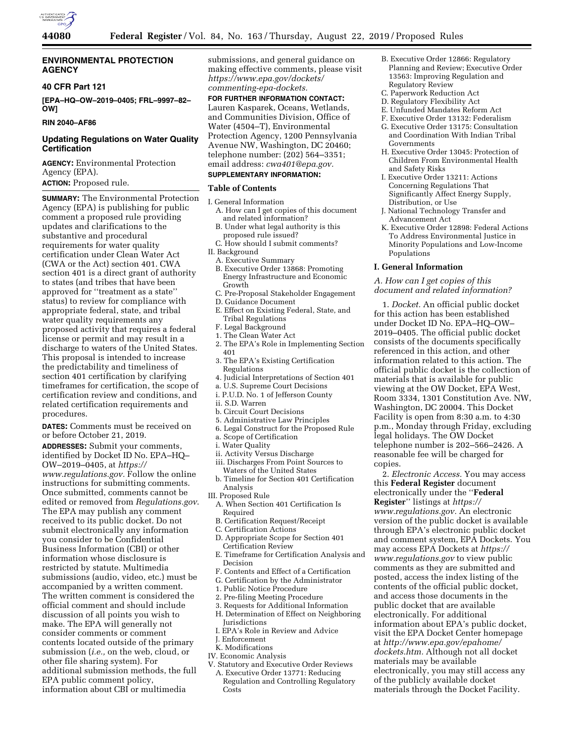

## **ENVIRONMENTAL PROTECTION AGENCY**

### **40 CFR Part 121**

**[EPA–HQ–OW–2019–0405; FRL–9997–82– OW]** 

### **RIN 2040–AF86**

# **Updating Regulations on Water Quality Certification**

**AGENCY:** Environmental Protection Agency (EPA).

# **ACTION:** Proposed rule.

**SUMMARY:** The Environmental Protection Agency (EPA) is publishing for public comment a proposed rule providing updates and clarifications to the substantive and procedural requirements for water quality certification under Clean Water Act (CWA or the Act) section 401. CWA section 401 is a direct grant of authority to states (and tribes that have been approved for ''treatment as a state'' status) to review for compliance with appropriate federal, state, and tribal water quality requirements any proposed activity that requires a federal license or permit and may result in a discharge to waters of the United States. This proposal is intended to increase the predictability and timeliness of section 401 certification by clarifying timeframes for certification, the scope of certification review and conditions, and related certification requirements and procedures.

**DATES:** Comments must be received on or before October 21, 2019.

**ADDRESSES:** Submit your comments, identified by Docket ID No. EPA–HQ– OW–2019–0405, at *https:// www.regulations.gov.* Follow the online instructions for submitting comments. Once submitted, comments cannot be edited or removed from *Regulations.gov*. The EPA may publish any comment received to its public docket. Do not submit electronically any information you consider to be Confidential Business Information (CBI) or other information whose disclosure is restricted by statute. Multimedia submissions (audio, video, etc.) must be accompanied by a written comment. The written comment is considered the official comment and should include discussion of all points you wish to make. The EPA will generally not consider comments or comment contents located outside of the primary submission (*i.e.,* on the web, cloud, or other file sharing system). For additional submission methods, the full EPA public comment policy, information about CBI or multimedia

submissions, and general guidance on making effective comments, please visit *https://www.epa.gov/dockets/ commenting-epa-dockets.* 

# **FOR FURTHER INFORMATION CONTACT:**  Lauren Kasparek, Oceans, Wetlands, and Communities Division, Office of Water (4504–T), Environmental Protection Agency, 1200 Pennsylvania Avenue NW, Washington, DC 20460; telephone number: (202) 564–3351; email address: *cwa401@epa.gov.*

# **SUPPLEMENTARY INFORMATION:**

# **Table of Contents**

- I. General Information A. How can I get copies of this document and related information?
	- B. Under what legal authority is this proposed rule issued?
- C. How should I submit comments? II. Background
- 
- A. Executive Summary B. Executive Order 13868: Promoting Energy Infrastructure and Economic Growth
- C. Pre-Proposal Stakeholder Engagement
- D. Guidance Document
- E. Effect on Existing Federal, State, and Tribal Regulations
- F. Legal Background
- 1. The Clean Water Act
- 2. The EPA's Role in Implementing Section 401
- 3. The EPA's Existing Certification Regulations
- 4. Judicial Interpretations of Section 401
- a. U.S. Supreme Court Decisions
- i. P.U.D. No. 1 of Jefferson County
- ii. S.D. Warren
- b. Circuit Court Decisions
- 5. Administrative Law Principles
- 6. Legal Construct for the Proposed Rule
- a. Scope of Certification
- i. Water Quality
- ii. Activity Versus Discharge
- iii. Discharges From Point Sources to Waters of the United States
- b. Timeline for Section 401 Certification Analysis
- III. Proposed Rule
- A. When Section 401 Certification Is Required
- B. Certification Request/Receipt
- C. Certification Actions
- D. Appropriate Scope for Section 401 Certification Review
- E. Timeframe for Certification Analysis and Decision
- F. Contents and Effect of a Certification
- G. Certification by the Administrator
- 1. Public Notice Procedure
- 2. Pre-filing Meeting Procedure
- 3. Requests for Additional Information
- H. Determination of Effect on Neighboring
- Jurisdictions I. EPA's Role in Review and Advice
- 
- J. Enforcement
- K. Modifications IV. Economic Analysis
- 
- V. Statutory and Executive Order Reviews A. Executive Order 13771: Reducing Regulation and Controlling Regulatory Costs
- B. Executive Order 12866: Regulatory Planning and Review; Executive Order 13563: Improving Regulation and Regulatory Review
- C. Paperwork Reduction Act
- D. Regulatory Flexibility Act
- E. Unfunded Mandates Reform Act
- F. Executive Order 13132: Federalism
- G. Executive Order 13175: Consultation and Coordination With Indian Tribal Governments
- H. Executive Order 13045: Protection of Children From Environmental Health and Safety Risks
- I. Executive Order 13211: Actions Concerning Regulations That Significantly Affect Energy Supply, Distribution, or Use
- J. National Technology Transfer and Advancement Act
- K. Executive Order 12898: Federal Actions To Address Environmental Justice in Minority Populations and Low-Income Populations

### **I. General Information**

### *A. How can I get copies of this document and related information?*

1. *Docket.* An official public docket for this action has been established under Docket ID No. EPA–HQ–OW– 2019–0405. The official public docket consists of the documents specifically referenced in this action, and other information related to this action. The official public docket is the collection of materials that is available for public viewing at the OW Docket, EPA West, Room 3334, 1301 Constitution Ave. NW, Washington, DC 20004. This Docket Facility is open from 8:30 a.m. to 4:30 p.m., Monday through Friday, excluding legal holidays. The OW Docket telephone number is 202–566–2426. A reasonable fee will be charged for copies.

2. *Electronic Access.* You may access this **Federal Register** document electronically under the ''**Federal Register**'' listings at *https:// www.regulations.gov.* An electronic version of the public docket is available through EPA's electronic public docket and comment system, EPA Dockets. You may access EPA Dockets at *https:// www.regulations.gov* to view public comments as they are submitted and posted, access the index listing of the contents of the official public docket, and access those documents in the public docket that are available electronically. For additional information about EPA's public docket, visit the EPA Docket Center homepage at *http://www.epa.gov/epahome/ dockets.htm.* Although not all docket materials may be available electronically, you may still access any of the publicly available docket materials through the Docket Facility.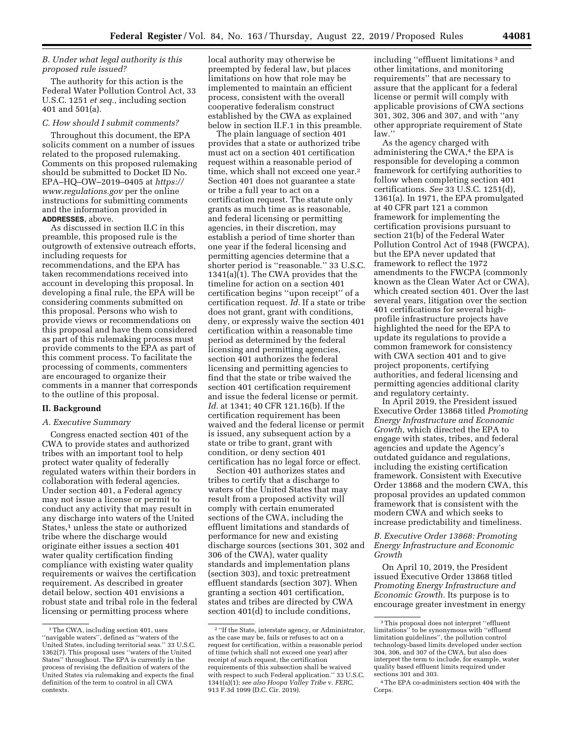## *B. Under what legal authority is this proposed rule issued?*

The authority for this action is the Federal Water Pollution Control Act, 33 U.S.C. 1251 *et seq.,* including section 401 and 501(a).

### *C. How should I submit comments?*

Throughout this document, the EPA solicits comment on a number of issues related to the proposed rulemaking. Comments on this proposed rulemaking should be submitted to Docket ID No. EPA–HQ–OW–2019–0405 at *https:// www.regulations.gov* per the online instructions for submitting comments and the information provided in **ADDRESSES**, above.

As discussed in section II.C in this preamble, this proposed rule is the outgrowth of extensive outreach efforts, including requests for recommendations, and the EPA has taken recommendations received into account in developing this proposal. In developing a final rule, the EPA will be considering comments submitted on this proposal. Persons who wish to provide views or recommendations on this proposal and have them considered as part of this rulemaking process must provide comments to the EPA as part of this comment process. To facilitate the processing of comments, commenters are encouraged to organize their comments in a manner that corresponds to the outline of this proposal.

## **II. Background**

### *A. Executive Summary*

Congress enacted section 401 of the CWA to provide states and authorized tribes with an important tool to help protect water quality of federally regulated waters within their borders in collaboration with federal agencies. Under section 401, a Federal agency may not issue a license or permit to conduct any activity that may result in any discharge into waters of the United States,<sup>1</sup> unless the state or authorized tribe where the discharge would originate either issues a section 401 water quality certification finding compliance with existing water quality requirements or waives the certification requirement. As described in greater detail below, section 401 envisions a robust state and tribal role in the federal licensing or permitting process where

local authority may otherwise be preempted by federal law, but places limitations on how that role may be implemented to maintain an efficient process, consistent with the overall cooperative federalism construct established by the CWA as explained below in section II.F.1 in this preamble.

The plain language of section 401 provides that a state or authorized tribe must act on a section 401 certification request within a reasonable period of time, which shall not exceed one year.<sup>2</sup> Section 401 does not guarantee a state or tribe a full year to act on a certification request. The statute only grants as much time as is reasonable, and federal licensing or permitting agencies, in their discretion, may establish a period of time shorter than one year if the federal licensing and permitting agencies determine that a shorter period is ''reasonable.'' 33 U.S.C.  $1341(a)\overline{(1)}$ . The CWA provides that the timeline for action on a section 401 certification begins ''upon receipt'' of a certification request. *Id.* If a state or tribe does not grant, grant with conditions, deny, or expressly waive the section 401 certification within a reasonable time period as determined by the federal licensing and permitting agencies, section 401 authorizes the federal licensing and permitting agencies to find that the state or tribe waived the section 401 certification requirement and issue the federal license or permit. *Id.* at 1341; 40 CFR 121.16(b). If the certification requirement has been waived and the federal license or permit is issued, any subsequent action by a state or tribe to grant, grant with condition, or deny section 401 certification has no legal force or effect.

Section 401 authorizes states and tribes to certify that a discharge to waters of the United States that may result from a proposed activity will comply with certain enumerated sections of the CWA, including the effluent limitations and standards of performance for new and existing discharge sources (sections 301, 302 and 306 of the CWA), water quality standards and implementation plans (section 303), and toxic pretreatment effluent standards (section 307). When granting a section 401 certification, states and tribes are directed by CWA section 401(d) to include conditions,

including ''effluent limitations 3 and other limitations, and monitoring requirements'' that are necessary to assure that the applicant for a federal license or permit will comply with applicable provisions of CWA sections 301, 302, 306 and 307, and with ''any other appropriate requirement of State law.''

As the agency charged with administering the CWA,<sup>4</sup> the EPA is responsible for developing a common framework for certifying authorities to follow when completing section 401 certifications. *See* 33 U.S.C. 1251(d), 1361(a). In 1971, the EPA promulgated at 40 CFR part 121 a common framework for implementing the certification provisions pursuant to section 21(b) of the Federal Water Pollution Control Act of 1948 (FWCPA), but the EPA never updated that framework to reflect the 1972 amendments to the FWCPA (commonly known as the Clean Water Act or CWA), which created section 401. Over the last several years, litigation over the section 401 certifications for several highprofile infrastructure projects have highlighted the need for the EPA to update its regulations to provide a common framework for consistency with CWA section 401 and to give project proponents, certifying authorities, and federal licensing and permitting agencies additional clarity and regulatory certainty.

In April 2019, the President issued Executive Order 13868 titled *Promoting Energy Infrastructure and Economic Growth,* which directed the EPA to engage with states, tribes, and federal agencies and update the Agency's outdated guidance and regulations, including the existing certification framework. Consistent with Executive Order 13868 and the modern CWA, this proposal provides an updated common framework that is consistent with the modern CWA and which seeks to increase predictability and timeliness.

*B. Executive Order 13868: Promoting Energy Infrastructure and Economic Growth* 

On April 10, 2019, the President issued Executive Order 13868 titled *Promoting Energy Infrastructure and Economic Growth.* Its purpose is to encourage greater investment in energy

<sup>&</sup>lt;sup>1</sup>The CWA, including section 401, uses ''navigable waters'', defined as ''waters of the United States, including territorial seas.'' 33 U.S.C. 1362(7). This proposal uses ''waters of the United States'' throughout. The EPA is currently in the process of revising the definition of waters of the United States via rulemaking and expects the final definition of the term to control in all CWA contexts.

<sup>2</sup> ''If the State, interstate agency, or Administrator, as the case may be, fails or refuses to act on a request for certification, within a reasonable period of time (which shall not exceed one year) after receipt of such request, the certification requirements of this subsection shall be waived with respect to such Federal application.'' 33 U.S.C. 1341(a)(1); *see also Hoopa Valley Tribe* v. *FERC,*  913 F.3d 1099 (D.C. Cir. 2019).

<sup>3</sup>This proposal does not interpret ''effluent limitations'' to be synonymous with ''effluent limitation guidelines'', the pollution control technology-based limits developed under section 304, 306, and 307 of the CWA, but also does interpret the term to include, for example, water quality based effluent limits required under sections 301 and 303.

<sup>4</sup>The EPA co-administers section 404 with the Corps.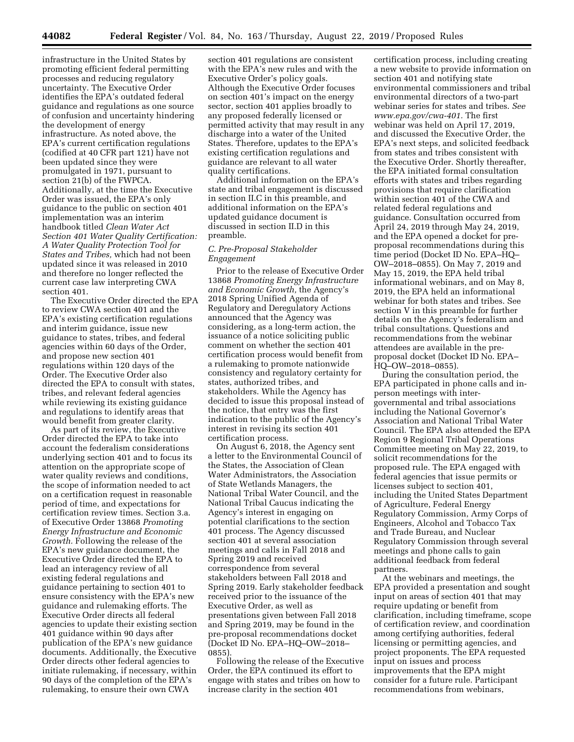infrastructure in the United States by promoting efficient federal permitting processes and reducing regulatory uncertainty. The Executive Order identifies the EPA's outdated federal guidance and regulations as one source of confusion and uncertainty hindering the development of energy infrastructure. As noted above, the EPA's current certification regulations (codified at 40 CFR part 121) have not been updated since they were promulgated in 1971, pursuant to section 21(b) of the FWPCA. Additionally, at the time the Executive Order was issued, the EPA's only guidance to the public on section 401 implementation was an interim handbook titled *Clean Water Act Section 401 Water Quality Certification: A Water Quality Protection Tool for States and Tribes,* which had not been updated since it was released in 2010 and therefore no longer reflected the current case law interpreting CWA section 401.

The Executive Order directed the EPA to review CWA section 401 and the EPA's existing certification regulations and interim guidance, issue new guidance to states, tribes, and federal agencies within 60 days of the Order, and propose new section 401 regulations within 120 days of the Order. The Executive Order also directed the EPA to consult with states, tribes, and relevant federal agencies while reviewing its existing guidance and regulations to identify areas that would benefit from greater clarity.

As part of its review, the Executive Order directed the EPA to take into account the federalism considerations underlying section 401 and to focus its attention on the appropriate scope of water quality reviews and conditions, the scope of information needed to act on a certification request in reasonable period of time, and expectations for certification review times. Section 3.a. of Executive Order 13868 *Promoting Energy Infrastructure and Economic Growth.* Following the release of the EPA's new guidance document, the Executive Order directed the EPA to lead an interagency review of all existing federal regulations and guidance pertaining to section 401 to ensure consistency with the EPA's new guidance and rulemaking efforts. The Executive Order directs all federal agencies to update their existing section 401 guidance within 90 days after publication of the EPA's new guidance documents. Additionally, the Executive Order directs other federal agencies to initiate rulemaking, if necessary, within 90 days of the completion of the EPA's rulemaking, to ensure their own CWA

section 401 regulations are consistent with the EPA's new rules and with the Executive Order's policy goals. Although the Executive Order focuses on section 401's impact on the energy sector, section 401 applies broadly to any proposed federally licensed or permitted activity that may result in any discharge into a water of the United States. Therefore, updates to the EPA's existing certification regulations and guidance are relevant to all water quality certifications.

Additional information on the EPA's state and tribal engagement is discussed in section II.C in this preamble, and additional information on the EPA's updated guidance document is discussed in section II.D in this preamble.

## *C. Pre-Proposal Stakeholder Engagement*

Prior to the release of Executive Order 13868 *Promoting Energy Infrastructure and Economic Growth,* the Agency's 2018 Spring Unified Agenda of Regulatory and Deregulatory Actions announced that the Agency was considering, as a long-term action, the issuance of a notice soliciting public comment on whether the section 401 certification process would benefit from a rulemaking to promote nationwide consistency and regulatory certainty for states, authorized tribes, and stakeholders. While the Agency has decided to issue this proposal instead of the notice, that entry was the first indication to the public of the Agency's interest in revising its section 401 certification process.

On August 6, 2018, the Agency sent a letter to the Environmental Council of the States, the Association of Clean Water Administrators, the Association of State Wetlands Managers, the National Tribal Water Council, and the National Tribal Caucus indicating the Agency's interest in engaging on potential clarifications to the section 401 process. The Agency discussed section 401 at several association meetings and calls in Fall 2018 and Spring 2019 and received correspondence from several stakeholders between Fall 2018 and Spring 2019. Early stakeholder feedback received prior to the issuance of the Executive Order, as well as presentations given between Fall 2018 and Spring 2019, may be found in the pre-proposal recommendations docket (Docket ID No. EPA–HQ–OW–2018– 0855).

Following the release of the Executive Order, the EPA continued its effort to engage with states and tribes on how to increase clarity in the section 401

certification process, including creating a new website to provide information on section 401 and notifying state environmental commissioners and tribal environmental directors of a two-part webinar series for states and tribes. *See www.epa.gov/cwa-401.* The first webinar was held on April 17, 2019, and discussed the Executive Order, the EPA's next steps, and solicited feedback from states and tribes consistent with the Executive Order. Shortly thereafter, the EPA initiated formal consultation efforts with states and tribes regarding provisions that require clarification within section 401 of the CWA and related federal regulations and guidance. Consultation occurred from April 24, 2019 through May 24, 2019, and the EPA opened a docket for preproposal recommendations during this time period (Docket ID No. EPA–HQ– OW–2018–0855). On May 7, 2019 and May 15, 2019, the EPA held tribal informational webinars, and on May 8, 2019, the EPA held an informational webinar for both states and tribes. See section V in this preamble for further details on the Agency's federalism and tribal consultations. Questions and recommendations from the webinar attendees are available in the preproposal docket (Docket ID No. EPA– HQ–OW–2018–0855).

During the consultation period, the EPA participated in phone calls and inperson meetings with intergovernmental and tribal associations including the National Governor's Association and National Tribal Water Council. The EPA also attended the EPA Region 9 Regional Tribal Operations Committee meeting on May 22, 2019, to solicit recommendations for the proposed rule. The EPA engaged with federal agencies that issue permits or licenses subject to section 401, including the United States Department of Agriculture, Federal Energy Regulatory Commission, Army Corps of Engineers, Alcohol and Tobacco Tax and Trade Bureau, and Nuclear Regulatory Commission through several meetings and phone calls to gain additional feedback from federal partners.

At the webinars and meetings, the EPA provided a presentation and sought input on areas of section 401 that may require updating or benefit from clarification, including timeframe, scope of certification review, and coordination among certifying authorities, federal licensing or permitting agencies, and project proponents. The EPA requested input on issues and process improvements that the EPA might consider for a future rule. Participant recommendations from webinars,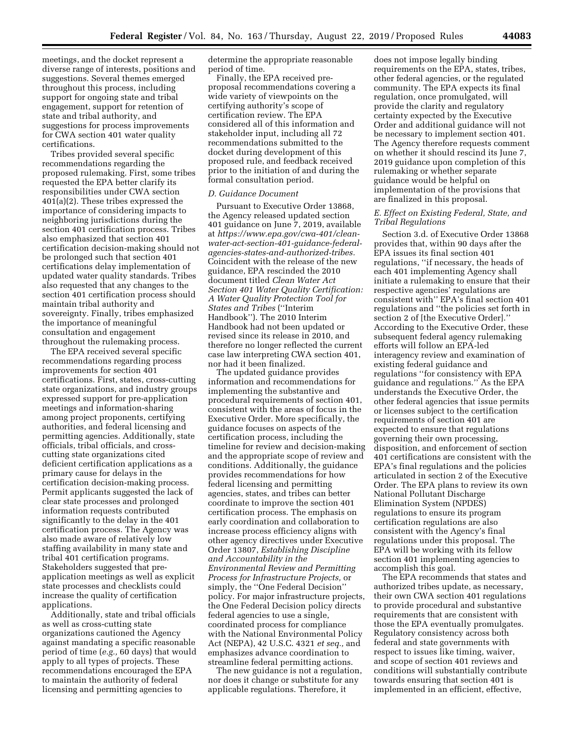meetings, and the docket represent a diverse range of interests, positions and suggestions. Several themes emerged throughout this process, including support for ongoing state and tribal engagement, support for retention of state and tribal authority, and suggestions for process improvements for CWA section 401 water quality certifications.

Tribes provided several specific recommendations regarding the proposed rulemaking. First, some tribes requested the EPA better clarify its responsibilities under CWA section 401(a)(2). These tribes expressed the importance of considering impacts to neighboring jurisdictions during the section 401 certification process. Tribes also emphasized that section 401 certification decision-making should not be prolonged such that section 401 certifications delay implementation of updated water quality standards. Tribes also requested that any changes to the section 401 certification process should maintain tribal authority and sovereignty. Finally, tribes emphasized the importance of meaningful consultation and engagement throughout the rulemaking process.

The EPA received several specific recommendations regarding process improvements for section 401 certifications. First, states, cross-cutting state organizations, and industry groups expressed support for pre-application meetings and information-sharing among project proponents, certifying authorities, and federal licensing and permitting agencies. Additionally, state officials, tribal officials, and crosscutting state organizations cited deficient certification applications as a primary cause for delays in the certification decision-making process. Permit applicants suggested the lack of clear state processes and prolonged information requests contributed significantly to the delay in the 401 certification process. The Agency was also made aware of relatively low staffing availability in many state and tribal 401 certification programs. Stakeholders suggested that preapplication meetings as well as explicit state processes and checklists could increase the quality of certification applications.

Additionally, state and tribal officials as well as cross-cutting state organizations cautioned the Agency against mandating a specific reasonable period of time (*e.g.,* 60 days) that would apply to all types of projects. These recommendations encouraged the EPA to maintain the authority of federal licensing and permitting agencies to

determine the appropriate reasonable period of time.

Finally, the EPA received preproposal recommendations covering a wide variety of viewpoints on the certifying authority's scope of certification review. The EPA considered all of this information and stakeholder input, including all 72 recommendations submitted to the docket during development of this proposed rule, and feedback received prior to the initiation of and during the formal consultation period.

#### *D. Guidance Document*

Pursuant to Executive Order 13868, the Agency released updated section 401 guidance on June 7, 2019, available at *https://www.epa.gov/cwa-401/cleanwater-act-section-401-guidance-federalagencies-states-and-authorized-tribes.*  Coincident with the release of the new guidance, EPA rescinded the 2010 document titled *Clean Water Act Section 401 Water Quality Certification: A Water Quality Protection Tool for States and Tribes* (''Interim Handbook''). The 2010 Interim Handbook had not been updated or revised since its release in 2010, and therefore no longer reflected the current case law interpreting CWA section 401, nor had it been finalized.

The updated guidance provides information and recommendations for implementing the substantive and procedural requirements of section 401, consistent with the areas of focus in the Executive Order. More specifically, the guidance focuses on aspects of the certification process, including the timeline for review and decision-making and the appropriate scope of review and conditions. Additionally, the guidance provides recommendations for how federal licensing and permitting agencies, states, and tribes can better coordinate to improve the section 401 certification process. The emphasis on early coordination and collaboration to increase process efficiency aligns with other agency directives under Executive Order 13807, *Establishing Discipline and Accountability in the Environmental Review and Permitting Process for Infrastructure Projects,* or simply, the ''One Federal Decision'' policy. For major infrastructure projects, the One Federal Decision policy directs federal agencies to use a single, coordinated process for compliance with the National Environmental Policy Act (NEPA), 42 U.S.C. 4321 *et seq.,* and emphasizes advance coordination to streamline federal permitting actions.

The new guidance is not a regulation, nor does it change or substitute for any applicable regulations. Therefore, it

does not impose legally binding requirements on the EPA, states, tribes, other federal agencies, or the regulated community. The EPA expects its final regulation, once promulgated, will provide the clarity and regulatory certainty expected by the Executive Order and additional guidance will not be necessary to implement section 401. The Agency therefore requests comment on whether it should rescind its June 7, 2019 guidance upon completion of this rulemaking or whether separate guidance would be helpful on implementation of the provisions that are finalized in this proposal.

### *E. Effect on Existing Federal, State, and Tribal Regulations*

Section 3.d. of Executive Order 13868 provides that, within 90 days after the EPA issues its final section 401 regulations, ''if necessary, the heads of each 401 implementing Agency shall initiate a rulemaking to ensure that their respective agencies' regulations are consistent with'' EPA's final section 401 regulations and ''the policies set forth in section 2 of [the Executive Order].'' According to the Executive Order, these subsequent federal agency rulemaking efforts will follow an EPA-led interagency review and examination of existing federal guidance and regulations ''for consistency with EPA guidance and regulations.'' As the EPA understands the Executive Order, the other federal agencies that issue permits or licenses subject to the certification requirements of section 401 are expected to ensure that regulations governing their own processing, disposition, and enforcement of section 401 certifications are consistent with the EPA's final regulations and the policies articulated in section 2 of the Executive Order. The EPA plans to review its own National Pollutant Discharge Elimination System (NPDES) regulations to ensure its program certification regulations are also consistent with the Agency's final regulations under this proposal. The EPA will be working with its fellow section 401 implementing agencies to accomplish this goal.

The EPA recommends that states and authorized tribes update, as necessary, their own CWA section 401 regulations to provide procedural and substantive requirements that are consistent with those the EPA eventually promulgates. Regulatory consistency across both federal and state governments with respect to issues like timing, waiver, and scope of section 401 reviews and conditions will substantially contribute towards ensuring that section 401 is implemented in an efficient, effective,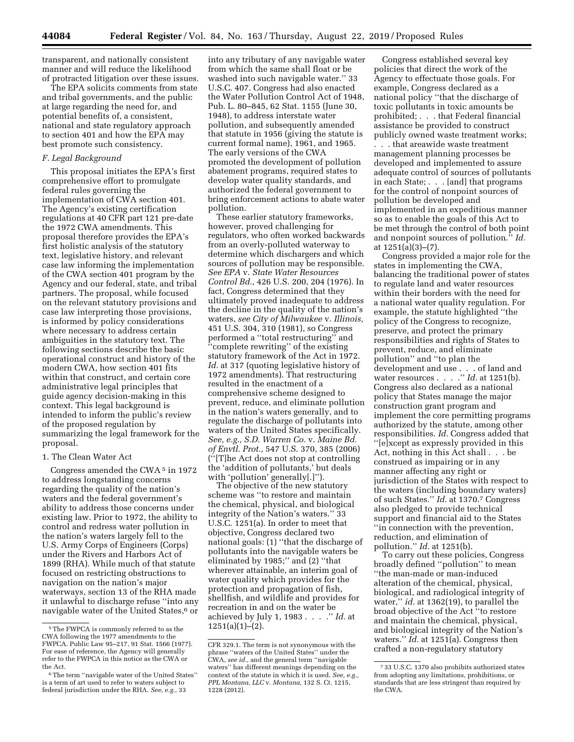transparent, and nationally consistent manner and will reduce the likelihood of protracted litigation over these issues.

The EPA solicits comments from state and tribal governments, and the public at large regarding the need for, and potential benefits of, a consistent, national and state regulatory approach to section 401 and how the EPA may best promote such consistency.

## *F. Legal Background*

This proposal initiates the EPA's first comprehensive effort to promulgate federal rules governing the implementation of CWA section 401. The Agency's existing certification regulations at 40 CFR part 121 pre-date the 1972 CWA amendments. This proposal therefore provides the EPA's first holistic analysis of the statutory text, legislative history, and relevant case law informing the implementation of the CWA section 401 program by the Agency and our federal, state, and tribal partners. The proposal, while focused on the relevant statutory provisions and case law interpreting those provisions, is informed by policy considerations where necessary to address certain ambiguities in the statutory text. The following sections describe the basic operational construct and history of the modern CWA, how section 401 fits within that construct, and certain core administrative legal principles that guide agency decision-making in this context. This legal background is intended to inform the public's review of the proposed regulation by summarizing the legal framework for the proposal.

# 1. The Clean Water Act

Congress amended the CWA 5 in 1972 to address longstanding concerns regarding the quality of the nation's waters and the federal government's ability to address those concerns under existing law. Prior to 1972, the ability to control and redress water pollution in the nation's waters largely fell to the U.S. Army Corps of Engineers (Corps) under the Rivers and Harbors Act of 1899 (RHA). While much of that statute focused on restricting obstructions to navigation on the nation's major waterways, section 13 of the RHA made it unlawful to discharge refuse ''into any navigable water of the United States,<sup>6</sup> or

into any tributary of any navigable water from which the same shall float or be washed into such navigable water.'' 33 U.S.C. 407. Congress had also enacted the Water Pollution Control Act of 1948, Pub. L. 80–845, 62 Stat. 1155 (June 30, 1948), to address interstate water pollution, and subsequently amended that statute in 1956 (giving the statute is current formal name), 1961, and 1965. The early versions of the CWA promoted the development of pollution abatement programs, required states to develop water quality standards, and authorized the federal government to bring enforcement actions to abate water pollution.

These earlier statutory frameworks, however, proved challenging for regulators, who often worked backwards from an overly-polluted waterway to determine which dischargers and which sources of pollution may be responsible. *See EPA* v. *State Water Resources Control Bd.,* 426 U.S. 200, 204 (1976). In fact, Congress determined that they ultimately proved inadequate to address the decline in the quality of the nation's waters, *see City of Milwaukee* v. *Illinois,*  451 U.S. 304, 310 (1981), so Congress performed a ''total restructuring'' and ''complete rewriting'' of the existing statutory framework of the Act in 1972. *Id.* at 317 (quoting legislative history of 1972 amendments). That restructuring resulted in the enactment of a comprehensive scheme designed to prevent, reduce, and eliminate pollution in the nation's waters generally, and to regulate the discharge of pollutants into waters of the United States specifically. *See, e.g., S.D. Warren Co.* v. *Maine Bd. of Envtl. Prot.,* 547 U.S. 370, 385 (2006) (''[T]he Act does not stop at controlling the 'addition of pollutants,' but deals with 'pollution' generally[.]").

The objective of the new statutory scheme was ''to restore and maintain the chemical, physical, and biological integrity of the Nation's waters.'' 33 U.S.C. 1251(a). In order to meet that objective, Congress declared two national goals: (1) ''that the discharge of pollutants into the navigable waters be eliminated by 1985;'' and (2) ''that wherever attainable, an interim goal of water quality which provides for the protection and propagation of fish, shellfish, and wildlife and provides for recreation in and on the water be achieved by July 1, 1983 . . . .'' *Id.* at 1251(a)(1)–(2).

Congress established several key policies that direct the work of the Agency to effectuate those goals. For example, Congress declared as a national policy ''that the discharge of toxic pollutants in toxic amounts be prohibited; . . . that Federal financial assistance be provided to construct publicly owned waste treatment works;

. . . that areawide waste treatment management planning processes be developed and implemented to assure adequate control of sources of pollutants in each State; . . . [and] that programs for the control of nonpoint sources of pollution be developed and implemented in an expeditious manner so as to enable the goals of this Act to be met through the control of both point and nonpoint sources of pollution.'' *Id.*  at 1251(a)(3)–(7).

Congress provided a major role for the states in implementing the CWA, balancing the traditional power of states to regulate land and water resources within their borders with the need for a national water quality regulation. For example, the statute highlighted ''the policy of the Congress to recognize, preserve, and protect the primary responsibilities and rights of States to prevent, reduce, and eliminate pollution'' and ''to plan the development and use . . . of land and water resources . . . .'' *Id.* at 1251(b). Congress also declared as a national policy that States manage the major construction grant program and implement the core permitting programs authorized by the statute, among other responsibilities. *Id.* Congress added that ''[e]xcept as expressly provided in this Act, nothing in this Act shall . . . be construed as impairing or in any manner affecting any right or jurisdiction of the States with respect to the waters (including boundary waters) of such States.'' *Id.* at 1370.7 Congress also pledged to provide technical support and financial aid to the States ''in connection with the prevention, reduction, and elimination of pollution.'' *Id.* at 1251(b).

To carry out these policies, Congress broadly defined ''pollution'' to mean ''the man-made or man-induced alteration of the chemical, physical, biological, and radiological integrity of water,'' *id.* at 1362(19), to parallel the broad objective of the Act ''to restore and maintain the chemical, physical, and biological integrity of the Nation's waters.'' *Id.* at 1251(a). Congress then crafted a non-regulatory statutory

<sup>5</sup>The FWPCA is commonly referred to as the CWA following the 1977 amendments to the FWPCA. Public Law 95–217, 91 Stat. 1566 (1977). For ease of reference, the Agency will generally refer to the FWPCA in this notice as the CWA or the Act.

<sup>6</sup>The term ''navigable water of the United States'' is a term of art used to refer to waters subject to federal jurisdiction under the RHA. *See, e.g.,* 33

CFR 329.1. The term is not synonymous with the phrase ''waters of the United States'' under the CWA, *see id.,* and the general term ''navigable waters'' has different meanings depending on the context of the statute in which it is used. *See, e.g., PPL Montana, LLC* v. *Montana,* 132 S. Ct. 1215, 1228 (2012).

<sup>7</sup> 33 U.S.C. 1370 also prohibits authorized states from adopting any limitations, prohibitions, or standards that are less stringent than required by the CWA.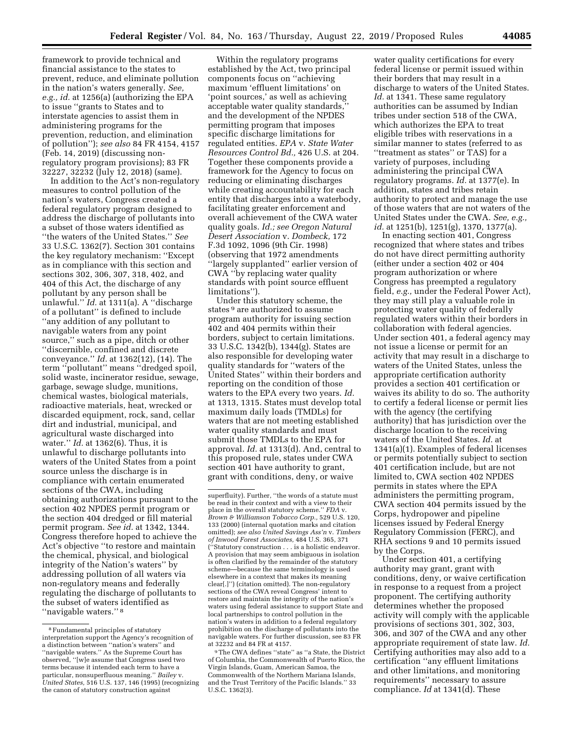framework to provide technical and financial assistance to the states to prevent, reduce, and eliminate pollution in the nation's waters generally. *See, e.g., id.* at 1256(a) (authorizing the EPA to issue ''grants to States and to interstate agencies to assist them in administering programs for the prevention, reduction, and elimination of pollution''); *see also* 84 FR 4154, 4157 (Feb. 14, 2019) (discussing nonregulatory program provisions); 83 FR 32227, 32232 (July 12, 2018) (same).

In addition to the Act's non-regulatory measures to control pollution of the nation's waters, Congress created a federal regulatory program designed to address the discharge of pollutants into a subset of those waters identified as ''the waters of the United States.'' *See*  33 U.S.C. 1362(7). Section 301 contains the key regulatory mechanism: ''Except as in compliance with this section and sections 302, 306, 307, 318, 402, and 404 of this Act, the discharge of any pollutant by any person shall be unlawful.'' *Id.* at 1311(a). A ''discharge of a pollutant'' is defined to include ''any addition of any pollutant to navigable waters from any point source,'' such as a pipe, ditch or other ''discernible, confined and discrete conveyance.'' *Id.* at 1362(12), (14). The term ''pollutant'' means ''dredged spoil, solid waste, incinerator residue, sewage, garbage, sewage sludge, munitions, chemical wastes, biological materials, radioactive materials, heat, wrecked or discarded equipment, rock, sand, cellar dirt and industrial, municipal, and agricultural waste discharged into water.'' *Id.* at 1362(6). Thus, it is unlawful to discharge pollutants into waters of the United States from a point source unless the discharge is in compliance with certain enumerated sections of the CWA, including obtaining authorizations pursuant to the section 402 NPDES permit program or the section 404 dredged or fill material permit program. *See id.* at 1342, 1344. Congress therefore hoped to achieve the Act's objective ''to restore and maintain the chemical, physical, and biological integrity of the Nation's waters'' by addressing pollution of all waters via non-regulatory means and federally regulating the discharge of pollutants to the subset of waters identified as "navigable waters." 8

Within the regulatory programs established by the Act, two principal components focus on ''achieving maximum 'effluent limitations' on 'point sources,' as well as achieving acceptable water quality standards,'' and the development of the NPDES permitting program that imposes specific discharge limitations for regulated entities. *EPA* v. *State Water Resources Control Bd.,* 426 U.S. at 204. Together these components provide a framework for the Agency to focus on reducing or eliminating discharges while creating accountability for each entity that discharges into a waterbody, facilitating greater enforcement and overall achievement of the CWA water quality goals. *Id.; see Oregon Natural Desert Association* v. *Dombeck,* 172 F.3d 1092, 1096 (9th Cir. 1998) (observing that 1972 amendments ''largely supplanted'' earlier version of CWA ''by replacing water quality standards with point source effluent limitations'').

Under this statutory scheme, the states <sup>9</sup> are authorized to assume program authority for issuing section 402 and 404 permits within their borders, subject to certain limitations. 33 U.S.C. 1342(b), 1344(g). States are also responsible for developing water quality standards for ''waters of the United States'' within their borders and reporting on the condition of those waters to the EPA every two years. *Id.*  at 1313, 1315. States must develop total maximum daily loads (TMDLs) for waters that are not meeting established water quality standards and must submit those TMDLs to the EPA for approval. *Id.* at 1313(d). And, central to this proposed rule, states under CWA section 401 have authority to grant, grant with conditions, deny, or waive

water quality certifications for every federal license or permit issued within their borders that may result in a discharge to waters of the United States. Id. at 1341. These same regulatory authorities can be assumed by Indian tribes under section 518 of the CWA, which authorizes the EPA to treat eligible tribes with reservations in a similar manner to states (referred to as ''treatment as states'' or TAS) for a variety of purposes, including administering the principal CWA regulatory programs. *Id.* at 1377(e). In addition, states and tribes retain authority to protect and manage the use of those waters that are not waters of the United States under the CWA. *See, e.g., id.* at 1251(b), 1251(g), 1370, 1377(a).

In enacting section 401, Congress recognized that where states and tribes do not have direct permitting authority (either under a section 402 or 404 program authorization or where Congress has preempted a regulatory field, *e.g.,* under the Federal Power Act), they may still play a valuable role in protecting water quality of federally regulated waters within their borders in collaboration with federal agencies. Under section 401, a federal agency may not issue a license or permit for an activity that may result in a discharge to waters of the United States, unless the appropriate certification authority provides a section 401 certification or waives its ability to do so. The authority to certify a federal license or permit lies with the agency (the certifying authority) that has jurisdiction over the discharge location to the receiving waters of the United States. *Id.* at 1341(a)(1). Examples of federal licenses or permits potentially subject to section 401 certification include, but are not limited to, CWA section 402 NPDES permits in states where the EPA administers the permitting program, CWA section 404 permits issued by the Corps, hydropower and pipeline licenses issued by Federal Energy Regulatory Commission (FERC), and RHA sections 9 and 10 permits issued by the Corps.

Under section 401, a certifying authority may grant, grant with conditions, deny, or waive certification in response to a request from a project proponent. The certifying authority determines whether the proposed activity will comply with the applicable provisions of sections 301, 302, 303, 306, and 307 of the CWA and any other appropriate requirement of state law. *Id.*  Certifying authorities may also add to a certification ''any effluent limitations and other limitations, and monitoring requirements'' necessary to assure compliance. *Id* at 1341(d). These

<sup>8</sup>Fundamental principles of statutory interpretation support the Agency's recognition of a distinction between ''nation's waters'' and ''navigable waters.'' As the Supreme Court has observed, ''[w]e assume that Congress used two terms because it intended each term to have a particular, nonsuperfluous meaning.'' *Bailey* v. *United States,* 516 U.S. 137, 146 (1995) (recognizing the canon of statutory construction against

superfluity). Further, ''the words of a statute must be read in their context and with a view to their place in the overall statutory scheme.'' *FDA* v. *Brown & Williamson Tobacco Corp.,* 529 U.S. 120, 133 (2000) (internal quotation marks and citation omitted); *see also United Savings Ass'n* v. *Timbers of Inwood Forest Associates,* 484 U.S. 365, 371 (''Statutory construction . . . is a holistic endeavor. A provision that may seem ambiguous in isolation is often clarified by the remainder of the statutory scheme—because the same terminology is used elsewhere in a context that makes its meaning clear[.]'') (citation omitted). The non-regulatory sections of the CWA reveal Congress' intent to restore and maintain the integrity of the nation's waters using federal assistance to support State and local partnerships to control pollution in the nation's waters in addition to a federal regulatory prohibition on the discharge of pollutants into the navigable waters. For further discussion, see 83 FR at 32232 and 84 FR at 4157.

<sup>9</sup>The CWA defines ''state'' as ''a State, the District of Columbia, the Commonwealth of Puerto Rico, the Virgin Islands, Guam, American Samoa, the Commonwealth of the Northern Mariana Islands, and the Trust Territory of the Pacific Islands.'' 33 U.S.C. 1362(3).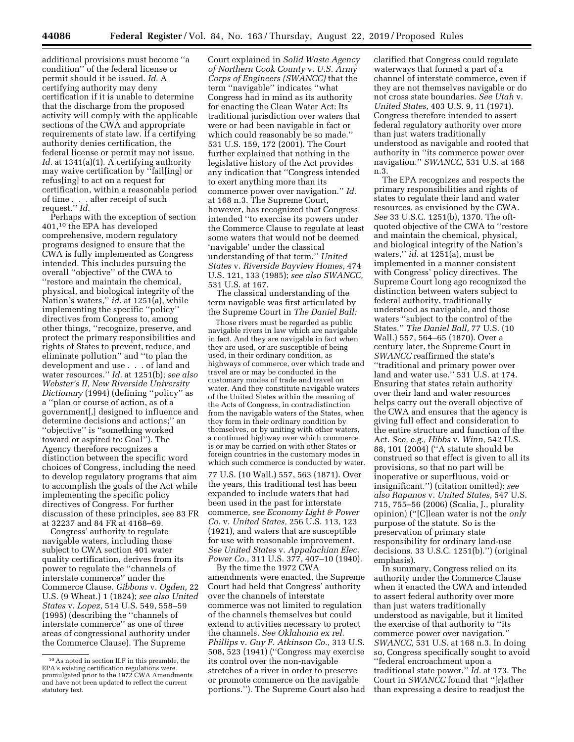additional provisions must become ''a condition'' of the federal license or permit should it be issued. *Id.* A certifying authority may deny certification if it is unable to determine that the discharge from the proposed activity will comply with the applicable sections of the CWA and appropriate requirements of state law. If a certifying authority denies certification, the federal license or permit may not issue. *Id.* at 1341(a)(1). A certifying authority may waive certification by ''fail[ing] or refus[ing] to act on a request for certification, within a reasonable period of time . . . after receipt of such request.'' *Id.* 

Perhaps with the exception of section 401,10 the EPA has developed comprehensive, modern regulatory programs designed to ensure that the CWA is fully implemented as Congress intended. This includes pursuing the overall ''objective'' of the CWA to ''restore and maintain the chemical, physical, and biological integrity of the Nation's waters,'' *id.* at 1251(a), while implementing the specific ''policy'' directives from Congress to, among other things, ''recognize, preserve, and protect the primary responsibilities and rights of States to prevent, reduce, and eliminate pollution'' and ''to plan the development and use . . . of land and water resources.'' *Id.* at 1251(b); *see also Webster's II, New Riverside University Dictionary* (1994) (defining ''policy'' as a ''plan or course of action, as of a government[,] designed to influence and determine decisions and actions;'' an ''objective'' is ''something worked toward or aspired to: Goal''). The Agency therefore recognizes a distinction between the specific word choices of Congress, including the need to develop regulatory programs that aim to accomplish the goals of the Act while implementing the specific policy directives of Congress. For further discussion of these principles, see 83 FR at 32237 and 84 FR at 4168–69.

Congress' authority to regulate navigable waters, including those subject to CWA section 401 water quality certification, derives from its power to regulate the ''channels of interstate commerce'' under the Commerce Clause. *Gibbons* v. *Ogden,* 22 U.S. (9 Wheat.) 1 (1824); *see also United States* v. *Lopez,* 514 U.S. 549, 558–59 (1995) (describing the ''channels of interstate commerce'' as one of three areas of congressional authority under the Commerce Clause). The Supreme

Court explained in *Solid Waste Agency of Northern Cook County* v. *U.S. Army Corps of Engineers (SWANCC)* that the term ''navigable'' indicates ''what Congress had in mind as its authority for enacting the Clean Water Act: Its traditional jurisdiction over waters that were or had been navigable in fact or which could reasonably be so made.'' 531 U.S. 159, 172 (2001). The Court further explained that nothing in the legislative history of the Act provides any indication that ''Congress intended to exert anything more than its commerce power over navigation.'' *Id.*  at 168 n.3. The Supreme Court, however, has recognized that Congress intended ''to exercise its powers under the Commerce Clause to regulate at least some waters that would not be deemed 'navigable' under the classical understanding of that term.'' *United States* v. *Riverside Bayview Homes,* 474 U.S. 121, 133 (1985); *see also SWANCC,*  531 U.S. at 167.

The classical understanding of the term navigable was first articulated by the Supreme Court in *The Daniel Ball:* 

Those rivers must be regarded as public navigable rivers in law which are navigable in fact. And they are navigable in fact when they are used, or are susceptible of being used, in their ordinary condition, as highways of commerce, over which trade and travel are or may be conducted in the customary modes of trade and travel on water. And they constitute navigable waters of the United States within the meaning of the Acts of Congress, in contradistinction from the navigable waters of the States, when they form in their ordinary condition by themselves, or by uniting with other waters, a continued highway over which commerce is or may be carried on with other States or foreign countries in the customary modes in which such commerce is conducted by water.

77 U.S. (10 Wall.) 557, 563 (1871). Over the years, this traditional test has been expanded to include waters that had been used in the past for interstate commerce, *see Economy Light & Power Co.* v. *United States,* 256 U.S. 113, 123 (1921), and waters that are susceptible for use with reasonable improvement. *See United States* v. *Appalachian Elec. Power Co.,* 311 U.S. 377, 407–10 (1940).

By the time the 1972 CWA amendments were enacted, the Supreme Court had held that Congress' authority over the channels of interstate commerce was not limited to regulation of the channels themselves but could extend to activities necessary to protect the channels. *See Oklahoma ex rel. Phillips* v. *Guy F. Atkinson Co.,* 313 U.S. 508, 523 (1941) (''Congress may exercise its control over the non-navigable stretches of a river in order to preserve or promote commerce on the navigable portions.''). The Supreme Court also had clarified that Congress could regulate waterways that formed a part of a channel of interstate commerce, even if they are not themselves navigable or do not cross state boundaries. *See Utah* v. *United States,* 403 U.S. 9, 11 (1971). Congress therefore intended to assert federal regulatory authority over more than just waters traditionally understood as navigable and rooted that authority in ''its commerce power over navigation.'' *SWANCC,* 531 U.S. at 168 n.3.

The EPA recognizes and respects the primary responsibilities and rights of states to regulate their land and water resources, as envisioned by the CWA. *See* 33 U.S.C. 1251(b), 1370. The oftquoted objective of the CWA to ''restore and maintain the chemical, physical, and biological integrity of the Nation's waters,'' *id.* at 1251(a), must be implemented in a manner consistent with Congress' policy directives. The Supreme Court long ago recognized the distinction between waters subject to federal authority, traditionally understood as navigable, and those waters ''subject to the control of the States.'' *The Daniel Ball,* 77 U.S. (10 Wall.) 557, 564–65 (1870). Over a century later, the Supreme Court in *SWANCC* reaffirmed the state's ''traditional and primary power over land and water use.'' 531 U.S. at 174. Ensuring that states retain authority over their land and water resources helps carry out the overall objective of the CWA and ensures that the agency is giving full effect and consideration to the entire structure and function of the Act. *See, e.g., Hibbs* v. *Winn,* 542 U.S. 88, 101 (2004) (''A statute should be construed so that effect is given to all its provisions, so that no part will be inoperative or superfluous, void or insignificant.'') (citation omitted); *see also Rapanos* v. *United States,* 547 U.S. 715, 755–56 (2006) (Scalia, J., plurality opinion) (''[C]lean water is not the *only*  purpose of the statute. So is the preservation of primary state responsibility for ordinary land-use decisions. 33 U.S.C. 1251(b).'') (original emphasis).

In summary, Congress relied on its authority under the Commerce Clause when it enacted the CWA and intended to assert federal authority over more than just waters traditionally understood as navigable, but it limited the exercise of that authority to ''its commerce power over navigation.'' *SWANCC,* 531 U.S. at 168 n.3. In doing so, Congress specifically sought to avoid ''federal encroachment upon a traditional state power.'' *Id.* at 173. The Court in *SWANCC* found that ''[r]ather than expressing a desire to readjust the

<sup>10</sup>As noted in section II.F in this preamble, the EPA's existing certification regulations were promulgated prior to the 1972 CWA Amendments and have not been updated to reflect the current statutory text.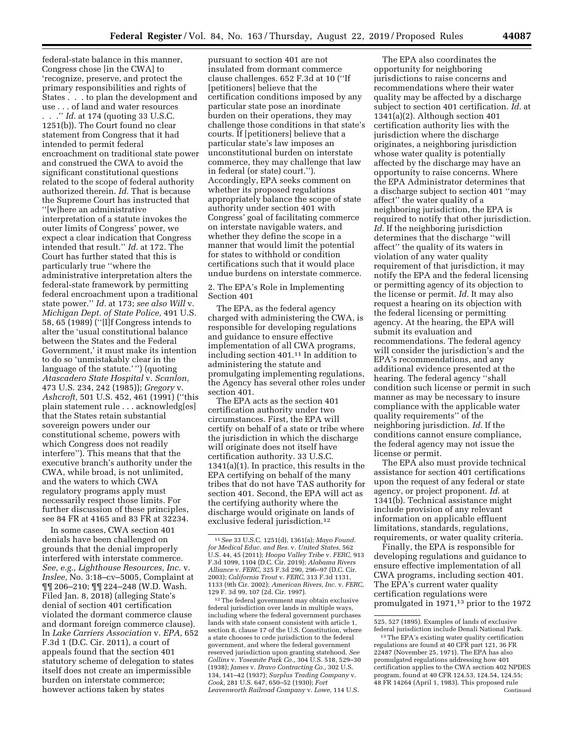federal-state balance in this manner, Congress chose [in the CWA] to 'recognize, preserve, and protect the primary responsibilities and rights of States . . . to plan the development and use . . . of land and water resources . . .'' *Id.* at 174 (quoting 33 U.S.C. 1251(b)). The Court found no clear statement from Congress that it had intended to permit federal encroachment on traditional state power and construed the CWA to avoid the significant constitutional questions related to the scope of federal authority authorized therein. *Id.* That is because the Supreme Court has instructed that ''[w]here an administrative interpretation of a statute invokes the outer limits of Congress' power, we expect a clear indication that Congress intended that result.'' *Id.* at 172. The Court has further stated that this is particularly true ''where the administrative interpretation alters the federal-state framework by permitting federal encroachment upon a traditional state power.'' *Id.* at 173; *see also Will* v. *Michigan Dept. of State Police,* 491 U.S. 58, 65 (1989) (''[I]f Congress intends to alter the 'usual constitutional balance between the States and the Federal Government,' it must make its intention to do so 'unmistakably clear in the language of the statute.' '') (quoting *Atascadero State Hospital* v. *Scanlon,*  473 U.S. 234, 242 (1985)); *Gregory* v. *Ashcroft,* 501 U.S. 452, 461 (1991) (''this plain statement rule . . . acknowledg[es] that the States retain substantial sovereign powers under our constitutional scheme, powers with which Congress does not readily interfere''). This means that that the executive branch's authority under the CWA, while broad, is not unlimited, and the waters to which CWA regulatory programs apply must necessarily respect those limits. For further discussion of these principles,

In some cases, CWA section 401 denials have been challenged on grounds that the denial improperly interfered with interstate commerce. *See, e.g., Lighthouse Resources, Inc.* v. *Inslee,* No. 3:18–cv–5005, Complaint at ¶¶ 206–210; ¶¶ 224–248 (W.D. Wash. Filed Jan. 8, 2018) (alleging State's denial of section 401 certification violated the dormant commerce clause and dormant foreign commerce clause). In *Lake Carriers Association* v. *EPA,* 652 F.3d 1 (D.C. Cir. 2011), a court of appeals found that the section 401 statutory scheme of delegation to states itself does not create an impermissible burden on interstate commerce; however actions taken by states

see 84 FR at 4165 and 83 FR at 32234.

pursuant to section 401 are not insulated from dormant commerce clause challenges. 652 F.3d at 10 (''If [petitioners] believe that the certification conditions imposed by any particular state pose an inordinate burden on their operations, they may challenge those conditions in that state's courts. If [petitioners] believe that a particular state's law imposes an unconstitutional burden on interstate commerce, they may challenge that law in federal (or state) court.''). Accordingly, EPA seeks comment on whether its proposed regulations appropriately balance the scope of state authority under section 401 with Congress' goal of facilitating commerce on interstate navigable waters, and whether they define the scope in a manner that would limit the potential for states to withhold or condition certifications such that it would place undue burdens on interstate commerce.

## 2. The EPA's Role in Implementing Section 401

The EPA, as the federal agency charged with administering the CWA, is responsible for developing regulations and guidance to ensure effective implementation of all CWA programs, including section 401.11 In addition to administering the statute and promulgating implementing regulations, the Agency has several other roles under section 401.

The EPA acts as the section 401 certification authority under two circumstances. First, the EPA will certify on behalf of a state or tribe where the jurisdiction in which the discharge will originate does not itself have certification authority. 33 U.S.C. 1341(a)(1). In practice, this results in the EPA certifying on behalf of the many tribes that do not have TAS authority for section 401. Second, the EPA will act as the certifying authority where the discharge would originate on lands of exclusive federal jurisdiction.12

12The federal government may obtain exclusive federal jurisdiction over lands in multiple ways, including where the federal government purchases lands with state consent consistent with article 1, section 8, clause 17 of the U.S. Constitution, where a state chooses to cede jurisdiction to the federal government, and where the federal government reserved jurisdiction upon granting statehood. *See Collins* v. *Yosemite Park Co.,* 304 U.S. 518, 529–30 (1938); *James* v. *Dravo Contracting Co.,* 302 U.S. 134, 141–42 (1937); *Surplus Trading Company* v. *Cook,* 281 U.S. 647, 650–52 (1930); *Fort Leavenworth Railroad Company* v. *Lowe,* 114 U.S.

The EPA also coordinates the opportunity for neighboring jurisdictions to raise concerns and recommendations where their water quality may be affected by a discharge subject to section 401 certification. *Id.* at 1341(a)(2). Although section 401 certification authority lies with the jurisdiction where the discharge originates, a neighboring jurisdiction whose water quality is potentially affected by the discharge may have an opportunity to raise concerns. Where the EPA Administrator determines that a discharge subject to section 401 ''may affect'' the water quality of a neighboring jurisdiction, the EPA is required to notify that other jurisdiction. Id. If the neighboring jurisdiction determines that the discharge ''will affect'' the quality of its waters in violation of any water quality requirement of that jurisdiction, it may notify the EPA and the federal licensing or permitting agency of its objection to the license or permit. *Id.* It may also request a hearing on its objection with the federal licensing or permitting agency. At the hearing, the EPA will submit its evaluation and recommendations. The federal agency will consider the jurisdiction's and the EPA's recommendations, and any additional evidence presented at the hearing. The federal agency ''shall condition such license or permit in such manner as may be necessary to insure compliance with the applicable water quality requirements'' of the neighboring jurisdiction. *Id.* If the conditions cannot ensure compliance, the federal agency may not issue the license or permit.

The EPA also must provide technical assistance for section 401 certifications upon the request of any federal or state agency, or project proponent. *Id.* at 1341(b). Technical assistance might include provision of any relevant information on applicable effluent limitations, standards, regulations, requirements, or water quality criteria.

Finally, the EPA is responsible for developing regulations and guidance to ensure effective implementation of all CWA programs, including section 401. The EPA's current water quality certification regulations were promulgated in 1971,13 prior to the 1972

<sup>11</sup>*See* 33 U.S.C. 1251(d), 1361(a); *Mayo Found. for Medical Educ. and Res.* v. *United States,* 562 U.S. 44, 45 (2011); *Hoopa Valley Tribe* v. *FERC,* 913 F.3d 1099, 1104 (D.C. Cir. 2019); *Alabama Rivers Alliance* v. *FERC,* 325 F.3d 290, 296–97 (D.C. Cir. 2003); *California Trout* v. *FERC,* 313 F.3d 1131, 1133 (9th Cir. 2002); *American Rivers, Inc.* v. *FERC,*  129 F. 3d 99, 107 (2d. Cir. 1997).

<sup>525, 527 (1895).</sup> Examples of lands of exclusive federal jurisdiction include Denali National Park.

<sup>13</sup>The EPA's existing water quality certification regulations are found at 40 CFR part 121, 36 FR 22487 (November 25, 1971). The EPA has also promulgated regulations addressing how 401 certification applies to the CWA section 402 NPDES program, found at 40 CFR 124.53, 124.54, 124.55; 48 FR 14264 (April 1, 1983). This proposed rule Continued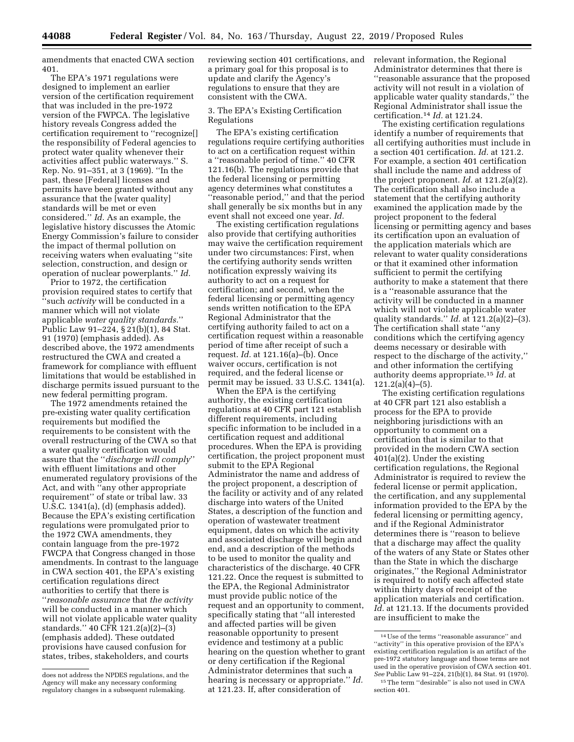amendments that enacted CWA section 401.

The EPA's 1971 regulations were designed to implement an earlier version of the certification requirement that was included in the pre-1972 version of the FWPCA. The legislative history reveals Congress added the certification requirement to ''recognize[] the responsibility of Federal agencies to protect water quality whenever their activities affect public waterways.'' S. Rep. No. 91–351, at 3 (1969). ''In the past, these [Federal] licenses and permits have been granted without any assurance that the [water quality] standards will be met or even considered.'' *Id.* As an example, the legislative history discusses the Atomic Energy Commission's failure to consider the impact of thermal pollution on receiving waters when evaluating ''site selection, construction, and design or operation of nuclear powerplants.'' *Id.* 

Prior to 1972, the certification provision required states to certify that ''such *activity* will be conducted in a manner which will not violate applicable *water quality standards.*'' Public Law 91–224, § 21(b)(1), 84 Stat. 91 (1970) (emphasis added). As described above, the 1972 amendments restructured the CWA and created a framework for compliance with effluent limitations that would be established in discharge permits issued pursuant to the new federal permitting program.

The 1972 amendments retained the pre-existing water quality certification requirements but modified the requirements to be consistent with the overall restructuring of the CWA so that a water quality certification would assure that the ''*discharge will comply*'' with effluent limitations and other enumerated regulatory provisions of the Act, and with ''any other appropriate requirement'' of state or tribal law. 33 U.S.C. 1341(a), (d) (emphasis added). Because the EPA's existing certification regulations were promulgated prior to the 1972 CWA amendments, they contain language from the pre-1972 FWCPA that Congress changed in those amendments. In contrast to the language in CWA section 401, the EPA's existing certification regulations direct authorities to certify that there is ''*reasonable assurance* that *the activity*  will be conducted in a manner which will not violate applicable water quality standards.'' 40 CFR 121.2(a)(2)–(3) (emphasis added). These outdated provisions have caused confusion for states, tribes, stakeholders, and courts

reviewing section 401 certifications, and a primary goal for this proposal is to update and clarify the Agency's regulations to ensure that they are consistent with the CWA.

## 3. The EPA's Existing Certification Regulations

The EPA's existing certification regulations require certifying authorities to act on a certification request within a ''reasonable period of time.'' 40 CFR 121.16(b). The regulations provide that the federal licensing or permitting agency determines what constitutes a ''reasonable period,'' and that the period shall generally be six months but in any event shall not exceed one year. *Id.* 

The existing certification regulations also provide that certifying authorities may waive the certification requirement under two circumstances: First, when the certifying authority sends written notification expressly waiving its authority to act on a request for certification; and second, when the federal licensing or permitting agency sends written notification to the EPA Regional Administrator that the certifying authority failed to act on a certification request within a reasonable period of time after receipt of such a request. *Id.* at 121.16(a)–(b). Once waiver occurs, certification is not required, and the federal license or permit may be issued. 33 U.S.C. 1341(a).

When the EPA is the certifying authority, the existing certification regulations at 40 CFR part 121 establish different requirements, including specific information to be included in a certification request and additional procedures. When the EPA is providing certification, the project proponent must submit to the EPA Regional Administrator the name and address of the project proponent, a description of the facility or activity and of any related discharge into waters of the United States, a description of the function and operation of wastewater treatment equipment, dates on which the activity and associated discharge will begin and end, and a description of the methods to be used to monitor the quality and characteristics of the discharge. 40 CFR 121.22. Once the request is submitted to the EPA, the Regional Administrator must provide public notice of the request and an opportunity to comment, specifically stating that ''all interested and affected parties will be given reasonable opportunity to present evidence and testimony at a public hearing on the question whether to grant or deny certification if the Regional Administrator determines that such a hearing is necessary or appropriate.'' *Id.*  at 121.23. If, after consideration of

relevant information, the Regional Administrator determines that there is ''reasonable assurance that the proposed activity will not result in a violation of applicable water quality standards,'' the Regional Administrator shall issue the certification.14 *Id.* at 121.24.

The existing certification regulations identify a number of requirements that all certifying authorities must include in a section 401 certification. *Id.* at 121.2. For example, a section 401 certification shall include the name and address of the project proponent. *Id.* at 121.2(a)(2). The certification shall also include a statement that the certifying authority examined the application made by the project proponent to the federal licensing or permitting agency and bases its certification upon an evaluation of the application materials which are relevant to water quality considerations or that it examined other information sufficient to permit the certifying authority to make a statement that there is a ''reasonable assurance that the activity will be conducted in a manner which will not violate applicable water quality standards.'' *Id.* at 121.2(a)(2)–(3). The certification shall state ''any conditions which the certifying agency deems necessary or desirable with respect to the discharge of the activity,'' and other information the certifying authority deems appropriate.15 *Id.* at  $121.2(a)(4)–(5)$ .

The existing certification regulations at 40 CFR part 121 also establish a process for the EPA to provide neighboring jurisdictions with an opportunity to comment on a certification that is similar to that provided in the modern CWA section 401(a)(2). Under the existing certification regulations, the Regional Administrator is required to review the federal license or permit application, the certification, and any supplemental information provided to the EPA by the federal licensing or permitting agency, and if the Regional Administrator determines there is ''reason to believe that a discharge may affect the quality of the waters of any State or States other than the State in which the discharge originates,'' the Regional Administrator is required to notify each affected state within thirty days of receipt of the application materials and certification. *Id.* at 121.13. If the documents provided are insufficient to make the

does not address the NPDES regulations, and the Agency will make any necessary conforming regulatory changes in a subsequent rulemaking.

<sup>14</sup>Use of the terms ''reasonable assurance'' and "activity" in this operative provision of the EPA's existing certification regulation is an artifact of the pre-1972 statutory language and those terms are not used in the operative provision of CWA section 401. *See* Public Law 91–224, 21(b)(1), 84 Stat. 91 (1970). 15The term ''desirable'' is also not used in CWA section 401.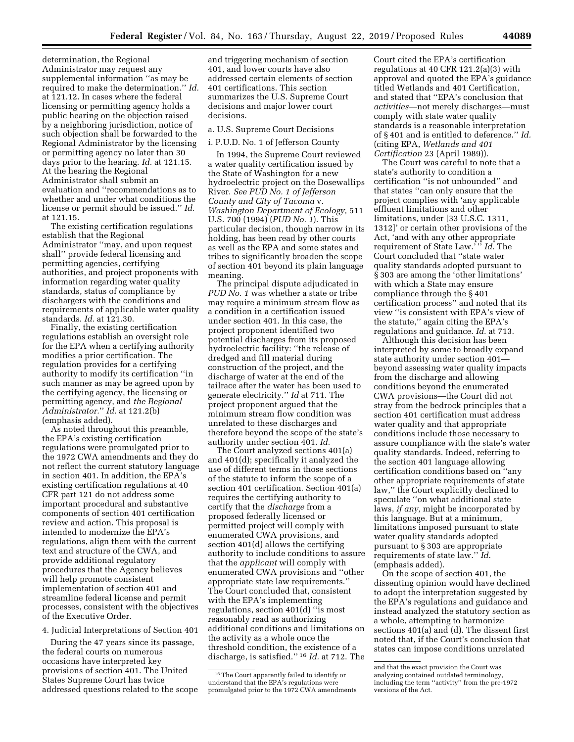determination, the Regional Administrator may request any supplemental information ''as may be required to make the determination.'' *Id.*  at 121.12. In cases where the federal licensing or permitting agency holds a public hearing on the objection raised by a neighboring jurisdiction, notice of such objection shall be forwarded to the Regional Administrator by the licensing or permitting agency no later than 30 days prior to the hearing. *Id.* at 121.15. At the hearing the Regional Administrator shall submit an evaluation and ''recommendations as to whether and under what conditions the license or permit should be issued.'' *Id.*  at 121.15.

The existing certification regulations establish that the Regional Administrator ''may, and upon request shall'' provide federal licensing and permitting agencies, certifying authorities, and project proponents with information regarding water quality standards, status of compliance by dischargers with the conditions and requirements of applicable water quality standards. *Id.* at 121.30.

Finally, the existing certification regulations establish an oversight role for the EPA when a certifying authority modifies a prior certification. The regulation provides for a certifying authority to modify its certification ''in such manner as may be agreed upon by the certifying agency, the licensing or permitting agency, and *the Regional Administrator.*'' *Id.* at 121.2(b) (emphasis added).

As noted throughout this preamble, the EPA's existing certification regulations were promulgated prior to the 1972 CWA amendments and they do not reflect the current statutory language in section 401. In addition, the EPA's existing certification regulations at 40 CFR part 121 do not address some important procedural and substantive components of section 401 certification review and action. This proposal is intended to modernize the EPA's regulations, align them with the current text and structure of the CWA, and provide additional regulatory procedures that the Agency believes will help promote consistent implementation of section 401 and streamline federal license and permit processes, consistent with the objectives of the Executive Order.

4. Judicial Interpretations of Section 401

During the 47 years since its passage, the federal courts on numerous occasions have interpreted key provisions of section 401. The United States Supreme Court has twice addressed questions related to the scope and triggering mechanism of section 401, and lower courts have also addressed certain elements of section 401 certifications. This section summarizes the U.S. Supreme Court decisions and major lower court decisions.

a. U.S. Supreme Court Decisions

i. P.U.D. No. 1 of Jefferson County

In 1994, the Supreme Court reviewed a water quality certification issued by the State of Washington for a new hydroelectric project on the Dosewallips River. *See PUD No. 1 of Jefferson County and City of Tacoma* v. *Washington Department of Ecology,* 511 U.S. 700 (1994) (*PUD No. 1*). This particular decision, though narrow in its holding, has been read by other courts as well as the EPA and some states and tribes to significantly broaden the scope of section 401 beyond its plain language meaning.

The principal dispute adjudicated in *PUD No. 1* was whether a state or tribe may require a minimum stream flow as a condition in a certification issued under section 401. In this case, the project proponent identified two potential discharges from its proposed hydroelectric facility: ''the release of dredged and fill material during construction of the project, and the discharge of water at the end of the tailrace after the water has been used to generate electricity.'' *Id* at 711. The project proponent argued that the minimum stream flow condition was unrelated to these discharges and therefore beyond the scope of the state's authority under section 401. *Id.* 

The Court analyzed sections 401(a) and 401(d); specifically it analyzed the use of different terms in those sections of the statute to inform the scope of a section 401 certification. Section 401(a) requires the certifying authority to certify that the *discharge* from a proposed federally licensed or permitted project will comply with enumerated CWA provisions, and section 401(d) allows the certifying authority to include conditions to assure that the *applicant* will comply with enumerated CWA provisions and ''other appropriate state law requirements.'' The Court concluded that, consistent with the EPA's implementing regulations, section 401(d) ''is most reasonably read as authorizing additional conditions and limitations on the activity as a whole once the threshold condition, the existence of a discharge, is satisfied.'' 16 *Id.* at 712. The

Court cited the EPA's certification regulations at 40 CFR 121.2(a)(3) with approval and quoted the EPA's guidance titled Wetlands and 401 Certification, and stated that ''EPA's conclusion that *activities*—not merely discharges—must comply with state water quality standards is a reasonable interpretation of § 401 and is entitled to deference.'' *Id.*  (citing EPA, *Wetlands and 401 Certification* 23 (April 1989)).

The Court was careful to note that a state's authority to condition a certification ''is not unbounded'' and that states ''can only ensure that the project complies with 'any applicable effluent limitations and other limitations, under [33 U.S.C. 1311, 1312]' or certain other provisions of the Act, 'and with any other appropriate requirement of State Law.<sup>5,5</sup> Id. The Court concluded that ''state water quality standards adopted pursuant to § 303 are among the 'other limitations' with which a State may ensure compliance through the § 401 certification process'' and noted that its view ''is consistent with EPA's view of the statute,'' again citing the EPA's regulations and guidance. *Id.* at 713.

Although this decision has been interpreted by some to broadly expand state authority under section 401 beyond assessing water quality impacts from the discharge and allowing conditions beyond the enumerated CWA provisions—the Court did not stray from the bedrock principles that a section 401 certification must address water quality and that appropriate conditions include those necessary to assure compliance with the state's water quality standards. Indeed, referring to the section 401 language allowing certification conditions based on ''any other appropriate requirements of state law,'' the Court explicitly declined to speculate ''on what additional state laws, *if any,* might be incorporated by this language. But at a minimum, limitations imposed pursuant to state water quality standards adopted pursuant to § 303 are appropriate requirements of state law.'' *Id.*  (emphasis added).

On the scope of section 401, the dissenting opinion would have declined to adopt the interpretation suggested by the EPA's regulations and guidance and instead analyzed the statutory section as a whole, attempting to harmonize sections 401(a) and (d). The dissent first noted that, if the Court's conclusion that states can impose conditions unrelated

<sup>16</sup>The Court apparently failed to identify or understand that the EPA's regulations were promulgated prior to the 1972 CWA amendments

and that the exact provision the Court was analyzing contained outdated terminology, including the term ''activity'' from the pre-1972 versions of the Act.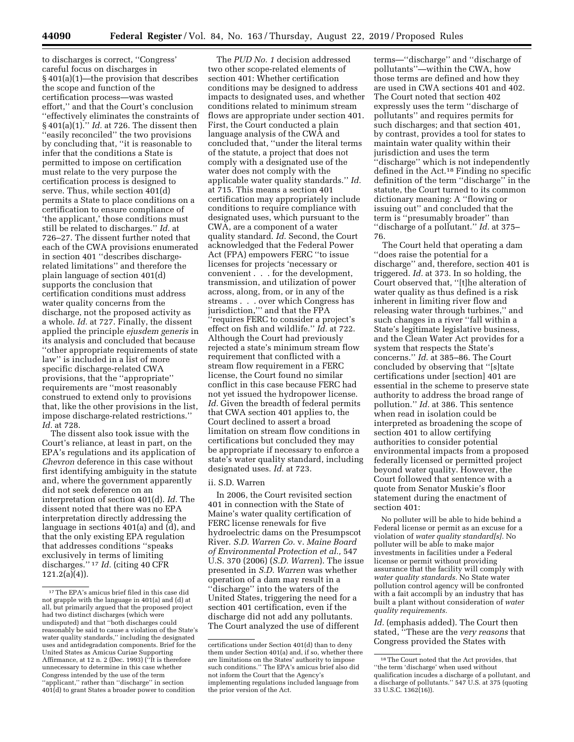to discharges is correct, ''Congress' careful focus on discharges in § 401(a)(1)—the provision that describes the scope and function of the certification process—was wasted effort,'' and that the Court's conclusion ''effectively eliminates the constraints of § 401(a)(1).'' *Id.* at 726. The dissent then ''easily reconciled'' the two provisions by concluding that, ''it is reasonable to infer that the conditions a State is permitted to impose on certification must relate to the very purpose the certification process is designed to serve. Thus, while section 401(d) permits a State to place conditions on a certification to ensure compliance of 'the applicant,' those conditions must still be related to discharges.'' *Id.* at 726–27. The dissent further noted that each of the CWA provisions enumerated in section 401 ''describes dischargerelated limitations'' and therefore the plain language of section 401(d) supports the conclusion that certification conditions must address water quality concerns from the discharge, not the proposed activity as a whole. *Id.* at 727. Finally, the dissent applied the principle *ejusdem generis* in its analysis and concluded that because ''other appropriate requirements of state law" is included in a list of more specific discharge-related CWA provisions, that the ''appropriate'' requirements are ''most reasonably construed to extend only to provisions that, like the other provisions in the list, impose discharge-related restrictions.'' *Id.* at 728.

The dissent also took issue with the Court's reliance, at least in part, on the EPA's regulations and its application of *Chevron* deference in this case without first identifying ambiguity in the statute and, where the government apparently did not seek deference on an interpretation of section 401(d). *Id.* The dissent noted that there was no EPA interpretation directly addressing the language in sections 401(a) and (d), and that the only existing EPA regulation that addresses conditions ''speaks exclusively in terms of limiting discharges.'' 17 *Id.* (citing 40 CFR  $121.2(a)(4)$ .

The *PUD No. 1* decision addressed two other scope-related elements of section 401: Whether certification conditions may be designed to address impacts to designated uses, and whether conditions related to minimum stream flows are appropriate under section 401. First, the Court conducted a plain language analysis of the CWA and concluded that, ''under the literal terms of the statute, a project that does not comply with a designated use of the water does not comply with the applicable water quality standards.'' *Id.*  at 715. This means a section 401 certification may appropriately include conditions to require compliance with designated uses, which pursuant to the CWA, are a component of a water quality standard. *Id.* Second, the Court acknowledged that the Federal Power Act (FPA) empowers FERC ''to issue licenses for projects 'necessary or convenient . . . for the development, transmission, and utilization of power across, along, from, or in any of the streams . . . over which Congress has jurisdiction,''' and that the FPA ''requires FERC to consider a project's effect on fish and wildlife.'' *Id.* at 722. Although the Court had previously rejected a state's minimum stream flow requirement that conflicted with a stream flow requirement in a FERC license, the Court found no similar conflict in this case because FERC had not yet issued the hydropower license. *Id.* Given the breadth of federal permits that CWA section 401 applies to, the Court declined to assert a broad limitation on stream flow conditions in certifications but concluded they may be appropriate if necessary to enforce a state's water quality standard, including designated uses. *Id.* at 723.

### ii. S.D. Warren

In 2006, the Court revisited section 401 in connection with the State of Maine's water quality certification of FERC license renewals for five hydroelectric dams on the Presumpscot River. *S.D. Warren Co.* v. *Maine Board of Environmental Protection et al.,* 547 U.S. 370 (2006) (*S.D. Warren*). The issue presented in *S.D. Warren* was whether operation of a dam may result in a ''discharge'' into the waters of the United States, triggering the need for a section 401 certification, even if the discharge did not add any pollutants. The Court analyzed the use of different

terms—''discharge'' and ''discharge of pollutants''—within the CWA, how those terms are defined and how they are used in CWA sections 401 and 402. The Court noted that section 402 expressly uses the term ''discharge of pollutants'' and requires permits for such discharges; and that section 401, by contrast, provides a tool for states to maintain water quality within their jurisdiction and uses the term ''discharge'' which is not independently defined in the Act.18 Finding no specific definition of the term ''discharge'' in the statute, the Court turned to its common dictionary meaning: A ''flowing or issuing out'' and concluded that the term is ''presumably broader'' than ''discharge of a pollutant.'' *Id.* at 375– 76.

The Court held that operating a dam ''does raise the potential for a discharge'' and, therefore, section 401 is triggered. *Id.* at 373. In so holding, the Court observed that, ''[t]he alteration of water quality as thus defined is a risk inherent in limiting river flow and releasing water through turbines,'' and such changes in a river ''fall within a State's legitimate legislative business, and the Clean Water Act provides for a system that respects the State's concerns.'' *Id.* at 385–86. The Court concluded by observing that ''[s]tate certifications under [section] 401 are essential in the scheme to preserve state authority to address the broad range of pollution.'' *Id.* at 386. This sentence when read in isolation could be interpreted as broadening the scope of section 401 to allow certifying authorities to consider potential environmental impacts from a proposed federally licensed or permitted project beyond water quality. However, the Court followed that sentence with a quote from Senator Muskie's floor statement during the enactment of section 401:

No polluter will be able to hide behind a Federal license or permit as an excuse for a violation of *water quality standard[s].* No polluter will be able to make major investments in facilities under a Federal license or permit without providing assurance that the facility will comply with *water quality standards.* No State water pollution control agency will be confronted with a fait accompli by an industry that has built a plant without consideration of *water quality requirements.* 

Id. (emphasis added). The Court then stated, ''These are the *very reasons* that Congress provided the States with

 $^{\rm 17}\rm{The}$  EPA's amicus brief filed in this case did not grapple with the language in 401(a) and (d) at all, but primarily argued that the proposed project had two distinct discharges (which were undisputed) and that ''both discharges could reasonably be said to cause a violation of the State's water quality standards,'' including the designated uses and antidegradation components. Brief for the United States as Amicus Curiae Supporting Affirmance, at 12 n. 2 (Dec. 1993) (''It is therefore unnecessary to determine in this case whether Congress intended by the use of the term ''applicant,'' rather than ''discharge'' in section 401(d) to grant States a broader power to condition

certifications under Section 401(d) than to deny them under Section 401(a) and, if so, whether there are limitations on the States' authority to impose such conditions.'' The EPA's amicus brief also did not inform the Court that the Agency's implementing regulations included language from the prior version of the Act.

<sup>18</sup>The Court noted that the Act provides, that ''the term 'discharge' when used without qualification incudes a discharge of a pollutant, and a discharge of pollutants.'' 547 U.S. at 375 (quoting 33 U.S.C. 1362(16)).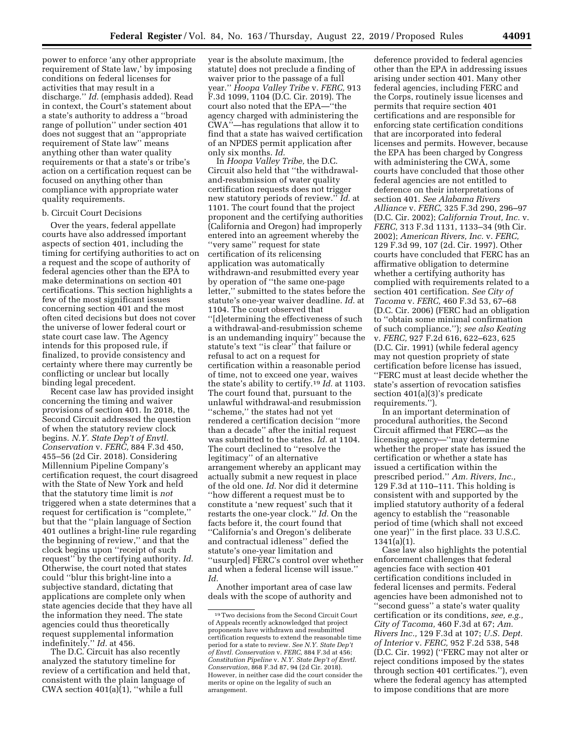power to enforce 'any other appropriate requirement of State law,' by imposing conditions on federal licenses for activities that may result in a discharge.'' *Id.* (emphasis added). Read in context, the Court's statement about a state's authority to address a ''broad range of pollution'' under section 401 does not suggest that an ''appropriate requirement of State law'' means anything other than water quality requirements or that a state's or tribe's action on a certification request can be focused on anything other than compliance with appropriate water quality requirements.

### b. Circuit Court Decisions

Over the years, federal appellate courts have also addressed important aspects of section 401, including the timing for certifying authorities to act on a request and the scope of authority of federal agencies other than the EPA to make determinations on section 401 certifications. This section highlights a few of the most significant issues concerning section 401 and the most often cited decisions but does not cover the universe of lower federal court or state court case law. The Agency intends for this proposed rule, if finalized, to provide consistency and certainty where there may currently be conflicting or unclear but locally binding legal precedent.

Recent case law has provided insight concerning the timing and waiver provisions of section 401. In 2018, the Second Circuit addressed the question of when the statutory review clock begins. *N.Y. State Dep't of Envtl. Conservation* v. *FERC,* 884 F.3d 450, 455–56 (2d Cir. 2018). Considering Millennium Pipeline Company's certification request, the court disagreed with the State of New York and held that the statutory time limit is *not*  triggered when a state determines that a request for certification is ''complete,'' but that the ''plain language of Section 401 outlines a bright-line rule regarding the beginning of review,'' and that the clock begins upon ''receipt of such request'' by the certifying authority. *Id.*  Otherwise, the court noted that states could ''blur this bright-line into a subjective standard, dictating that applications are complete only when state agencies decide that they have all the information they need. The state agencies could thus theoretically request supplemental information indefinitely.'' *Id.* at 456.

The D.C. Circuit has also recently analyzed the statutory timeline for review of a certification and held that, consistent with the plain language of CWA section 401(a)(1), ''while a full

year is the absolute maximum, [the statute] does not preclude a finding of waiver prior to the passage of a full year.'' *Hoopa Valley Tribe* v. *FERC,* 913 F.3d 1099, 1104 (D.C. Cir. 2019). The court also noted that the EPA—''the agency charged with administering the CWA''—has regulations that allow it to find that a state has waived certification of an NPDES permit application after only six months. *Id.* 

In *Hoopa Valley Tribe,* the D.C. Circuit also held that ''the withdrawaland-resubmission of water quality certification requests does not trigger new statutory periods of review.'' *Id.* at 1101. The court found that the project proponent and the certifying authorities (California and Oregon) had improperly entered into an agreement whereby the ''very same'' request for state certification of its relicensing application was automatically withdrawn-and resubmitted every year by operation of ''the same one-page letter,'' submitted to the states before the statute's one-year waiver deadline. *Id.* at 1104. The court observed that ''[d]etermining the effectiveness of such a withdrawal-and-resubmission scheme is an undemanding inquiry'' because the statute's text ''is clear'' that failure or refusal to act on a request for certification within a reasonable period of time, not to exceed one year, waives the state's ability to certify.19 *Id.* at 1103. The court found that, pursuant to the unlawful withdrawal-and resubmission ''scheme,'' the states had not yet rendered a certification decision ''more than a decade'' after the initial request was submitted to the states. *Id.* at 1104. The court declined to ''resolve the legitimacy'' of an alternative arrangement whereby an applicant may actually submit a new request in place of the old one. *Id.* Nor did it determine ''how different a request must be to constitute a 'new request' such that it restarts the one-year clock.'' *Id.* On the facts before it, the court found that ''California's and Oregon's deliberate and contractual idleness'' defied the statute's one-year limitation and ''usurp[ed] FERC's control over whether and when a federal license will issue.'' *Id.* 

Another important area of case law deals with the scope of authority and

deference provided to federal agencies other than the EPA in addressing issues arising under section 401. Many other federal agencies, including FERC and the Corps, routinely issue licenses and permits that require section 401 certifications and are responsible for enforcing state certification conditions that are incorporated into federal licenses and permits. However, because the EPA has been charged by Congress with administering the CWA, some courts have concluded that those other federal agencies are not entitled to deference on their interpretations of section 401. *See Alabama Rivers Alliance* v. *FERC,* 325 F.3d 290, 296–97 (D.C. Cir. 2002); *California Trout, Inc.* v. *FERC,* 313 F.3d 1131, 1133–34 (9th Cir. 2002); *American Rivers, Inc.* v. *FERC,*  129 F.3d 99, 107 (2d. Cir. 1997). Other courts have concluded that FERC has an affirmative obligation to determine whether a certifying authority has complied with requirements related to a section 401 certification. *See City of Tacoma* v. *FERC,* 460 F.3d 53, 67–68 (D.C. Cir. 2006) (FERC had an obligation to ''obtain some minimal confirmation of such compliance.''); *see also Keating*  v. *FERC,* 927 F.2d 616, 622–623, 625 (D.C. Cir. 1991) (while federal agency may not question propriety of state certification before license has issued, ''FERC must at least decide whether the state's assertion of revocation satisfies section 401(a)(3)'s predicate requirements.'').

In an important determination of procedural authorities, the Second Circuit affirmed that FERC—as the licensing agency—''may determine whether the proper state has issued the certification or whether a state has issued a certification within the prescribed period.'' *Am. Rivers, Inc.,*  129 F.3d at 110–111. This holding is consistent with and supported by the implied statutory authority of a federal agency to establish the ''reasonable period of time (which shall not exceed one year)'' in the first place. 33 U.S.C. 1341(a)(1).

Case law also highlights the potential enforcement challenges that federal agencies face with section 401 certification conditions included in federal licenses and permits. Federal agencies have been admonished not to ''second guess'' a state's water quality certification or its conditions, *see, e.g., City of Tacoma,* 460 F.3d at 67; *Am. Rivers Inc.,* 129 F.3d at 107; *U.S. Dept. of Interior* v. *FERC,* 952 F.2d 538, 548 (D.C. Cir. 1992) (''FERC may not alter or reject conditions imposed by the states through section 401 certificates.''), even where the federal agency has attempted to impose conditions that are more

<sup>19</sup>Two decisions from the Second Circuit Court of Appeals recently acknowledged that project proponents have withdrawn and resubmitted certification requests to extend the reasonable time period for a state to review. *See N.Y. State Dep't of Envtl. Conservation* v. *FERC,* 884 F.3d at 456; *Constitution Pipeline* v. *N.Y. State Dep't of Envtl. Conservation,* 868 F.3d 87, 94 (2d Cir. 2018). However, in neither case did the court consider the merits or opine on the legality of such an arrangement.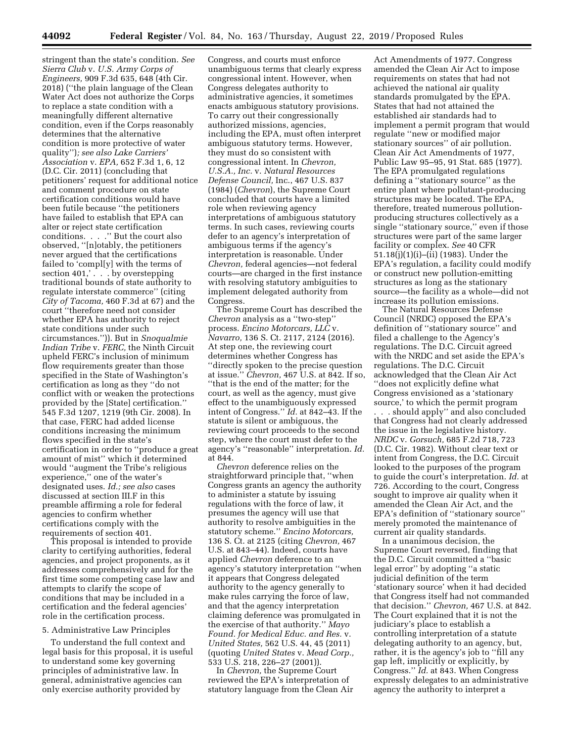stringent than the state's condition. *See Sierra Club* v. *U.S. Army Corps of Engineers,* 909 F.3d 635, 648 (4th Cir. 2018) (''the plain language of the Clean Water Act does not authorize the Corps to replace a state condition with a meaningfully different alternative condition, even if the Corps reasonably determines that the alternative condition is more protective of water quality'')*; see also Lake Carriers' Association* v. *EPA,* 652 F.3d 1, 6, 12 (D.C. Cir. 2011) (concluding that petitioners' request for additional notice and comment procedure on state certification conditions would have been futile because ''the petitioners have failed to establish that EPA can alter or reject state certification conditions. . . .'' But the court also observed, ''[n]otably, the petitioners never argued that the certifications failed to 'compl[y] with the terms of section 401,' . . . by overstepping traditional bounds of state authority to regulate interstate commerce'' (citing *City of Tacoma,* 460 F.3d at 67) and the court ''therefore need not consider whether EPA has authority to reject state conditions under such circumstances.'')). But in *Snoqualmie Indian Tribe* v. *FERC,* the Ninth Circuit upheld FERC's inclusion of minimum flow requirements greater than those specified in the State of Washington's certification as long as they ''do not conflict with or weaken the protections provided by the [State] certification.'' 545 F.3d 1207, 1219 (9th Cir. 2008). In that case, FERC had added license conditions increasing the minimum flows specified in the state's certification in order to ''produce a great amount of mist'' which it determined would ''augment the Tribe's religious experience,'' one of the water's designated uses. *Id.; see also* cases discussed at section III.F in this preamble affirming a role for federal agencies to confirm whether certifications comply with the requirements of section 401.

This proposal is intended to provide clarity to certifying authorities, federal agencies, and project proponents, as it addresses comprehensively and for the first time some competing case law and attempts to clarify the scope of conditions that may be included in a certification and the federal agencies' role in the certification process.

#### 5. Administrative Law Principles

To understand the full context and legal basis for this proposal, it is useful to understand some key governing principles of administrative law. In general, administrative agencies can only exercise authority provided by

Congress, and courts must enforce unambiguous terms that clearly express congressional intent. However, when Congress delegates authority to administrative agencies, it sometimes enacts ambiguous statutory provisions. To carry out their congressionally authorized missions, agencies, including the EPA, must often interpret ambiguous statutory terms. However, they must do so consistent with congressional intent. In *Chevron, U.S.A., Inc.* v. *Natural Resources Defense Council,* Inc., 467 U.S. 837 (1984) (*Chevron*), the Supreme Court concluded that courts have a limited role when reviewing agency interpretations of ambiguous statutory terms. In such cases, reviewing courts defer to an agency's interpretation of ambiguous terms if the agency's interpretation is reasonable. Under *Chevron,* federal agencies—not federal courts—are charged in the first instance with resolving statutory ambiguities to implement delegated authority from Congress.

The Supreme Court has described the *Chevron* analysis as a ''two-step'' process. *Encino Motorcars, LLC* v. *Navarro,* 136 S. Ct. 2117, 2124 (2016). At step one, the reviewing court determines whether Congress has ''directly spoken to the precise question at issue.'' *Chevron,* 467 U.S. at 842. If so, ''that is the end of the matter; for the court, as well as the agency, must give effect to the unambiguously expressed intent of Congress.'' *Id.* at 842–43. If the statute is silent or ambiguous, the reviewing court proceeds to the second step, where the court must defer to the agency's ''reasonable'' interpretation. *Id.*  at 844.

*Chevron* deference relies on the straightforward principle that, ''when Congress grants an agency the authority to administer a statute by issuing regulations with the force of law, it presumes the agency will use that authority to resolve ambiguities in the statutory scheme.'' *Encino Motorcars,*  136 S. Ct. at 2125 (citing *Chevron,* 467 U.S. at 843–44). Indeed, courts have applied *Chevron* deference to an agency's statutory interpretation ''when it appears that Congress delegated authority to the agency generally to make rules carrying the force of law, and that the agency interpretation claiming deference was promulgated in the exercise of that authority.'' *Mayo Found. for Medical Educ. and Res.* v. *United States,* 562 U.S. 44, 45 (2011) (quoting *United States* v. *Mead Corp.,*  533 U.S. 218, 226–27 (2001)).

In *Chevron,* the Supreme Court reviewed the EPA's interpretation of statutory language from the Clean Air

Act Amendments of 1977. Congress amended the Clean Air Act to impose requirements on states that had not achieved the national air quality standards promulgated by the EPA. States that had not attained the established air standards had to implement a permit program that would regulate ''new or modified major stationary sources'' of air pollution. Clean Air Act Amendments of 1977, Public Law 95–95, 91 Stat. 685 (1977). The EPA promulgated regulations defining a ''stationary source'' as the entire plant where pollutant-producing structures may be located. The EPA, therefore, treated numerous pollutionproducing structures collectively as a single ''stationary source,'' even if those structures were part of the same larger facility or complex. *See* 40 CFR 51.18(j)(1)(i)–(ii) (1983). Under the EPA's regulation, a facility could modify or construct new pollution-emitting structures as long as the stationary source—the facility as a whole—did not increase its pollution emissions.

The Natural Resources Defense Council (NRDC) opposed the EPA's definition of ''stationary source'' and filed a challenge to the Agency's regulations. The D.C. Circuit agreed with the NRDC and set aside the EPA's regulations. The D.C. Circuit acknowledged that the Clean Air Act ''does not explicitly define what Congress envisioned as a 'stationary source,' to which the permit program . . . should apply'' and also concluded that Congress had not clearly addressed the issue in the legislative history. *NRDC* v. *Gorsuch,* 685 F.2d 718, 723 (D.C. Cir. 1982). Without clear text or intent from Congress, the D.C. Circuit looked to the purposes of the program to guide the court's interpretation. *Id.* at 726. According to the court, Congress sought to improve air quality when it amended the Clean Air Act, and the EPA's definition of ''stationary source'' merely promoted the maintenance of current air quality standards.

In a unanimous decision, the Supreme Court reversed, finding that the D.C. Circuit committed a ''basic legal error'' by adopting ''a static judicial definition of the term 'stationary source' when it had decided that Congress itself had not commanded that decision.'' *Chevron,* 467 U.S. at 842. The Court explained that it is not the judiciary's place to establish a controlling interpretation of a statute delegating authority to an agency, but, rather, it is the agency's job to ''fill any gap left, implicitly or explicitly, by Congress.'' *Id.* at 843. When Congress expressly delegates to an administrative agency the authority to interpret a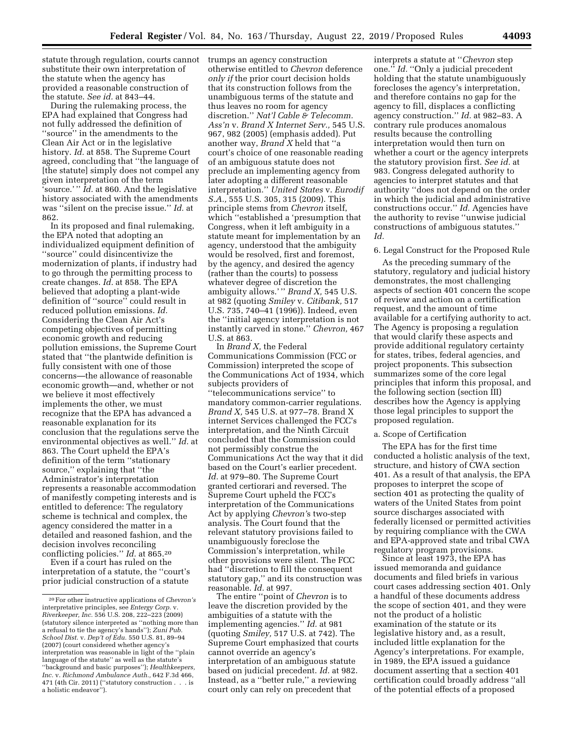statute through regulation, courts cannot substitute their own interpretation of the statute when the agency has provided a reasonable construction of the statute. *See id.* at 843–44.

During the rulemaking process, the EPA had explained that Congress had not fully addressed the definition of ''source'' in the amendments to the Clean Air Act or in the legislative history. *Id.* at 858. The Supreme Court agreed, concluding that ''the language of [the statute] simply does not compel any given interpretation of the term 'source.' '' *Id.* at 860. And the legislative history associated with the amendments was ''silent on the precise issue.'' *Id.* at 862.

In its proposed and final rulemaking, the EPA noted that adopting an individualized equipment definition of ''source'' could disincentivize the modernization of plants, if industry had to go through the permitting process to create changes. *Id.* at 858. The EPA believed that adopting a plant-wide definition of ''source'' could result in reduced pollution emissions. *Id.*  Considering the Clean Air Act's competing objectives of permitting economic growth and reducing pollution emissions, the Supreme Court stated that ''the plantwide definition is fully consistent with one of those concerns—the allowance of reasonable economic growth—and, whether or not we believe it most effectively implements the other, we must recognize that the EPA has advanced a reasonable explanation for its conclusion that the regulations serve the environmental objectives as well.'' *Id.* at 863. The Court upheld the EPA's definition of the term ''stationary source,'' explaining that ''the Administrator's interpretation represents a reasonable accommodation of manifestly competing interests and is entitled to deference: The regulatory scheme is technical and complex, the agency considered the matter in a detailed and reasoned fashion, and the decision involves reconciling conflicting policies.'' *Id.* at 865.20

Even if a court has ruled on the interpretation of a statute, the ''court's prior judicial construction of a statute

trumps an agency construction otherwise entitled to *Chevron* deference *only if* the prior court decision holds that its construction follows from the unambiguous terms of the statute and thus leaves no room for agency discretion.'' *Nat'l Cable & Telecomm. Ass'n* v. *Brand X Internet Serv.,* 545 U.S. 967, 982 (2005) (emphasis added). Put another way, *Brand X* held that ''a court's choice of one reasonable reading of an ambiguous statute does not preclude an implementing agency from later adopting a different reasonable interpretation.'' *United States* v. *Eurodif S.A.,* 555 U.S. 305, 315 (2009). This principle stems from *Chevron* itself, which ''established a 'presumption that Congress, when it left ambiguity in a statute meant for implementation by an agency, understood that the ambiguity would be resolved, first and foremost, by the agency, and desired the agency (rather than the courts) to possess whatever degree of discretion the ambiguity allows.' '' *Brand X,* 545 U.S. at 982 (quoting *Smiley* v. *Citibank,* 517 U.S. 735, 740–41 (1996)). Indeed, even the ''initial agency interpretation is not instantly carved in stone.'' *Chevron,* 467 U.S. at 863.

In *Brand X,* the Federal Communications Commission (FCC or Commission) interpreted the scope of the Communications Act of 1934, which subjects providers of ''telecommunications service'' to mandatory common-carrier regulations. *Brand X,* 545 U.S. at 977–78. Brand X internet Services challenged the FCC's interpretation, and the Ninth Circuit concluded that the Commission could not permissibly construe the Communications Act the way that it did based on the Court's earlier precedent. *Id.* at 979–80. The Supreme Court granted certiorari and reversed. The Supreme Court upheld the FCC's interpretation of the Communications Act by applying *Chevron'*s two-step analysis. The Court found that the relevant statutory provisions failed to unambiguously foreclose the Commission's interpretation, while other provisions were silent. The FCC had ''discretion to fill the consequent statutory gap,'' and its construction was reasonable. *Id.* at 997.

The entire ''point of *Chevron* is to leave the discretion provided by the ambiguities of a statute with the implementing agencies.'' *Id.* at 981 (quoting *Smiley,* 517 U.S. at 742). The Supreme Court emphasized that courts cannot override an agency's interpretation of an ambiguous statute based on judicial precedent. *Id.* at 982. Instead, as a ''better rule,'' a reviewing court only can rely on precedent that

interprets a statute at ''*Chevron* step one.'' *Id.* ''Only a judicial precedent holding that the statute unambiguously forecloses the agency's interpretation, and therefore contains no gap for the agency to fill, displaces a conflicting agency construction.'' *Id.* at 982–83. A contrary rule produces anomalous results because the controlling interpretation would then turn on whether a court or the agency interprets the statutory provision first. *See id.* at 983. Congress delegated authority to agencies to interpret statutes and that authority ''does not depend on the order in which the judicial and administrative constructions occur.'' *Id.* Agencies have the authority to revise ''unwise judicial constructions of ambiguous statutes.'' *Id.* 

## 6. Legal Construct for the Proposed Rule

As the preceding summary of the statutory, regulatory and judicial history demonstrates, the most challenging aspects of section 401 concern the scope of review and action on a certification request, and the amount of time available for a certifying authority to act. The Agency is proposing a regulation that would clarify these aspects and provide additional regulatory certainty for states, tribes, federal agencies, and project proponents. This subsection summarizes some of the core legal principles that inform this proposal, and the following section (section III) describes how the Agency is applying those legal principles to support the proposed regulation.

#### a. Scope of Certification

The EPA has for the first time conducted a holistic analysis of the text, structure, and history of CWA section 401. As a result of that analysis, the EPA proposes to interpret the scope of section 401 as protecting the quality of waters of the United States from point source discharges associated with federally licensed or permitted activities by requiring compliance with the CWA and EPA-approved state and tribal CWA regulatory program provisions.

Since at least 1973, the EPA has issued memoranda and guidance documents and filed briefs in various court cases addressing section 401. Only a handful of these documents address the scope of section 401, and they were not the product of a holistic examination of the statute or its legislative history and, as a result, included little explanation for the Agency's interpretations. For example, in 1989, the EPA issued a guidance document asserting that a section 401 certification could broadly address ''all of the potential effects of a proposed

<sup>20</sup>For other instructive applications of *Chevron's*  interpretative principles, see *Entergy Corp.* v. *Riverkeeper, Inc.* 556 U.S. 208, 222–223 (2009) (statutory silence interpreted as ''nothing more than a refusal to tie the agency's hands''); *Zuni Pub. School Dist.* v. *Dep't of Edu.* 550 U.S. 81, 89–94 (2007) (court considered whether agency's interpretation was reasonable in light of the ''plain language of the statute" as well as the statute's ''background and basic purposes''); *Healthkeepers, Inc.* v. *Richmond Ambulance Auth.,* 642 F.3d 466, 471 (4th Cir. 2011) (''statutory construction . . . is a holistic endeavor'').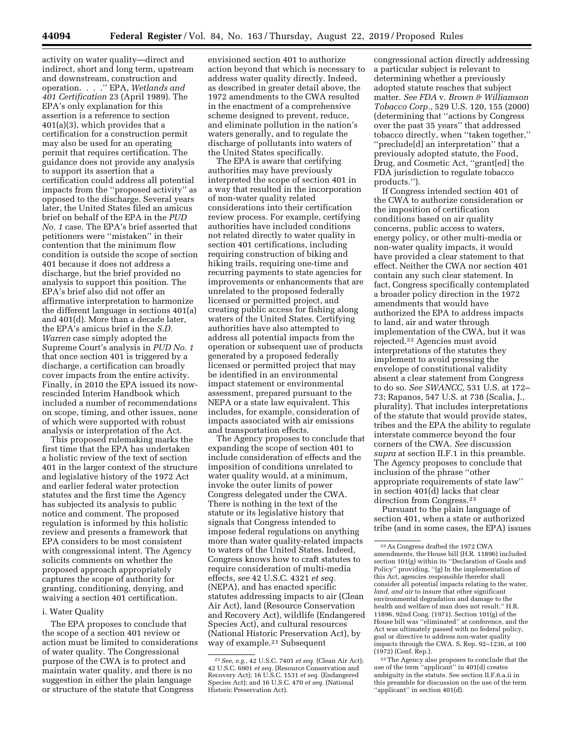activity on water quality—direct and indirect, short and long term, upstream and downstream, construction and operation. . . .'' EPA, *Wetlands and 401 Certification* 23 (April 1989). The EPA's only explanation for this assertion is a reference to section 401(a)(3), which provides that a certification for a construction permit may also be used for an operating permit that requires certification. The guidance does not provide any analysis to support its assertion that a certification could address all potential impacts from the ''proposed activity'' as opposed to the discharge. Several years later, the United States filed an amicus brief on behalf of the EPA in the *PUD No. 1* case. The EPA's brief asserted that petitioners were ''mistaken'' in their contention that the minimum flow condition is outside the scope of section 401 because it does not address a discharge, but the brief provided no analysis to support this position. The EPA's brief also did not offer an affirmative interpretation to harmonize the different language in sections 401(a) and 401(d). More than a decade later, the EPA's amicus brief in the *S.D. Warren* case simply adopted the Supreme Court's analysis in *PUD No. 1*  that once section 401 is triggered by a discharge, a certification can broadly cover impacts from the entire activity. Finally, in 2010 the EPA issued its nowrescinded Interim Handbook which included a number of recommendations on scope, timing, and other issues, none of which were supported with robust analysis or interpretation of the Act.

This proposed rulemaking marks the first time that the EPA has undertaken a holistic review of the text of section 401 in the larger context of the structure and legislative history of the 1972 Act and earlier federal water protection statutes and the first time the Agency has subjected its analysis to public notice and comment. The proposed regulation is informed by this holistic review and presents a framework that EPA considers to be most consistent with congressional intent. The Agency solicits comments on whether the proposed approach appropriately captures the scope of authority for granting, conditioning, denying, and waiving a section 401 certification.

### i. Water Quality

The EPA proposes to conclude that the scope of a section 401 review or action must be limited to considerations of water quality. The Congressional purpose of the CWA is to protect and maintain water quality, and there is no suggestion in either the plain language or structure of the statute that Congress

envisioned section 401 to authorize action beyond that which is necessary to address water quality directly. Indeed, as described in greater detail above, the 1972 amendments to the CWA resulted in the enactment of a comprehensive scheme designed to prevent, reduce, and eliminate pollution in the nation's waters generally, and to regulate the discharge of pollutants into waters of the United States specifically.

The EPA is aware that certifying authorities may have previously interpreted the scope of section 401 in a way that resulted in the incorporation of non-water quality related considerations into their certification review process. For example, certifying authorities have included conditions not related directly to water quality in section 401 certifications, including requiring construction of biking and hiking trails, requiring one-time and recurring payments to state agencies for improvements or enhancements that are unrelated to the proposed federally licensed or permitted project, and creating public access for fishing along waters of the United States. Certifying authorities have also attempted to address all potential impacts from the operation or subsequent use of products generated by a proposed federally licensed or permitted project that may be identified in an environmental impact statement or environmental assessment, prepared pursuant to the NEPA or a state law equivalent. This includes, for example, consideration of impacts associated with air emissions and transportation effects.

The Agency proposes to conclude that expanding the scope of section 401 to include consideration of effects and the imposition of conditions unrelated to water quality would, at a minimum, invoke the outer limits of power Congress delegated under the CWA. There is nothing in the text of the statute or its legislative history that signals that Congress intended to impose federal regulations on anything more than water quality-related impacts to waters of the United States. Indeed, Congress knows how to craft statutes to require consideration of multi-media effects, *see* 42 U.S.C. 4321 *et seq.*  (NEPA), and has enacted specific statutes addressing impacts to air (Clean Air Act), land (Resource Conservation and Recovery Act), wildlife (Endangered Species Act), and cultural resources (National Historic Preservation Act), by way of example.21 Subsequent

congressional action directly addressing a particular subject is relevant to determining whether a previously adopted statute reaches that subject matter. *See FDA* v. *Brown & Williamson Tobacco Corp.,* 529 U.S. 120, 155 (2000) (determining that ''actions by Congress over the past 35 years'' that addressed tobacco directly, when ''taken together,'' ''preclude[d] an interpretation'' that a previously adopted statute, the Food, Drug, and Cosmetic Act, ''grant[ed] the FDA jurisdiction to regulate tobacco products.'').

If Congress intended section 401 of the CWA to authorize consideration or the imposition of certification conditions based on air quality concerns, public access to waters, energy policy, or other multi-media or non-water quality impacts, it would have provided a clear statement to that effect. Neither the CWA nor section 401 contain any such clear statement. In fact, Congress specifically contemplated a broader policy direction in the 1972 amendments that would have authorized the EPA to address impacts to land, air and water through implementation of the CWA, but it was rejected.22 Agencies must avoid interpretations of the statutes they implement to avoid pressing the envelope of constitutional validity absent a clear statement from Congress to do so. *See SWANCC,* 531 U.S. at 172– 73; Rapanos, 547 U.S. at 738 (Scalia, J., plurality). That includes interpretations of the statute that would provide states, tribes and the EPA the ability to regulate interstate commerce beyond the four corners of the CWA. *See* discussion *supra* at section II.F.1 in this preamble. The Agency proposes to conclude that inclusion of the phrase ''other appropriate requirements of state law'' in section 401(d) lacks that clear direction from Congress.23

Pursuant to the plain language of section 401, when a state or authorized tribe (and in some cases, the EPA) issues

23The Agency also proposes to conclude that the use of the term ''applicant'' in 401(d) creates ambiguity in the statute. See section II.F.6.a.ii in this preamble for discussion on the use of the term "applicant" in section 401(d).

<sup>21</sup>*See, e.g.,* 42 U.S.C. 7401 *et seq.* (Clean Air Act); 42 U.S.C. 6901 *et seq.* (Resource Conservation and Recovery Act); 16 U.S.C. 1531 *et seq.* (Endangered Species Act); and 16 U.S.C. 470 *et seq.* (National Historic Preservation Act).

<sup>22</sup>As Congress drafted the 1972 CWA amendments, the House bill (H.R. 11896) included section 101(g) within its ''Declaration of Goals and Policy'' providing, ''(g) In the implementation of this Act, agencies responsible therefor shall consider all potential impacts relating to the water, *land, and air* to insure that other significant environmental degradation and damage to the health and welfare of man does not result.'' H.R. 11896, 92nd Cong. (1971). Section 101(g) of the House bill was ''eliminated'' at conference, and the Act was ultimately passed with no federal policy, goal or directive to address non-water quality impacts through the CWA. S. Rep. 92–1236, at 100 (1972) (Conf. Rep.).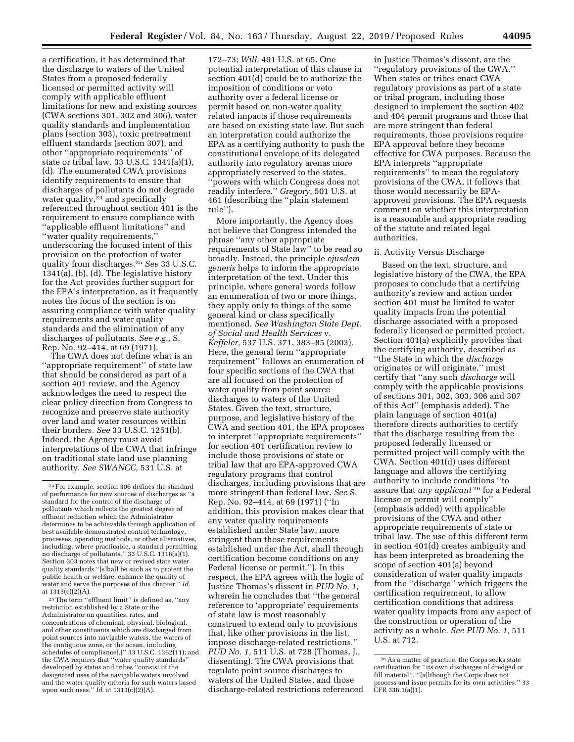a certification, it has determined that the discharge to waters of the United States from a proposed federally licensed or permitted activity will comply with applicable effluent limitations for new and existing sources (CWA sections 301, 302 and 306), water quality standards and implementation plans (section 303), toxic pretreatment effluent standards (section 307), and other ''appropriate requirements'' of state or tribal law. 33 U.S.C. 1341(a)(1), (d). The enumerated CWA provisions identify requirements to ensure that discharges of pollutants do not degrade water quality,<sup>24</sup> and specifically referenced throughout section 401 is the requirement to ensure compliance with ''applicable effluent limitations'' and ''water quality requirements,'' underscoring the focused intent of this provision on the protection of water quality from discharges.25 *See* 33 U.S.C. 1341(a), (b), (d). The legislative history for the Act provides further support for the EPA's interpretation, as it frequently notes the focus of the section is on assuring compliance with water quality requirements and water quality standards and the elimination of any discharges of pollutants. *See e.g.,* S. Rep. No. 92–414, at 69 (1971).

The CWA does not define what is an ''appropriate requirement'' of state law that should be considered as part of a section 401 review, and the Agency acknowledges the need to respect the clear policy direction from Congress to recognize and preserve state authority over land and water resources within their borders. *See* 33 U.S.C. 1251(b). Indeed, the Agency must avoid interpretations of the CWA that infringe on traditional state land use planning authority. *See SWANCC,* 531 U.S. at

25The term ''effluent limit'' is defined as, ''any restriction established by a State or the Administrator on quantities, rates, and concentrations of chemical, physical, biological, and other constituents which are discharged from point sources into navigable waters, the waters of the contiguous zone, or the ocean, including schedules of compliance[,]'' 33 U.S.C. 1362(11); and the CWA requires that ''water quality standards'' developed by states and tribes ''consist of the designated uses of the navigable waters involved and the water quality criteria for such waters based upon such uses.'' *Id.* at 1313(c)(2)(A).

172–73; *Will,* 491 U.S. at 65. One potential interpretation of this clause in section 401(d) could be to authorize the imposition of conditions or veto authority over a federal license or permit based on non-water quality related impacts if those requirements are based on existing state law. But such an interpretation could authorize the EPA as a certifying authority to push the constitutional envelope of its delegated authority into regulatory arenas more appropriately reserved to the states, ''powers with which Congress does not readily interfere.'' *Gregory,* 501 U.S. at 461 (describing the ''plain statement rule'').

More importantly, the Agency does not believe that Congress intended the phrase ''any other appropriate requirements of State law'' to be read so broadly. Instead, the principle *ejusdem generis* helps to inform the appropriate interpretation of the text. Under this principle, where general words follow an enumeration of two or more things, they apply only to things of the same general kind or class specifically mentioned. *See Washington State Dept. of Social and Health Services* v. *Keffeler,* 537 U.S. 371, 383–85 (2003). Here, the general term ''appropriate requirement'' follows an enumeration of four specific sections of the CWA that are all focused on the protection of water quality from point source discharges to waters of the United States. Given the text, structure, purpose, and legislative history of the CWA and section 401, the EPA proposes to interpret ''appropriate requirements'' for section 401 certification review to include those provisions of state or tribal law that are EPA-approved CWA regulatory programs that control discharges, including provisions that are more stringent than federal law. *See* S. Rep. No. 92–414, at 69 (1971) (''In addition, this provision makes clear that any water quality requirements established under State law, more stringent than those requirements established under the Act, shall through certification become conditions on any Federal license or permit.''). In this respect, the EPA agrees with the logic of Justice Thomas's dissent in *PUD No. 1,*  wherein he concludes that ''the general reference to 'appropriate' requirements of state law is most reasonably construed to extend only to provisions that, like other provisions in the list, impose discharge-related restrictions.'' *PUD No. 1,* 511 U.S. at 728 (Thomas, J., dissenting). The CWA provisions that regulate point source discharges to waters of the United States, and those discharge-related restrictions referenced

in Justice Thomas's dissent, are the ''regulatory provisions of the CWA.'' When states or tribes enact CWA regulatory provisions as part of a state or tribal program, including those designed to implement the section 402 and 404 permit programs and those that are more stringent than federal requirements, those provisions require EPA approval before they become effective for CWA purposes. Because the EPA interprets ''appropriate requirements'' to mean the regulatory provisions of the CWA, it follows that those would necessarily be EPAapproved provisions. The EPA requests comment on whether this interpretation is a reasonable and appropriate reading of the statute and related legal authorities.

## ii. Activity Versus Discharge

Based on the text, structure, and legislative history of the CWA, the EPA proposes to conclude that a certifying authority's review and action under section 401 must be limited to water quality impacts from the potential discharge associated with a proposed federally licensed or permitted project. Section 401(a) explicitly provides that the certifying authority, described as ''the State in which the *discharge*  originates or will originate,'' must certify that ''any such *discharge* will comply with the applicable provisions of sections 301, 302, 303, 306 and 307 of this Act'' (emphasis added). The plain language of section 401(a) therefore directs authorities to certify that the discharge resulting from the proposed federally licensed or permitted project will comply with the CWA. Section 401(d) uses different language and allows the certifying authority to include conditions ''to assure that *any applicant* 26 for a Federal license or permit will comply'' (emphasis added) with applicable provisions of the CWA and other appropriate requirements of state or tribal law. The use of this different term in section 401(d) creates ambiguity and has been interpreted as broadening the scope of section 401(a) beyond consideration of water quality impacts from the ''discharge'' which triggers the certification requirement, to allow certification conditions that address water quality impacts from any aspect of the construction or operation of the activity as a whole. *See PUD No. 1,* 511 U.S. at 712.

<sup>24</sup>For example, section 306 defines the standard of performance for new sources of discharges as ''a standard for the control of the discharge of pollutants which reflects the greatest degree of effluent reduction which the Administrator determines to be achievable through application of best available demonstrated control technology, processes, operating methods, or other alternatives, including, where practicable, a standard permitting no discharge of pollutants.'' 33 U.S.C. 1316(a)(1). Section 303 notes that new or revised state water quality standards ''[s]hall be such as to protect the public health or welfare, enhance the quality of water and serve the purposes of this chapter.'' *Id.*  at 1313(c)(2)(A).

<sup>26</sup>As a matter of practice, the Corps seeks state certification for ''its own discharges of dredged or fill material'', ''[a]lthough the Corps does not process and issue permits for its own activities.'' 33 CFR 336.1(a)(1).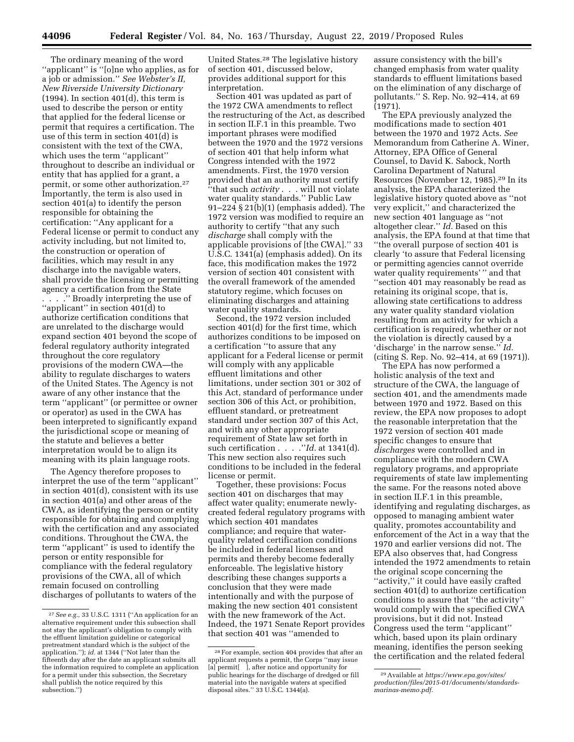The ordinary meaning of the word ''applicant'' is ''[o]ne who applies, as for a job or admission.'' *See Webster's II, New Riverside University Dictionary*   $(1994)$ . In section 401 $(d)$ , this term is used to describe the person or entity that applied for the federal license or permit that requires a certification. The use of this term in section 401(d) is consistent with the text of the CWA, which uses the term "applicant" throughout to describe an individual or entity that has applied for a grant, a permit, or some other authorization.27 Importantly, the term is also used in section 401(a) to identify the person responsible for obtaining the certification: ''Any applicant for a Federal license or permit to conduct any activity including, but not limited to, the construction or operation of facilities, which may result in any discharge into the navigable waters, shall provide the licensing or permitting agency a certification from the State . . . .'' Broadly interpreting the use of ''applicant'' in section 401(d) to authorize certification conditions that are unrelated to the discharge would expand section 401 beyond the scope of federal regulatory authority integrated throughout the core regulatory provisions of the modern CWA—the ability to regulate discharges to waters of the United States. The Agency is not aware of any other instance that the term ''applicant'' (or permittee or owner or operator) as used in the CWA has been interpreted to significantly expand the jurisdictional scope or meaning of the statute and believes a better interpretation would be to align its meaning with its plain language roots.

The Agency therefore proposes to interpret the use of the term ''applicant'' in section 401(d), consistent with its use in section 401(a) and other areas of the CWA, as identifying the person or entity responsible for obtaining and complying with the certification and any associated conditions. Throughout the CWA, the term ''applicant'' is used to identify the person or entity responsible for compliance with the federal regulatory provisions of the CWA, all of which remain focused on controlling discharges of pollutants to waters of the

United States.28 The legislative history of section 401, discussed below, provides additional support for this interpretation.

Section 401 was updated as part of the 1972 CWA amendments to reflect the restructuring of the Act, as described in section II.F.1 in this preamble. Two important phrases were modified between the 1970 and the 1972 versions of section 401 that help inform what Congress intended with the 1972 amendments. First, the 1970 version provided that an authority must certify ''that such *activity* . . . will not violate water quality standards.'' Public Law 91–224 § 21(b)(1) (emphasis added). The 1972 version was modified to require an authority to certify ''that any such *discharge* shall comply with the applicable provisions of [the CWA].'' 33 U.S.C. 1341(a) (emphasis added). On its face, this modification makes the 1972 version of section 401 consistent with the overall framework of the amended statutory regime, which focuses on eliminating discharges and attaining water quality standards.

Second, the 1972 version included section 401(d) for the first time, which authorizes conditions to be imposed on a certification ''to assure that any applicant for a Federal license or permit will comply with any applicable effluent limitations and other limitations, under section 301 or 302 of this Act, standard of performance under section 306 of this Act, or prohibition, effluent standard, or pretreatment standard under section 307 of this Act, and with any other appropriate requirement of State law set forth in such certification . . . .''*Id.* at 1341(d). This new section also requires such conditions to be included in the federal license or permit.

Together, these provisions: Focus section 401 on discharges that may affect water quality; enumerate newlycreated federal regulatory programs with which section 401 mandates compliance; and require that waterquality related certification conditions be included in federal licenses and permits and thereby become federally enforceable. The legislative history describing these changes supports a conclusion that they were made intentionally and with the purpose of making the new section 401 consistent with the new framework of the Act. Indeed, the 1971 Senate Report provides that section 401 was ''amended to

assure consistency with the bill's changed emphasis from water quality standards to effluent limitations based on the elimination of any discharge of pollutants.'' S. Rep. No. 92–414, at 69 (1971).

The EPA previously analyzed the modifications made to section 401 between the 1970 and 1972 Acts. *See*  Memorandum from Catherine A. Winer, Attorney, EPA Office of General Counsel, to David K. Sabock, North Carolina Department of Natural Resources (November 12, 1985).29 In its analysis, the EPA characterized the legislative history quoted above as ''not very explicit,'' and characterized the new section 401 language as ''not altogether clear.'' *Id.* Based on this analysis, the EPA found at that time that ''the overall purpose of section 401 is clearly 'to assure that Federal licensing or permitting agencies cannot override water quality requirements' '' and that ''section 401 may reasonably be read as retaining its original scope, that is, allowing state certifications to address any water quality standard violation resulting from an activity for which a certification is required, whether or not the violation is directly caused by a 'discharge' in the narrow sense.'' *Id.*  (citing S. Rep. No. 92–414, at 69 (1971)).

The EPA has now performed a holistic analysis of the text and structure of the CWA, the language of section 401, and the amendments made between 1970 and 1972. Based on this review, the EPA now proposes to adopt the reasonable interpretation that the 1972 version of section 401 made specific changes to ensure that *discharges* were controlled and in compliance with the modern CWA regulatory programs, and appropriate requirements of state law implementing the same. For the reasons noted above in section II.F.1 in this preamble, identifying and regulating discharges, as opposed to managing ambient water quality, promotes accountability and enforcement of the Act in a way that the 1970 and earlier versions did not. The EPA also observes that, had Congress intended the 1972 amendments to retain the original scope concerning the ''activity,'' it could have easily crafted section 401(d) to authorize certification conditions to assure that ''the activity'' would comply with the specified CWA provisions, but it did not. Instead Congress used the term ''applicant'' which, based upon its plain ordinary meaning, identifies the person seeking the certification and the related federal

<sup>27</sup>*See e.g.,* 33 U.S.C. 1311 (''An application for an alternative requirement under this subsection shall not stay the applicant's obligation to comply with the effluent limitation guideline or categorical pretreatment standard which is the subject of the application.''); *id.* at 1344 (''Not later than the fifteenth day after the date an applicant submits all the information required to complete an application for a permit under this subsection, the Secretary shall publish the notice required by this subsection.'')

<sup>28</sup>For example, section 404 provides that after an applicant requests a permit, the Corps ''may issue [a] permit[ ], after notice and opportunity for public hearings for the discharge of dredged or fill material into the navigable waters at specified disposal sites.'' 33 U.S.C. 1344(a).

<sup>29</sup>Available at *https://www.epa.gov/sites/ production/files/2015-01/documents/standardsmarinas-memo.pdf*.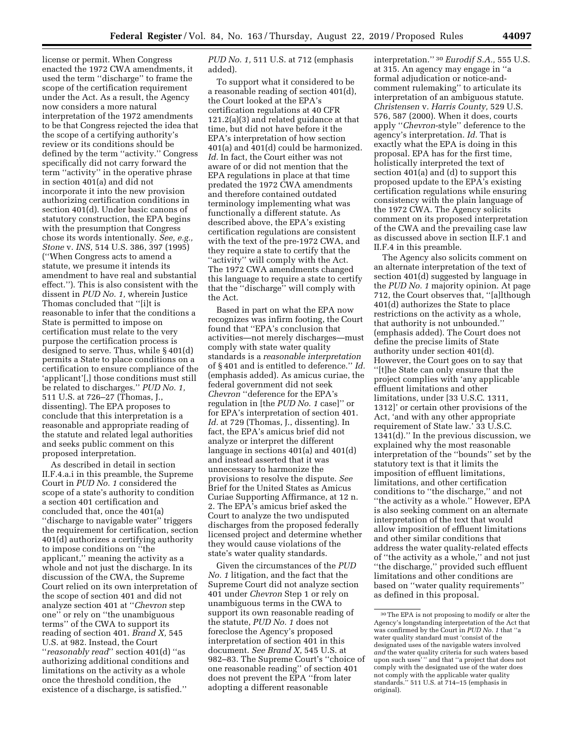license or permit. When Congress enacted the 1972 CWA amendments, it used the term ''discharge'' to frame the scope of the certification requirement under the Act. As a result, the Agency now considers a more natural interpretation of the 1972 amendments to be that Congress rejected the idea that the scope of a certifying authority's review or its conditions should be defined by the term ''activity.'' Congress specifically did not carry forward the term ''activity'' in the operative phrase in section 401(a) and did not incorporate it into the new provision authorizing certification conditions in section 401(d). Under basic canons of statutory construction, the EPA begins with the presumption that Congress chose its words intentionally. *See, e.g., Stone* v. *INS,* 514 U.S. 386, 397 (1995) (''When Congress acts to amend a statute, we presume it intends its amendment to have real and substantial effect.''). This is also consistent with the dissent in *PUD No. 1,* wherein Justice Thomas concluded that ''[i]t is reasonable to infer that the conditions a State is permitted to impose on certification must relate to the very purpose the certification process is designed to serve. Thus, while § 401(d) permits a State to place conditions on a certification to ensure compliance of the 'applicant'[,] those conditions must still be related to discharges.'' *PUD No. 1,*  511 U.S. at 726–27 (Thomas, J., dissenting). The EPA proposes to conclude that this interpretation is a reasonable and appropriate reading of the statute and related legal authorities

proposed interpretation. As described in detail in section II.F.4.a.i in this preamble, the Supreme Court in *PUD No. 1* considered the scope of a state's authority to condition a section 401 certification and concluded that, once the 401(a) ''discharge to navigable water'' triggers the requirement for certification, section 401(d) authorizes a certifying authority to impose conditions on ''the applicant,'' meaning the activity as a whole and not just the discharge. In its discussion of the CWA, the Supreme Court relied on its own interpretation of the scope of section 401 and did not analyze section 401 at ''*Chevron* step one'' or rely on ''the unambiguous terms'' of the CWA to support its reading of section 401. *Brand X,* 545 U.S. at 982. Instead, the Court ''*reasonably read*'' section 401(d) ''as authorizing additional conditions and limitations on the activity as a whole once the threshold condition, the existence of a discharge, is satisfied.''

and seeks public comment on this

*PUD No. 1,* 511 U.S. at 712 (emphasis added).

To support what it considered to be a reasonable reading of section 401(d), the Court looked at the EPA's certification regulations at 40 CFR 121.2(a)(3) and related guidance at that time, but did not have before it the EPA's interpretation of how section 401(a) and 401(d) could be harmonized. *Id.* In fact, the Court either was not aware of or did not mention that the EPA regulations in place at that time predated the 1972 CWA amendments and therefore contained outdated terminology implementing what was functionally a different statute. As described above, the EPA's existing certification regulations are consistent with the text of the pre-1972 CWA, and they require a state to certify that the ''activity'' will comply with the Act. The 1972 CWA amendments changed this language to require a state to certify that the ''discharge'' will comply with the Act.

Based in part on what the EPA now recognizes was infirm footing, the Court found that ''EPA's conclusion that activities—not merely discharges—must comply with state water quality standards is a *reasonable interpretation*  of § 401 and is entitled to deference.'' *Id.*  (emphasis added). As amicus curiae, the federal government did not seek *Chevron* ''deference for the EPA's regulation in [the *PUD No. 1* case]'' or for EPA's interpretation of section 401. *Id.* at 729 (Thomas, J., dissenting). In fact, the EPA's amicus brief did not analyze or interpret the different language in sections 401(a) and 401(d) and instead asserted that it was unnecessary to harmonize the provisions to resolve the dispute. *See*  Brief for the United States as Amicus Curiae Supporting Affirmance, at 12 n. 2. The EPA's amicus brief asked the Court to analyze the two undisputed discharges from the proposed federally licensed project and determine whether they would cause violations of the state's water quality standards.

Given the circumstances of the *PUD No. 1* litigation, and the fact that the Supreme Court did not analyze section 401 under *Chevron* Step 1 or rely on unambiguous terms in the CWA to support its own reasonable reading of the statute, *PUD No. 1* does not foreclose the Agency's proposed interpretation of section 401 in this document. *See Brand X,* 545 U.S. at 982–83. The Supreme Court's ''choice of one reasonable reading'' of section 401 does not prevent the EPA ''from later adopting a different reasonable

interpretation.'' 30 *Eurodif S.A.,* 555 U.S. at 315. An agency may engage in ''a formal adjudication or notice-andcomment rulemaking'' to articulate its interpretation of an ambiguous statute. *Christensen* v. *Harris County,* 529 U.S. 576, 587 (2000). When it does, courts apply ''*Chevron*-style'' deference to the agency's interpretation. *Id.* That is exactly what the EPA is doing in this proposal. EPA has for the first time, holistically interpreted the text of section 401(a) and (d) to support this proposed update to the EPA's existing certification regulations while ensuring consistency with the plain language of the 1972 CWA. The Agency solicits comment on its proposed interpretation of the CWA and the prevailing case law as discussed above in section II.F.1 and II.F.4 in this preamble.

The Agency also solicits comment on an alternate interpretation of the text of section 401(d) suggested by language in the *PUD No. 1* majority opinion. At page 712, the Court observes that, ''[a]lthough 401(d) authorizes the State to place restrictions on the activity as a whole, that authority is not unbounded.'' (emphasis added). The Court does not define the precise limits of State authority under section 401(d). However, the Court goes on to say that ''[t]he State can only ensure that the project complies with 'any applicable effluent limitations and other limitations, under [33 U.S.C. 1311, 1312]' or certain other provisions of the Act, 'and with any other appropriate requirement of State law.' 33 U.S.C. 1341(d).'' In the previous discussion, we explained why the most reasonable interpretation of the ''bounds'' set by the statutory text is that it limits the imposition of effluent limitations, limitations, and other certification conditions to ''the discharge,'' and not ''the activity as a whole.'' However, EPA is also seeking comment on an alternate interpretation of the text that would allow imposition of effluent limitations and other similar conditions that address the water quality-related effects of ''the activity as a whole,'' and not just ''the discharge,'' provided such effluent limitations and other conditions are based on ''water quality requirements'' as defined in this proposal.

<sup>30</sup>The EPA is not proposing to modify or alter the Agency's longstanding interpretation of the Act that was confirmed by the Court in *PUD No. 1* that ''a water quality standard must 'consist of the designated uses of the navigable waters involved *and* the water quality criteria for such waters based upon such uses' '' and that ''a project that does not comply with the designated use of the water does not comply with the applicable water quality standards.'' 511 U.S. at 714–15 (emphasis in original).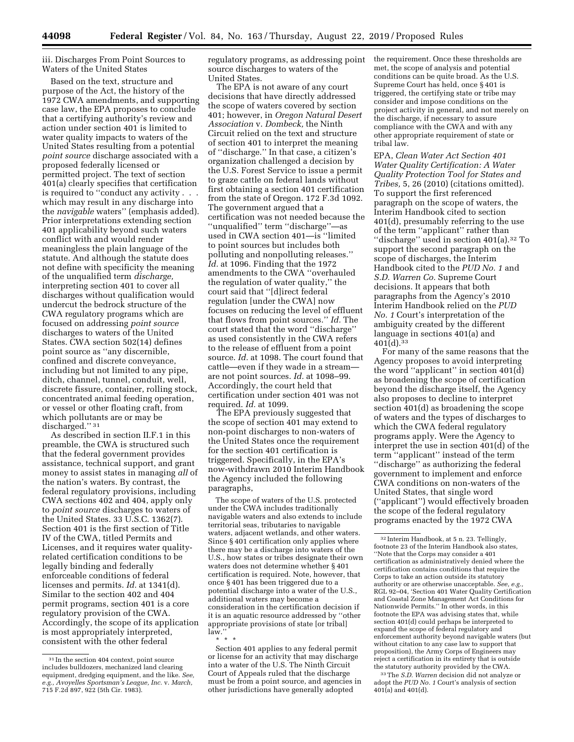iii. Discharges From Point Sources to Waters of the United States

Based on the text, structure and purpose of the Act, the history of the 1972 CWA amendments, and supporting case law, the EPA proposes to conclude that a certifying authority's review and action under section 401 is limited to water quality impacts to waters of the United States resulting from a potential *point source* discharge associated with a proposed federally licensed or permitted project. The text of section 401(a) clearly specifies that certification is required to ''conduct any activity . . . which may result in any discharge into the *navigable* waters'' (emphasis added). Prior interpretations extending section 401 applicability beyond such waters conflict with and would render meaningless the plain language of the statute. And although the statute does not define with specificity the meaning of the unqualified term *discharge,*  interpreting section 401 to cover all discharges without qualification would undercut the bedrock structure of the CWA regulatory programs which are focused on addressing *point source*  discharges to waters of the United States. CWA section 502(14) defines point source as ''any discernible, confined and discrete conveyance, including but not limited to any pipe, ditch, channel, tunnel, conduit, well, discrete fissure, container, rolling stock, concentrated animal feeding operation, or vessel or other floating craft, from which pollutants are or may be discharged."<sup>31</sup>

As described in section II.F.1 in this preamble, the CWA is structured such that the federal government provides assistance, technical support, and grant money to assist states in managing *all* of the nation's waters. By contrast, the federal regulatory provisions, including CWA sections 402 and 404, apply only to *point source* discharges to waters of the United States. 33 U.S.C. 1362(7). Section 401 is the first section of Title IV of the CWA, titled Permits and Licenses, and it requires water qualityrelated certification conditions to be legally binding and federally enforceable conditions of federal licenses and permits. *Id.* at 1341(d). Similar to the section 402 and 404 permit programs, section 401 is a core regulatory provision of the CWA. Accordingly, the scope of its application is most appropriately interpreted, consistent with the other federal

regulatory programs, as addressing point source discharges to waters of the United States.

The EPA is not aware of any court decisions that have directly addressed the scope of waters covered by section 401; however, in *Oregon Natural Desert Association* v. *Dombeck,* the Ninth Circuit relied on the text and structure of section 401 to interpret the meaning of ''discharge.'' In that case, a citizen's organization challenged a decision by the U.S. Forest Service to issue a permit to graze cattle on federal lands without first obtaining a section 401 certification from the state of Oregon. 172 F.3d 1092. The government argued that a certification was not needed because the ''unqualified'' term ''discharge''—as used in CWA section 401—is ''limited to point sources but includes both polluting and nonpolluting releases.'' *Id.* at 1096. Finding that the 1972 amendments to the CWA ''overhauled the regulation of water quality,'' the court said that ''[d]irect federal regulation [under the CWA] now focuses on reducing the level of effluent that flows from point sources.'' *Id.* The court stated that the word ''discharge'' as used consistently in the CWA refers to the release of effluent from a point source. *Id.* at 1098. The court found that cattle—even if they wade in a stream are not point sources. *Id.* at 1098–99. Accordingly, the court held that certification under section 401 was not required. *Id.* at 1099.

The EPA previously suggested that the scope of section 401 may extend to non-point discharges to non-waters of the United States once the requirement for the section 401 certification is triggered. Specifically, in the EPA's now-withdrawn 2010 Interim Handbook the Agency included the following paragraphs,

The scope of waters of the U.S. protected under the CWA includes traditionally navigable waters and also extends to include territorial seas, tributaries to navigable waters, adjacent wetlands, and other waters. Since §401 certification only applies where there may be a discharge into waters of the U.S., how states or tribes designate their own waters does not determine whether § 401 certification is required. Note, however, that once § 401 has been triggered due to a potential discharge into a water of the U.S., additional waters may become a consideration in the certification decision if it is an aquatic resource addressed by ''other appropriate provisions of state [or tribal] law.''

the requirement. Once these thresholds are met, the scope of analysis and potential conditions can be quite broad. As the U.S. Supreme Court has held, once § 401 is triggered, the certifying state or tribe may consider and impose conditions on the project activity in general, and not merely on the discharge, if necessary to assure compliance with the CWA and with any other appropriate requirement of state or tribal law.

EPA, *Clean Water Act Section 401 Water Quality Certification: A Water Quality Protection Tool for States and Tribes,* 5, 26 (2010) (citations omitted). To support the first referenced paragraph on the scope of waters, the Interim Handbook cited to section 401(d), presumably referring to the use of the term ''applicant'' rather than ''discharge'' used in section 401(a).32 To support the second paragraph on the scope of discharges, the Interim Handbook cited to the *PUD No. 1* and *S.D. Warren Co.* Supreme Court decisions. It appears that both paragraphs from the Agency's 2010 Interim Handbook relied on the *PUD No. 1* Court's interpretation of the ambiguity created by the different language in sections 401(a) and  $401(d).$ <sup>33</sup>

For many of the same reasons that the Agency proposes to avoid interpreting the word ''applicant'' in section 401(d) as broadening the scope of certification beyond the discharge itself, the Agency also proposes to decline to interpret section 401(d) as broadening the scope of waters and the types of discharges to which the CWA federal regulatory programs apply. Were the Agency to interpret the use in section 401(d) of the term ''applicant'' instead of the term

''discharge'' as authorizing the federal government to implement and enforce CWA conditions on non-waters of the United States, that single word (''applicant'') would effectively broaden the scope of the federal regulatory programs enacted by the 1972 CWA

33The *S.D. Warren* decision did not analyze or adopt the *PUD No. 1* Court's analysis of section  $401(a)$  and  $401(d)$ .

<sup>31</sup> In the section 404 context, point source includes bulldozers, mechanized land clearing equipment, dredging equipment, and the like. *See, e.g., Avoyelles Sportsman's League, Inc.* v. *March,*  715 F.2d 897, 922 (5th Cir. 1983).

<sup>\* \* \*</sup>  Section 401 applies to any federal permit or license for an activity that may discharge into a water of the U.S. The Ninth Circuit Court of Appeals ruled that the discharge must be from a point source, and agencies in other jurisdictions have generally adopted

<sup>32</sup> Interim Handbook, at 5 n. 23. Tellingly, footnote 23 of the Interim Handbook also states, ''Note that the Corps may consider a 401 certification as administratively denied where the certification contains conditions that require the Corps to take an action outside its statutory authority or are otherwise unacceptable. See, e.g. RGL 92–04, 'Section 401 Water Quality Certification and Coastal Zone Management Act Conditions for Nationwide Permits.'' In other words, in this footnote the EPA was advising states that, while section 401(d) could perhaps be interpreted to expand the scope of federal regulatory and enforcement authority beyond navigable waters (but without citation to any case law to support that proposition), the Army Corps of Engineers may reject a certification in its entirety that is outside the statutory authority provided by the CWA.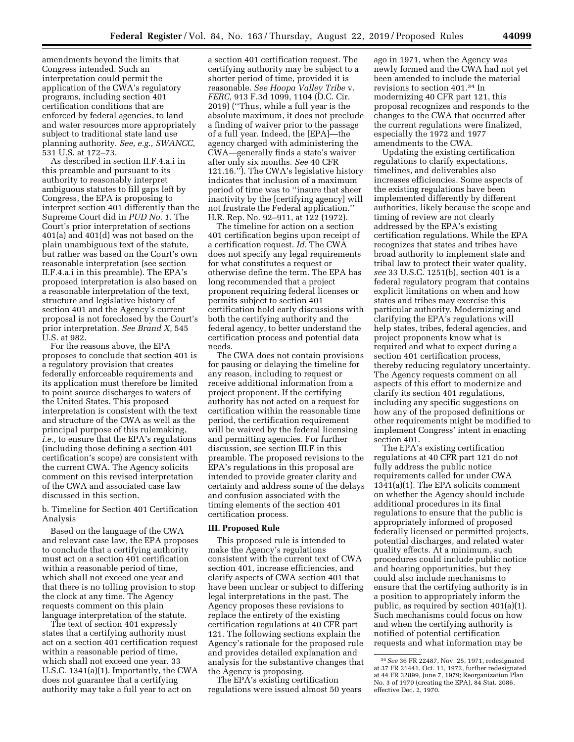amendments beyond the limits that Congress intended. Such an interpretation could permit the application of the CWA's regulatory programs, including section 401 certification conditions that are enforced by federal agencies, to land and water resources more appropriately subject to traditional state land use planning authority. *See, e.g., SWANCC,*  531 U.S. at 172–73.

As described in section II.F.4.a.i in this preamble and pursuant to its authority to reasonably interpret ambiguous statutes to fill gaps left by Congress, the EPA is proposing to interpret section 401 differently than the Supreme Court did in *PUD No. 1.* The Court's prior interpretation of sections 401(a) and 401(d) was not based on the plain unambiguous text of the statute, but rather was based on the Court's own reasonable interpretation (see section II.F.4.a.i in this preamble). The EPA's proposed interpretation is also based on a reasonable interpretation of the text, structure and legislative history of section 401 and the Agency's current proposal is not foreclosed by the Court's prior interpretation. *See Brand X,* 545 U.S. at 982.

For the reasons above, the EPA proposes to conclude that section 401 is a regulatory provision that creates federally enforceable requirements and its application must therefore be limited to point source discharges to waters of the United States. This proposed interpretation is consistent with the text and structure of the CWA as well as the principal purpose of this rulemaking, *i.e.,* to ensure that the EPA's regulations (including those defining a section 401 certification's scope) are consistent with the current CWA. The Agency solicits comment on this revised interpretation of the CWA and associated case law discussed in this section.

b. Timeline for Section 401 Certification Analysis

Based on the language of the CWA and relevant case law, the EPA proposes to conclude that a certifying authority must act on a section 401 certification within a reasonable period of time, which shall not exceed one year and that there is no tolling provision to stop the clock at any time. The Agency requests comment on this plain language interpretation of the statute.

The text of section 401 expressly states that a certifying authority must act on a section 401 certification request within a reasonable period of time, which shall not exceed one year. 33 U.S.C. 1341(a)(1). Importantly, the CWA does not guarantee that a certifying authority may take a full year to act on

a section 401 certification request. The certifying authority may be subject to a shorter period of time, provided it is reasonable. *See Hoopa Valley Tribe* v. *FERC,* 913 F.3d 1099, 1104 (D.C. Cir. 2019) (''Thus, while a full year is the absolute maximum, it does not preclude a finding of waiver prior to the passage of a full year. Indeed, the [EPA]—the agency charged with administering the CWA—generally finds a state's waiver after only six months. *See* 40 CFR 121.16.''). The CWA's legislative history indicates that inclusion of a maximum period of time was to ''insure that sheer inactivity by the [certifying agency] will not frustrate the Federal application.'' H.R. Rep. No. 92–911, at 122 (1972).

The timeline for action on a section 401 certification begins upon receipt of a certification request. *Id.* The CWA does not specify any legal requirements for what constitutes a request or otherwise define the term. The EPA has long recommended that a project proponent requiring federal licenses or permits subject to section 401 certification hold early discussions with both the certifying authority and the federal agency, to better understand the certification process and potential data needs.

The CWA does not contain provisions for pausing or delaying the timeline for any reason, including to request or receive additional information from a project proponent. If the certifying authority has not acted on a request for certification within the reasonable time period, the certification requirement will be waived by the federal licensing and permitting agencies. For further discussion, see section III.F in this preamble. The proposed revisions to the EPA's regulations in this proposal are intended to provide greater clarity and certainty and address some of the delays and confusion associated with the timing elements of the section 401 certification process.

#### **III. Proposed Rule**

This proposed rule is intended to make the Agency's regulations consistent with the current text of CWA section 401, increase efficiencies, and clarify aspects of CWA section 401 that have been unclear or subject to differing legal interpretations in the past. The Agency proposes these revisions to replace the entirety of the existing certification regulations at 40 CFR part 121. The following sections explain the Agency's rationale for the proposed rule and provides detailed explanation and analysis for the substantive changes that the Agency is proposing.

The EPA's existing certification regulations were issued almost 50 years ago in 1971, when the Agency was newly formed and the CWA had not yet been amended to include the material revisions to section 401.34 In modernizing 40 CFR part 121, this proposal recognizes and responds to the changes to the CWA that occurred after the current regulations were finalized, especially the 1972 and 1977 amendments to the CWA.

Updating the existing certification regulations to clarify expectations, timelines, and deliverables also increases efficiencies. Some aspects of the existing regulations have been implemented differently by different authorities, likely because the scope and timing of review are not clearly addressed by the EPA's existing certification regulations. While the EPA recognizes that states and tribes have broad authority to implement state and tribal law to protect their water quality, *see* 33 U.S.C. 1251(b), section 401 is a federal regulatory program that contains explicit limitations on when and how states and tribes may exercise this particular authority. Modernizing and clarifying the EPA's regulations will help states, tribes, federal agencies, and project proponents know what is required and what to expect during a section 401 certification process, thereby reducing regulatory uncertainty. The Agency requests comment on all aspects of this effort to modernize and clarify its section 401 regulations, including any specific suggestions on how any of the proposed definitions or other requirements might be modified to implement Congress' intent in enacting section 401.

The EPA's existing certification regulations at 40 CFR part 121 do not fully address the public notice requirements called for under CWA 1341(a)(1). The EPA solicits comment on whether the Agency should include additional procedures in its final regulations to ensure that the public is appropriately informed of proposed federally licensed or permitted projects, potential discharges, and related water quality effects. At a minimum, such procedures could include public notice and hearing opportunities, but they could also include mechanisms to ensure that the certifying authority is in a position to appropriately inform the public, as required by section 401(a)(1). Such mechanisms could focus on how and when the certifying authority is notified of potential certification requests and what information may be

<sup>34</sup>*See* 36 FR 22487, Nov. 25, 1971, redesignated at 37 FR 21441, Oct. 11, 1972, further redesignated at 44 FR 32899, June 7, 1979; Reorganization Plan No. 3 of 1970 (creating the EPA), 84 Stat. 2086, effective Dec. 2, 1970.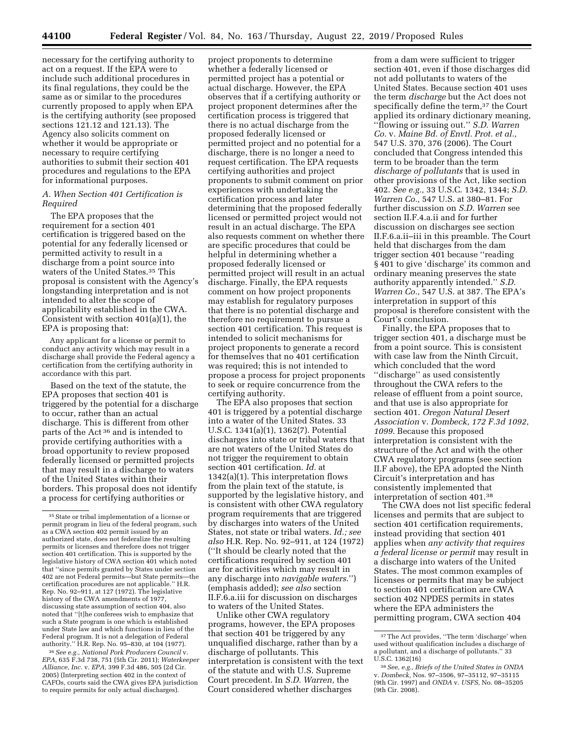necessary for the certifying authority to act on a request. If the EPA were to include such additional procedures in its final regulations, they could be the same as or similar to the procedures currently proposed to apply when EPA is the certifying authority (see proposed sections 121.12 and 121.13). The Agency also solicits comment on whether it would be appropriate or necessary to require certifying authorities to submit their section 401 procedures and regulations to the EPA for informational purposes.

## *A. When Section 401 Certification is Required*

The EPA proposes that the requirement for a section 401 certification is triggered based on the potential for any federally licensed or permitted activity to result in a discharge from a point source into waters of the United States.35 This proposal is consistent with the Agency's longstanding interpretation and is not intended to alter the scope of applicability established in the CWA. Consistent with section 401(a)(1), the EPA is proposing that:

Any applicant for a license or permit to conduct any activity which may result in a discharge shall provide the Federal agency a certification from the certifying authority in accordance with this part.

Based on the text of the statute, the EPA proposes that section 401 is triggered by the potential for a discharge to occur, rather than an actual discharge. This is different from other parts of the Act 36 and is intended to provide certifying authorities with a broad opportunity to review proposed federally licensed or permitted projects that may result in a discharge to waters of the United States within their borders. This proposal does not identify a process for certifying authorities or

36*See e.g., National Pork Producers Council* v. *EPA,* 635 F.3d 738, 751 (5th Cir. 2011); *Waterkeeper Alliance, Inc.* v. *EPA,* 399 F.3d 486, 505 (2d Cir. 2005) (Interpreting section 402 in the context of CAFOs, courts said the CWA gives EPA jurisdiction to require permits for only actual discharges).

project proponents to determine whether a federally licensed or permitted project has a potential or actual discharge. However, the EPA observes that if a certifying authority or project proponent determines after the certification process is triggered that there is no actual discharge from the proposed federally licensed or permitted project and no potential for a discharge, there is no longer a need to request certification. The EPA requests certifying authorities and project proponents to submit comment on prior experiences with undertaking the certification process and later determining that the proposed federally licensed or permitted project would not result in an actual discharge. The EPA also requests comment on whether there are specific procedures that could be helpful in determining whether a proposed federally licensed or permitted project will result in an actual discharge. Finally, the EPA requests comment on how project proponents may establish for regulatory purposes that there is no potential discharge and therefore no requirement to pursue a section 401 certification. This request is intended to solicit mechanisms for project proponents to generate a record for themselves that no 401 certification was required; this is not intended to propose a process for project proponents to seek or require concurrence from the certifying authority.

The EPA also proposes that section 401 is triggered by a potential discharge into a water of the United States. 33 U.S.C. 1341(a)(1), 1362(7). Potential discharges into state or tribal waters that are not waters of the United States do not trigger the requirement to obtain section 401 certification. *Id.* at 1342(a)(1). This interpretation flows from the plain text of the statute, is supported by the legislative history, and is consistent with other CWA regulatory program requirements that are triggered by discharges into waters of the United States, not state or tribal waters. *Id.; see also* H.R. Rep. No. 92–911, at 124 (1972) (''It should be clearly noted that the certifications required by section 401 are for activities which may result in any discharge into *navigable waters*.'') (emphasis added); *see also* section II.F.6.a.iii for discussion on discharges to waters of the United States.

Unlike other CWA regulatory programs, however, the EPA proposes that section 401 be triggered by any unqualified discharge, rather than by a discharge of pollutants. This interpretation is consistent with the text of the statute and with U.S. Supreme Court precedent. In *S.D. Warren,* the Court considered whether discharges

from a dam were sufficient to trigger section 401, even if those discharges did not add pollutants to waters of the United States. Because section 401 uses the term *discharge* but the Act does not specifically define the term,<sup>37</sup> the Court applied its ordinary dictionary meaning, ''flowing or issuing out.'' *S.D. Warren Co.* v. *Maine Bd. of Envtl. Prot. et al.,*  547 U.S. 370, 376 (2006). The Court concluded that Congress intended this term to be broader than the term *discharge of pollutants* that is used in other provisions of the Act, like section 402. *See e.g.,* 33 U.S.C. 1342, 1344; *S.D. Warren Co.,* 547 U.S. at 380–81. For further discussion on *S.D. Warren* see section II.F.4.a.ii and for further discussion on discharges see section II.F.6.a.ii–iii in this preamble. The Court held that discharges from the dam trigger section 401 because ''reading § 401 to give 'discharge' its common and ordinary meaning preserves the state authority apparently intended.'' *S.D. Warren Co.,* 547 U.S. at 387. The EPA's interpretation in support of this proposal is therefore consistent with the Court's conclusion.

Finally, the EPA proposes that to trigger section 401, a discharge must be from a point source. This is consistent with case law from the Ninth Circuit, which concluded that the word ''discharge'' as used consistently throughout the CWA refers to the release of effluent from a point source, and that use is also appropriate for section 401. *Oregon Natural Desert Association* v. *Dombeck, 172 F.3d 1092, 1099*. Because this proposed interpretation is consistent with the structure of the Act and with the other CWA regulatory programs (see section II.F above), the EPA adopted the Ninth Circuit's interpretation and has consistently implemented that interpretation of section 401.38

The CWA does not list specific federal licenses and permits that are subject to section 401 certification requirements, instead providing that section 401 applies when *any activity that requires a federal license or permit* may result in a discharge into waters of the United States. The most common examples of licenses or permits that may be subject to section 401 certification are CWA section 402 NPDES permits in states where the EPA administers the permitting program, CWA section 404

<sup>35</sup>State or tribal implementation of a license or permit program in lieu of the federal program, such as a CWA section 402 permit issued by an authorized state, does not federalize the resulting permits or licenses and therefore does not trigger section 401 certification. This is supported by the legislative history of CWA section 401 which noted that ''since permits granted by States under section 402 are not Federal permits—but State permits—the certification procedures are not applicable.'' H.R. Rep. No. 92–911, at 127 (1972). The legislative history of the CWA amendments of 1977, discussing state assumption of section 404, also noted that ''[t]he conferees wish to emphasize that such a State program is one which is established under State law and which functions in lieu of the Federal program. It is not a delegation of Federal authority.'' H.R. Rep. No. 95–830, at 104 (1977).

<sup>37</sup>The Act provides, ''The term 'discharge' when used without qualification includes a discharge of a pollutant, and a discharge of pollutants.'' 33 U.S.C. 1362(16)

<sup>38</sup>*See, e.g., Briefs of the United States in ONDA*  v. *Dombeck,* Nos. 97–3506, 97–35112, 97–35115 (9th Cir. 1997) and *ONDA* v. *USFS,* No. 08–35205 (9th Cir. 2008).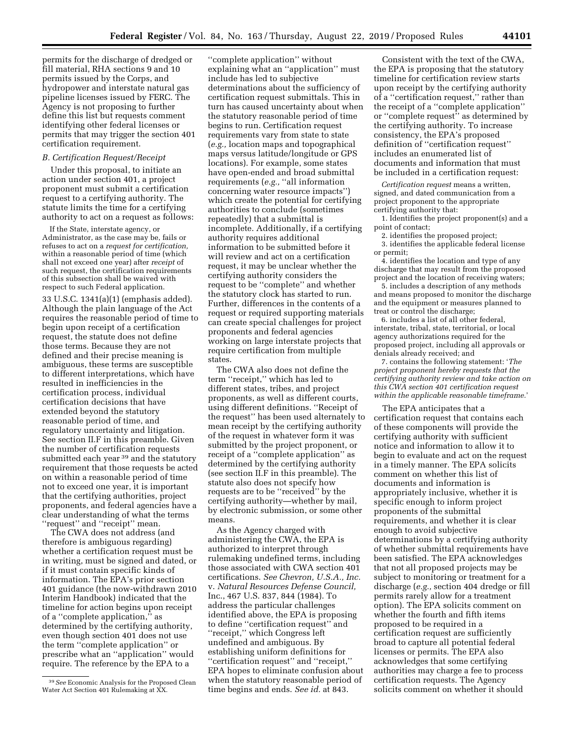permits for the discharge of dredged or fill material, RHA sections 9 and 10 permits issued by the Corps, and hydropower and interstate natural gas pipeline licenses issued by FERC. The Agency is not proposing to further define this list but requests comment identifying other federal licenses or permits that may trigger the section 401 certification requirement.

### *B. Certification Request/Receipt*

Under this proposal, to initiate an action under section 401, a project proponent must submit a certification request to a certifying authority. The statute limits the time for a certifying authority to act on a request as follows:

If the State, interstate agency, or Administrator, as the case may be, fails or refuses to act on a *request for certification,*  within a reasonable period of time (which shall not exceed one year) after *receipt* of such request, the certification requirements of this subsection shall be waived with respect to such Federal application.

33 U.S.C. 1341(a)(1) (emphasis added). Although the plain language of the Act requires the reasonable period of time to begin upon receipt of a certification request, the statute does not define those terms. Because they are not defined and their precise meaning is ambiguous, these terms are susceptible to different interpretations, which have resulted in inefficiencies in the certification process, individual certification decisions that have extended beyond the statutory reasonable period of time, and regulatory uncertainty and litigation. See section II.F in this preamble. Given the number of certification requests submitted each year <sup>39</sup> and the statutory requirement that those requests be acted on within a reasonable period of time not to exceed one year, it is important that the certifying authorities, project proponents, and federal agencies have a clear understanding of what the terms ''request'' and ''receipt'' mean.

The CWA does not address (and therefore is ambiguous regarding) whether a certification request must be in writing, must be signed and dated, or if it must contain specific kinds of information. The EPA's prior section 401 guidance (the now-withdrawn 2010 Interim Handbook) indicated that the timeline for action begins upon receipt of a ''complete application,'' as determined by the certifying authority, even though section 401 does not use the term ''complete application'' or prescribe what an ''application'' would require. The reference by the EPA to a

''complete application'' without explaining what an ''application'' must include has led to subjective determinations about the sufficiency of certification request submittals. This in turn has caused uncertainty about when the statutory reasonable period of time begins to run. Certification request requirements vary from state to state (*e.g.,* location maps and topographical maps versus latitude/longitude or GPS locations). For example, some states have open-ended and broad submittal requirements (*e.g.,* ''all information concerning water resource impacts'') which create the potential for certifying authorities to conclude (sometimes repeatedly) that a submittal is incomplete. Additionally, if a certifying authority requires additional information to be submitted before it will review and act on a certification request, it may be unclear whether the certifying authority considers the request to be ''complete'' and whether the statutory clock has started to run. Further, differences in the contents of a request or required supporting materials can create special challenges for project proponents and federal agencies working on large interstate projects that require certification from multiple states.

The CWA also does not define the term ''receipt,'' which has led to different states, tribes, and project proponents, as well as different courts, using different definitions. ''Receipt of the request'' has been used alternately to mean receipt by the certifying authority of the request in whatever form it was submitted by the project proponent, or receipt of a ''complete application'' as determined by the certifying authority (see section II.F in this preamble). The statute also does not specify how requests are to be ''received'' by the certifying authority—whether by mail, by electronic submission, or some other means.

As the Agency charged with administering the CWA, the EPA is authorized to interpret through rulemaking undefined terms, including those associated with CWA section 401 certifications. *See Chevron, U.S.A., Inc.*  v. *Natural Resources Defense Council,*  Inc., 467 U.S. 837, 844 (1984). To address the particular challenges identified above, the EPA is proposing to define ''certification request'' and ''receipt,'' which Congress left undefined and ambiguous. By establishing uniform definitions for ''certification request'' and ''receipt,'' EPA hopes to eliminate confusion about when the statutory reasonable period of time begins and ends. *See id.* at 843.

Consistent with the text of the CWA, the EPA is proposing that the statutory timeline for certification review starts upon receipt by the certifying authority of a ''certification request,'' rather than the receipt of a ''complete application'' or ''complete request'' as determined by the certifying authority. To increase consistency, the EPA's proposed definition of ''certification request'' includes an enumerated list of documents and information that must be included in a certification request:

*Certification request* means a written, signed, and dated communication from a project proponent to the appropriate certifying authority that:

1. Identifies the project proponent(s) and a point of contact;

2. identifies the proposed project;

3. identifies the applicable federal license or permit;

4. identifies the location and type of any discharge that may result from the proposed project and the location of receiving waters;

5. includes a description of any methods and means proposed to monitor the discharge and the equipment or measures planned to treat or control the discharge;

6. includes a list of all other federal, interstate, tribal, state, territorial, or local agency authorizations required for the proposed project, including all approvals or denials already received; and

7. contains the following statement: '*The project proponent hereby requests that the certifying authority review and take action on this CWA section 401 certification request within the applicable reasonable timeframe.*'

The EPA anticipates that a certification request that contains each of these components will provide the certifying authority with sufficient notice and information to allow it to begin to evaluate and act on the request in a timely manner. The EPA solicits comment on whether this list of documents and information is appropriately inclusive, whether it is specific enough to inform project proponents of the submittal requirements, and whether it is clear enough to avoid subjective determinations by a certifying authority of whether submittal requirements have been satisfied. The EPA acknowledges that not all proposed projects may be subject to monitoring or treatment for a discharge (*e.g.,* section 404 dredge or fill permits rarely allow for a treatment option). The EPA solicits comment on whether the fourth and fifth items proposed to be required in a certification request are sufficiently broad to capture all potential federal licenses or permits. The EPA also acknowledges that some certifying authorities may charge a fee to process certification requests. The Agency solicits comment on whether it should

<sup>39</sup>*See* Economic Analysis for the Proposed Clean Water Act Section 401 Rulemaking at XX.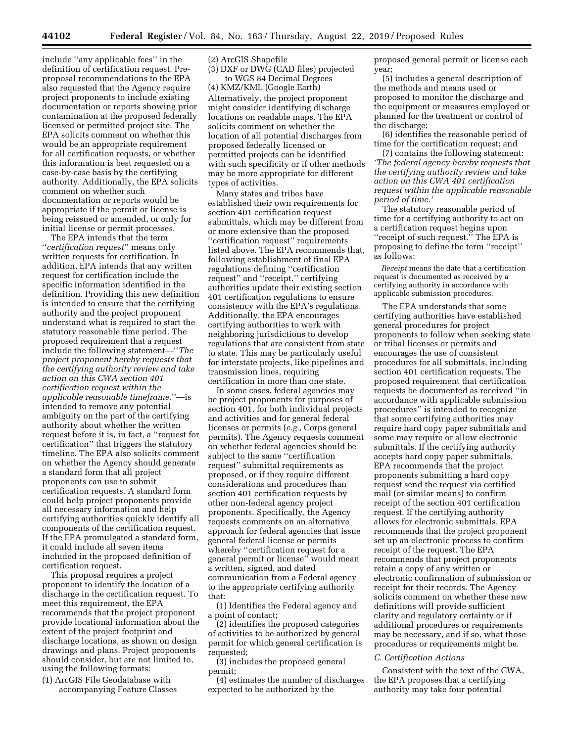include ''any applicable fees'' in the definition of certification request. Preproposal recommendations to the EPA also requested that the Agency require project proponents to include existing documentation or reports showing prior contamination at the proposed federally licensed or permitted project site. The EPA solicits comment on whether this would be an appropriate requirement for all certification requests, or whether this information is best requested on a case-by-case basis by the certifying authority. Additionally, the EPA solicits comment on whether such documentation or reports would be appropriate if the permit or license is being reissued or amended, or only for initial license or permit processes.

The EPA intends that the term ''*certification request*'' means only written requests for certification. In addition, EPA intends that any written request for certification include the specific information identified in the definition. Providing this new definition is intended to ensure that the certifying authority and the project proponent understand what is required to start the statutory reasonable time period. The proposed requirement that a request include the following statement—''*The project proponent hereby requests that the certifying authority review and take action on this CWA section 401 certification request within the applicable reasonable timeframe.*''—is intended to remove any potential ambiguity on the part of the certifying authority about whether the written request before it is, in fact, a ''request for certification'' that triggers the statutory timeline. The EPA also solicits comment on whether the Agency should generate a standard form that all project proponents can use to submit certification requests. A standard form could help project proponents provide all necessary information and help certifying authorities quickly identify all components of the certification request. If the EPA promulgated a standard form, it could include all seven items included in the proposed definition of certification request.

This proposal requires a project proponent to identify the location of a discharge in the certification request. To meet this requirement, the EPA recommends that the project proponent provide locational information about the extent of the project footprint and discharge locations, as shown on design drawings and plans. Project proponents should consider, but are not limited to, using the following formats:

(1) ArcGIS File Geodatabase with accompanying Feature Classes (2) ArcGIS Shapefile

(3) DXF or DWG (CAD files) projected to WGS 84 Decimal Degrees

(4) KMZ/KML (Google Earth) Alternatively, the project proponent might consider identifying discharge locations on readable maps. The EPA solicits comment on whether the location of all potential discharges from proposed federally licensed or permitted projects can be identified with such specificity or if other methods may be more appropriate for different types of activities.

Many states and tribes have established their own requirements for section 401 certification request submittals, which may be different from or more extensive than the proposed ''certification request'' requirements listed above. The EPA recommends that, following establishment of final EPA regulations defining ''certification request'' and ''receipt,'' certifying authorities update their existing section 401 certification regulations to ensure consistency with the EPA's regulations. Additionally, the EPA encourages certifying authorities to work with neighboring jurisdictions to develop regulations that are consistent from state to state. This may be particularly useful for interstate projects, like pipelines and transmission lines, requiring certification in more than one state.

In some cases, federal agencies may be project proponents for purposes of section 401, for both individual projects and activities and for general federal licenses or permits (*e.g.,* Corps general permits). The Agency requests comment on whether federal agencies should be subject to the same ''certification request'' submittal requirements as proposed, or if they require different considerations and procedures than section 401 certification requests by other non-federal agency project proponents. Specifically, the Agency requests comments on an alternative approach for federal agencies that issue general federal license or permits whereby ''certification request for a general permit or license'' would mean a written, signed, and dated communication from a Federal agency to the appropriate certifying authority that:

(1) Identifies the Federal agency and a point of contact;

(2) identifies the proposed categories of activities to be authorized by general permit for which general certification is requested;

(3) includes the proposed general permit;

(4) estimates the number of discharges expected to be authorized by the

proposed general permit or license each year;

(5) includes a general description of the methods and means used or proposed to monitor the discharge and the equipment or measures employed or planned for the treatment or control of the discharge;

(6) identifies the reasonable period of time for the certification request; and

(7) contains the following statement: *'The federal agency hereby requests that the certifying authority review and take action on this CWA 401 certification request within the applicable reasonable period of time.'* 

The statutory reasonable period of time for a certifying authority to act on a certification request begins upon ''receipt of such request.'' The EPA is proposing to define the term ''receipt'' as follows:

*Receipt* means the date that a certification request is documented as received by a certifying authority in accordance with applicable submission procedures.

The EPA understands that some certifying authorities have established general procedures for project proponents to follow when seeking state or tribal licenses or permits and encourages the use of consistent procedures for all submittals, including section 401 certification requests. The proposed requirement that certification requests be documented as received ''in accordance with applicable submission procedures'' is intended to recognize that some certifying authorities may require hard copy paper submittals and some may require or allow electronic submittals. If the certifying authority accepts hard copy paper submittals, EPA recommends that the project proponents submitting a hard copy request send the request via certified mail (or similar means) to confirm receipt of the section 401 certification request. If the certifying authority allows for electronic submittals, EPA recommends that the project proponent set up an electronic process to confirm receipt of the request. The EPA recommends that project proponents retain a copy of any written or electronic confirmation of submission or receipt for their records. The Agency solicits comment on whether these new definitions will provide sufficient clarity and regulatory certainty or if additional procedures or requirements may be necessary, and if so, what those procedures or requirements might be.

#### *C. Certification Actions*

Consistent with the text of the CWA, the EPA proposes that a certifying authority may take four potential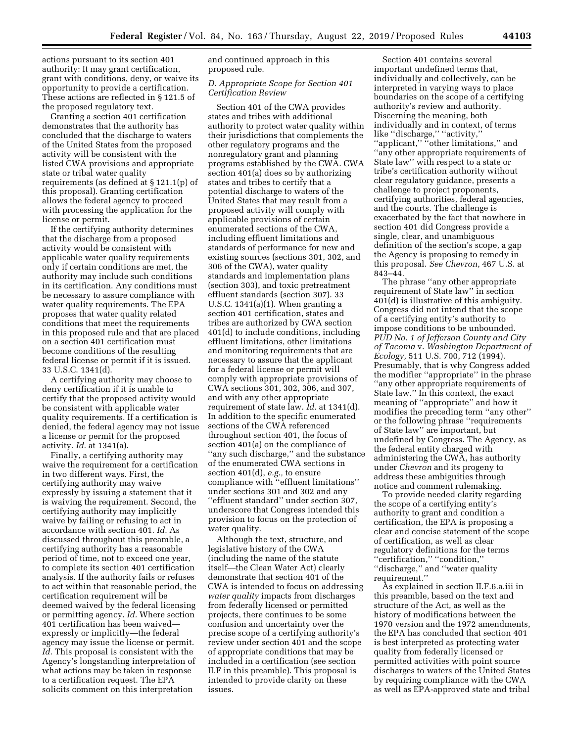actions pursuant to its section 401 authority: It may grant certification, grant with conditions, deny, or waive its opportunity to provide a certification. These actions are reflected in § 121.5 of the proposed regulatory text.

Granting a section 401 certification demonstrates that the authority has concluded that the discharge to waters of the United States from the proposed activity will be consistent with the listed CWA provisions and appropriate state or tribal water quality requirements (as defined at § 121.1(p) of this proposal). Granting certification allows the federal agency to proceed with processing the application for the license or permit.

If the certifying authority determines that the discharge from a proposed activity would be consistent with applicable water quality requirements only if certain conditions are met, the authority may include such conditions in its certification. Any conditions must be necessary to assure compliance with water quality requirements. The EPA proposes that water quality related conditions that meet the requirements in this proposed rule and that are placed on a section 401 certification must become conditions of the resulting federal license or permit if it is issued. 33 U.S.C. 1341(d).

A certifying authority may choose to deny certification if it is unable to certify that the proposed activity would be consistent with applicable water quality requirements. If a certification is denied, the federal agency may not issue a license or permit for the proposed activity. *Id.* at 1341(a).

Finally, a certifying authority may waive the requirement for a certification in two different ways. First, the certifying authority may waive expressly by issuing a statement that it is waiving the requirement. Second, the certifying authority may implicitly waive by failing or refusing to act in accordance with section 401. *Id.* As discussed throughout this preamble, a certifying authority has a reasonable period of time, not to exceed one year, to complete its section 401 certification analysis. If the authority fails or refuses to act within that reasonable period, the certification requirement will be deemed waived by the federal licensing or permitting agency. *Id.* Where section 401 certification has been waived expressly or implicitly—the federal agency may issue the license or permit. *Id.* This proposal is consistent with the Agency's longstanding interpretation of what actions may be taken in response to a certification request. The EPA solicits comment on this interpretation

and continued approach in this proposed rule.

## *D. Appropriate Scope for Section 401 Certification Review*

Section 401 of the CWA provides states and tribes with additional authority to protect water quality within their jurisdictions that complements the other regulatory programs and the nonregulatory grant and planning programs established by the CWA. CWA section 401(a) does so by authorizing states and tribes to certify that a potential discharge to waters of the United States that may result from a proposed activity will comply with applicable provisions of certain enumerated sections of the CWA, including effluent limitations and standards of performance for new and existing sources (sections 301, 302, and 306 of the CWA), water quality standards and implementation plans (section 303), and toxic pretreatment effluent standards (section 307). 33 U.S.C. 1341(a)(1). When granting a section 401 certification, states and tribes are authorized by CWA section 401(d) to include conditions, including effluent limitations, other limitations and monitoring requirements that are necessary to assure that the applicant for a federal license or permit will comply with appropriate provisions of CWA sections 301, 302, 306, and 307, and with any other appropriate requirement of state law. *Id.* at 1341(d). In addition to the specific enumerated sections of the CWA referenced throughout section 401, the focus of section 401(a) on the compliance of ''any such discharge,'' and the substance of the enumerated CWA sections in section 401(d), *e.g.,* to ensure compliance with ''effluent limitations'' under sections 301 and 302 and any ''effluent standard'' under section 307, underscore that Congress intended this provision to focus on the protection of water quality.

Although the text, structure, and legislative history of the CWA (including the name of the statute itself—the Clean Water Act) clearly demonstrate that section 401 of the CWA is intended to focus on addressing *water quality* impacts from discharges from federally licensed or permitted projects, there continues to be some confusion and uncertainty over the precise scope of a certifying authority's review under section 401 and the scope of appropriate conditions that may be included in a certification (see section II.F in this preamble). This proposal is intended to provide clarity on these issues.

Section 401 contains several important undefined terms that, individually and collectively, can be interpreted in varying ways to place boundaries on the scope of a certifying authority's review and authority. Discerning the meaning, both individually and in context, of terms like "discharge," "activity,' "applicant," "other limitations," and ''any other appropriate requirements of State law'' with respect to a state or tribe's certification authority without clear regulatory guidance, presents a challenge to project proponents, certifying authorities, federal agencies, and the courts. The challenge is exacerbated by the fact that nowhere in section 401 did Congress provide a single, clear, and unambiguous definition of the section's scope, a gap the Agency is proposing to remedy in this proposal. *See Chevron,* 467 U.S. at 843–44.

The phrase ''any other appropriate requirement of State law'' in section 401(d) is illustrative of this ambiguity. Congress did not intend that the scope of a certifying entity's authority to impose conditions to be unbounded. *PUD No. 1 of Jefferson County and City of Tacoma* v. *Washington Department of Ecology,* 511 U.S. 700, 712 (1994). Presumably, that is why Congress added the modifier ''appropriate'' in the phrase ''any other appropriate requirements of State law.'' In this context, the exact meaning of ''appropriate'' and how it modifies the preceding term ''any other'' or the following phrase ''requirements of State law'' are important, but undefined by Congress. The Agency, as the federal entity charged with administering the CWA, has authority under *Chevron* and its progeny to address these ambiguities through notice and comment rulemaking.

To provide needed clarity regarding the scope of a certifying entity's authority to grant and condition a certification, the EPA is proposing a clear and concise statement of the scope of certification, as well as clear regulatory definitions for the terms ''certification,'' ''condition,'' ''discharge,'' and ''water quality requirement.''

As explained in section II.F.6.a.iii in this preamble, based on the text and structure of the Act, as well as the history of modifications between the 1970 version and the 1972 amendments, the EPA has concluded that section 401 is best interpreted as protecting water quality from federally licensed or permitted activities with point source discharges to waters of the United States by requiring compliance with the CWA as well as EPA-approved state and tribal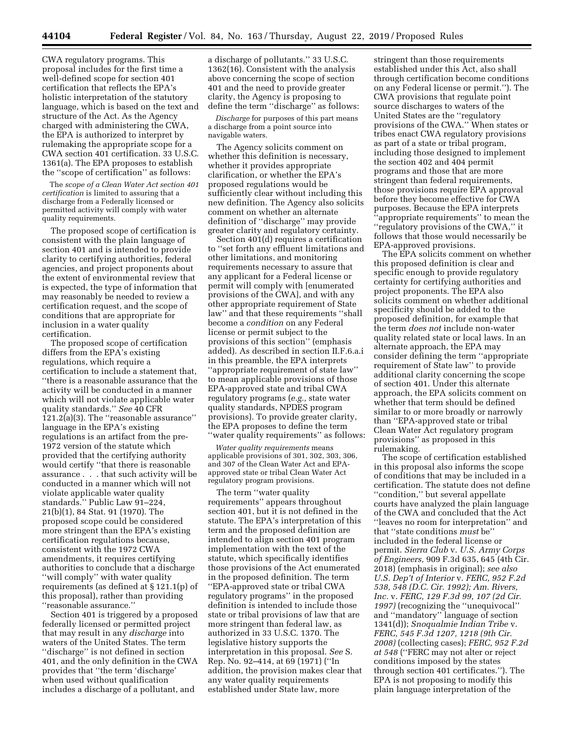CWA regulatory programs. This proposal includes for the first time a well-defined scope for section 401 certification that reflects the EPA's holistic interpretation of the statutory language, which is based on the text and structure of the Act. As the Agency charged with administering the CWA, the EPA is authorized to interpret by rulemaking the appropriate scope for a CWA section 401 certification. 33 U.S.C. 1361(a). The EPA proposes to establish the ''scope of certification'' as follows:

The *scope of a Clean Water Act section 401 certification* is limited to assuring that a discharge from a Federally licensed or permitted activity will comply with water quality requirements.

The proposed scope of certification is consistent with the plain language of section 401 and is intended to provide clarity to certifying authorities, federal agencies, and project proponents about the extent of environmental review that is expected, the type of information that may reasonably be needed to review a certification request, and the scope of conditions that are appropriate for inclusion in a water quality certification.

The proposed scope of certification differs from the EPA's existing regulations, which require a certification to include a statement that, ''there is a reasonable assurance that the activity will be conducted in a manner which will not violate applicable water quality standards.'' *See* 40 CFR 121.2(a)(3). The ''reasonable assurance'' language in the EPA's existing regulations is an artifact from the pre-1972 version of the statute which provided that the certifying authority would certify ''that there is reasonable assurance . . . that such activity will be conducted in a manner which will not violate applicable water quality standards.'' Public Law 91–224, 21(b)(1), 84 Stat. 91 (1970). The proposed scope could be considered more stringent than the EPA's existing certification regulations because, consistent with the 1972 CWA amendments, it requires certifying authorities to conclude that a discharge ''will comply'' with water quality requirements (as defined at § 121.1(p) of this proposal), rather than providing ''reasonable assurance.''

Section 401 is triggered by a proposed federally licensed or permitted project that may result in any *discharge* into waters of the United States. The term ''discharge'' is not defined in section 401, and the only definition in the CWA provides that ''the term 'discharge' when used without qualification includes a discharge of a pollutant, and

a discharge of pollutants.'' 33 U.S.C. 1362(16). Consistent with the analysis above concerning the scope of section 401 and the need to provide greater clarity, the Agency is proposing to define the term ''discharge'' as follows:

*Discharge* for purposes of this part means a discharge from a point source into navigable waters.

The Agency solicits comment on whether this definition is necessary, whether it provides appropriate clarification, or whether the EPA's proposed regulations would be sufficiently clear without including this new definition. The Agency also solicits comment on whether an alternate definition of ''discharge'' may provide greater clarity and regulatory certainty.

Section 401(d) requires a certification to ''set forth any effluent limitations and other limitations, and monitoring requirements necessary to assure that any applicant for a Federal license or permit will comply with [enumerated provisions of the CWA], and with any other appropriate requirement of State law'' and that these requirements ''shall become a *condition* on any Federal license or permit subject to the provisions of this section'' (emphasis added). As described in section II.F.6.a.i in this preamble, the EPA interprets ''appropriate requirement of state law'' to mean applicable provisions of those EPA-approved state and tribal CWA regulatory programs (*e.g.,* state water quality standards, NPDES program provisions). To provide greater clarity, the EPA proposes to define the term ''water quality requirements'' as follows:

*Water quality requirements* means applicable provisions of 301, 302, 303, 306, and 307 of the Clean Water Act and EPAapproved state or tribal Clean Water Act regulatory program provisions.

The term ''water quality requirements'' appears throughout section 401, but it is not defined in the statute. The EPA's interpretation of this term and the proposed definition are intended to align section 401 program implementation with the text of the statute, which specifically identifies those provisions of the Act enumerated in the proposed definition. The term ''EPA-approved state or tribal CWA regulatory programs'' in the proposed definition is intended to include those state or tribal provisions of law that are more stringent than federal law, as authorized in 33 U.S.C. 1370. The legislative history supports the interpretation in this proposal. *See* S. Rep. No. 92–414, at 69 (1971) (''In addition, the provision makes clear that any water quality requirements established under State law, more

stringent than those requirements established under this Act, also shall through certification become conditions on any Federal license or permit.''). The CWA provisions that regulate point source discharges to waters of the United States are the ''regulatory provisions of the CWA.'' When states or tribes enact CWA regulatory provisions as part of a state or tribal program, including those designed to implement the section 402 and 404 permit programs and those that are more stringent than federal requirements, those provisions require EPA approval before they become effective for CWA purposes. Because the EPA interprets 'appropriate requirements'' to mean the ''regulatory provisions of the CWA,'' it follows that those would necessarily be EPA-approved provisions.

The EPA solicits comment on whether this proposed definition is clear and specific enough to provide regulatory certainty for certifying authorities and project proponents. The EPA also solicits comment on whether additional specificity should be added to the proposed definition, for example that the term *does not* include non-water quality related state or local laws. In an alternate approach, the EPA may consider defining the term ''appropriate requirement of State law'' to provide additional clarity concerning the scope of section 401. Under this alternate approach, the EPA solicits comment on whether that term should be defined similar to or more broadly or narrowly than ''EPA-approved state or tribal Clean Water Act regulatory program provisions'' as proposed in this rulemaking.

The scope of certification established in this proposal also informs the scope of conditions that may be included in a certification. The statute does not define ''condition,'' but several appellate courts have analyzed the plain language of the CWA and concluded that the Act ''leaves no room for interpretation'' and that ''state conditions *must* be'' included in the federal license or permit. *Sierra Club* v. *U.S. Army Corps of Engineers,* 909 F.3d 635, 645 (4th Cir. 2018) (emphasis in original); *see also U.S. Dep't of Interior* v. *FERC, 952 F.2d 538, 548 (D.C. Cir. 1992); Am. Rivers, Inc.* v. *FERC, 129 F.3d 99, 107 (2d Cir. 1997)* (recognizing the ''unequivocal'' and ''mandatory'' language of section 1341(d)); *Snoqualmie Indian Tribe* v. *FERC, 545 F.3d 1207, 1218 (9th Cir. 2008)* (collecting cases); *FERC, 952 F.2d at 548* (''FERC may not alter or reject conditions imposed by the states through section 401 certificates.''). The EPA is not proposing to modify this plain language interpretation of the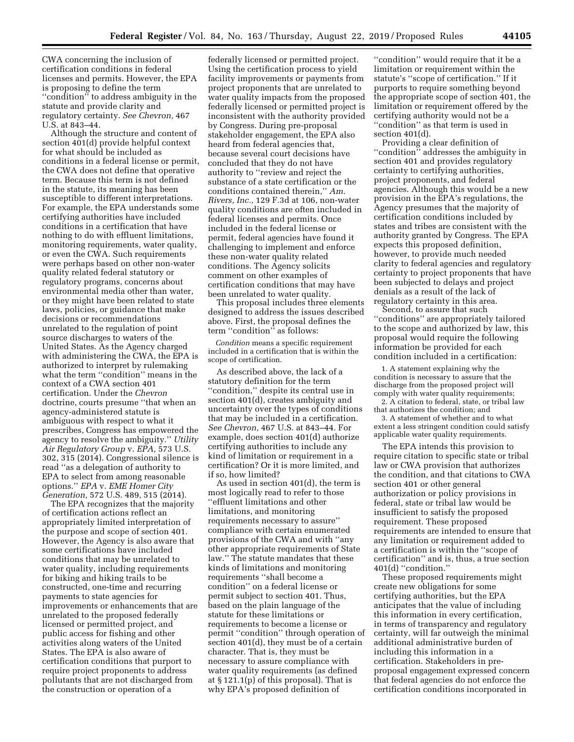CWA concerning the inclusion of certification conditions in federal licenses and permits. However, the EPA is proposing to define the term "condition" to address ambiguity in the statute and provide clarity and regulatory certainty. *See Chevron,* 467 U.S. at 843–44.

Although the structure and content of section 401(d) provide helpful context for what should be included as conditions in a federal license or permit, the CWA does not define that operative term. Because this term is not defined in the statute, its meaning has been susceptible to different interpretations. For example, the EPA understands some certifying authorities have included conditions in a certification that have nothing to do with effluent limitations, monitoring requirements, water quality, or even the CWA. Such requirements were perhaps based on other non-water quality related federal statutory or regulatory programs, concerns about environmental media other than water, or they might have been related to state laws, policies, or guidance that make decisions or recommendations unrelated to the regulation of point source discharges to waters of the United States. As the Agency charged with administering the CWA, the EPA is authorized to interpret by rulemaking what the term ''condition'' means in the context of a CWA section 401 certification. Under the *Chevron*  doctrine, courts presume ''that when an agency-administered statute is ambiguous with respect to what it prescribes, Congress has empowered the agency to resolve the ambiguity.'' *Utility Air Regulatory Group* v. *EPA,* 573 U.S. 302, 315 (2014). Congressional silence is read ''as a delegation of authority to EPA to select from among reasonable options.'' *EPA* v. *EME Homer City Generation,* 572 U.S. 489, 515 (2014).

The EPA recognizes that the majority of certification actions reflect an appropriately limited interpretation of the purpose and scope of section 401. However, the Agency is also aware that some certifications have included conditions that may be unrelated to water quality, including requirements for biking and hiking trails to be constructed, one-time and recurring payments to state agencies for improvements or enhancements that are unrelated to the proposed federally licensed or permitted project, and public access for fishing and other activities along waters of the United States. The EPA is also aware of certification conditions that purport to require project proponents to address pollutants that are not discharged from the construction or operation of a

federally licensed or permitted project. Using the certification process to yield facility improvements or payments from project proponents that are unrelated to water quality impacts from the proposed federally licensed or permitted project is inconsistent with the authority provided by Congress. During pre-proposal stakeholder engagement, the EPA also heard from federal agencies that, because several court decisions have concluded that they do not have authority to ''review and reject the substance of a state certification or the conditions contained therein,'' *Am. Rivers, Inc.,* 129 F.3d at 106, non-water quality conditions are often included in federal licenses and permits. Once included in the federal license or permit, federal agencies have found it challenging to implement and enforce these non-water quality related conditions. The Agency solicits comment on other examples of certification conditions that may have been unrelated to water quality.

This proposal includes three elements designed to address the issues described above. First, the proposal defines the term "condition" as follows:

*Condition* means a specific requirement included in a certification that is within the scope of certification.

As described above, the lack of a statutory definition for the term ''condition,'' despite its central use in section 401(d), creates ambiguity and uncertainty over the types of conditions that may be included in a certification. *See Chevron,* 467 U.S. at 843–44. For example, does section 401(d) authorize certifying authorities to include any kind of limitation or requirement in a certification? Or it is more limited, and if so, how limited?

As used in section 401(d), the term is most logically read to refer to those ''effluent limitations and other limitations, and monitoring requirements necessary to assure'' compliance with certain enumerated provisions of the CWA and with ''any other appropriate requirements of State law.'' The statute mandates that these kinds of limitations and monitoring requirements ''shall become a condition'' on a federal license or permit subject to section 401. Thus, based on the plain language of the statute for these limitations or requirements to become a license or permit ''condition'' through operation of section 401(d), they must be of a certain character. That is, they must be necessary to assure compliance with water quality requirements (as defined at § 121.1(p) of this proposal). That is why EPA's proposed definition of

''condition'' would require that it be a limitation or requirement within the statute's ''scope of certification.'' If it purports to require something beyond the appropriate scope of section 401, the limitation or requirement offered by the certifying authority would not be a ''condition'' as that term is used in section 401(d).

Providing a clear definition of ''condition'' addresses the ambiguity in section 401 and provides regulatory certainty to certifying authorities, project proponents, and federal agencies. Although this would be a new provision in the EPA's regulations, the Agency presumes that the majority of certification conditions included by states and tribes are consistent with the authority granted by Congress. The EPA expects this proposed definition, however, to provide much needed clarity to federal agencies and regulatory certainty to project proponents that have been subjected to delays and project denials as a result of the lack of regulatory certainty in this area.

Second, to assure that such ''conditions'' are appropriately tailored to the scope and authorized by law, this proposal would require the following information be provided for each condition included in a certification:

1. A statement explaining why the condition is necessary to assure that the discharge from the proposed project will comply with water quality requirements; 2. A citation to federal, state, or tribal law

that authorizes the condition; and 3. A statement of whether and to what

extent a less stringent condition could satisfy applicable water quality requirements.

The EPA intends this provision to require citation to specific state or tribal law or CWA provision that authorizes the condition, and that citations to CWA section 401 or other general authorization or policy provisions in federal, state or tribal law would be insufficient to satisfy the proposed requirement. These proposed requirements are intended to ensure that any limitation or requirement added to a certification is within the ''scope of certification'' and is, thus, a true section 401(d) ''condition.''

These proposed requirements might create new obligations for some certifying authorities, but the EPA anticipates that the value of including this information in every certification, in terms of transparency and regulatory certainty, will far outweigh the minimal additional administrative burden of including this information in a certification. Stakeholders in preproposal engagement expressed concern that federal agencies do not enforce the certification conditions incorporated in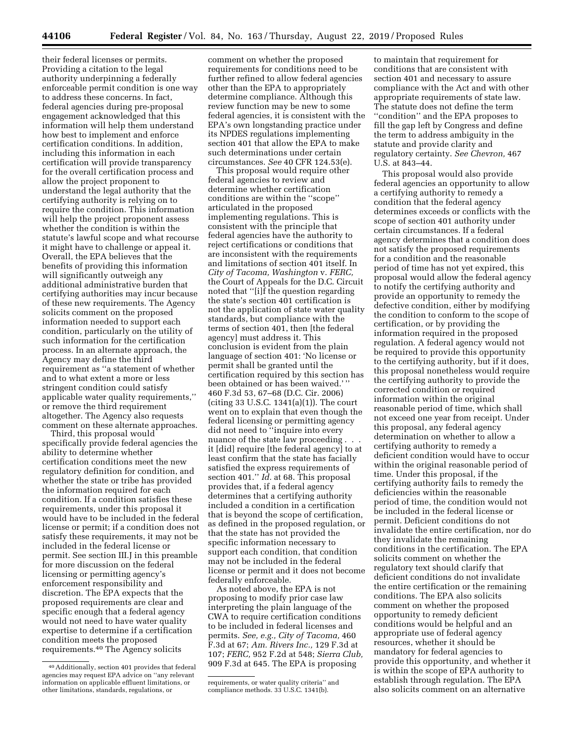their federal licenses or permits. Providing a citation to the legal authority underpinning a federally enforceable permit condition is one way to address these concerns. In fact, federal agencies during pre-proposal engagement acknowledged that this information will help them understand how best to implement and enforce certification conditions. In addition, including this information in each certification will provide transparency for the overall certification process and allow the project proponent to understand the legal authority that the certifying authority is relying on to require the condition. This information will help the project proponent assess whether the condition is within the statute's lawful scope and what recourse it might have to challenge or appeal it. Overall, the EPA believes that the benefits of providing this information will significantly outweigh any additional administrative burden that certifying authorities may incur because of these new requirements. The Agency solicits comment on the proposed information needed to support each condition, particularly on the utility of such information for the certification process. In an alternate approach, the Agency may define the third requirement as ''a statement of whether and to what extent a more or less stringent condition could satisfy applicable water quality requirements,'' or remove the third requirement altogether. The Agency also requests comment on these alternate approaches.

Third, this proposal would specifically provide federal agencies the ability to determine whether certification conditions meet the new regulatory definition for condition, and whether the state or tribe has provided the information required for each condition. If a condition satisfies these requirements, under this proposal it would have to be included in the federal license or permit; if a condition does not satisfy these requirements, it may not be included in the federal license or permit. See section III.J in this preamble for more discussion on the federal licensing or permitting agency's enforcement responsibility and discretion. The EPA expects that the proposed requirements are clear and specific enough that a federal agency would not need to have water quality expertise to determine if a certification condition meets the proposed requirements.40 The Agency solicits

comment on whether the proposed requirements for conditions need to be further refined to allow federal agencies other than the EPA to appropriately determine compliance. Although this review function may be new to some federal agencies, it is consistent with the EPA's own longstanding practice under its NPDES regulations implementing section 401 that allow the EPA to make such determinations under certain circumstances. *See* 40 CFR 124.53(e).

This proposal would require other federal agencies to review and determine whether certification conditions are within the ''scope'' articulated in the proposed implementing regulations. This is consistent with the principle that federal agencies have the authority to reject certifications or conditions that are inconsistent with the requirements and limitations of section 401 itself. In *City of Tacoma, Washington* v. *FERC,*  the Court of Appeals for the D.C. Circuit noted that ''[i]f the question regarding the state's section 401 certification is not the application of state water quality standards, but compliance with the terms of section 401, then [the federal agency] must address it. This conclusion is evident from the plain language of section 401: 'No license or permit shall be granted until the certification required by this section has been obtained or has been waived.'' 460 F.3d 53, 67–68 (D.C. Cir. 2006) (citing 33 U.S.C. 1341(a)(1)). The court went on to explain that even though the federal licensing or permitting agency did not need to ''inquire into every nuance of the state law proceeding . . . it [did] require [the federal agency] to at least confirm that the state has facially satisfied the express requirements of section 401.'' *Id.* at 68. This proposal provides that, if a federal agency determines that a certifying authority included a condition in a certification that is beyond the scope of certification, as defined in the proposed regulation, or that the state has not provided the specific information necessary to support each condition, that condition may not be included in the federal license or permit and it does not become federally enforceable.

As noted above, the EPA is not proposing to modify prior case law interpreting the plain language of the CWA to require certification conditions to be included in federal licenses and permits. *See, e.g., City of Tacoma,* 460 F.3d at 67; *Am. Rivers Inc.,* 129 F.3d at 107; *FERC,* 952 F.2d at 548; *Sierra Club,*  909 F.3d at 645. The EPA is proposing

to maintain that requirement for conditions that are consistent with section 401 and necessary to assure compliance with the Act and with other appropriate requirements of state law. The statute does not define the term ''condition'' and the EPA proposes to fill the gap left by Congress and define the term to address ambiguity in the statute and provide clarity and regulatory certainty. *See Chevron,* 467 U.S. at 843–44.

This proposal would also provide federal agencies an opportunity to allow a certifying authority to remedy a condition that the federal agency determines exceeds or conflicts with the scope of section 401 authority under certain circumstances. If a federal agency determines that a condition does not satisfy the proposed requirements for a condition and the reasonable period of time has not yet expired, this proposal would allow the federal agency to notify the certifying authority and provide an opportunity to remedy the defective condition, either by modifying the condition to conform to the scope of certification, or by providing the information required in the proposed regulation. A federal agency would not be required to provide this opportunity to the certifying authority, but if it does, this proposal nonetheless would require the certifying authority to provide the corrected condition or required information within the original reasonable period of time, which shall not exceed one year from receipt. Under this proposal, any federal agency determination on whether to allow a certifying authority to remedy a deficient condition would have to occur within the original reasonable period of time. Under this proposal, if the certifying authority fails to remedy the deficiencies within the reasonable period of time, the condition would not be included in the federal license or permit. Deficient conditions do not invalidate the entire certification, nor do they invalidate the remaining conditions in the certification. The EPA solicits comment on whether the regulatory text should clarify that deficient conditions do not invalidate the entire certification or the remaining conditions. The EPA also solicits comment on whether the proposed opportunity to remedy deficient conditions would be helpful and an appropriate use of federal agency resources, whether it should be mandatory for federal agencies to provide this opportunity, and whether it is within the scope of EPA authority to establish through regulation. The EPA also solicits comment on an alternative

<sup>40</sup>Additionally, section 401 provides that federal agencies may request EPA advice on ''any relevant information on applicable effluent limitations, or other limitations, standards, regulations, or

requirements, or water quality criteria'' and compliance methods. 33 U.S.C. 1341(b).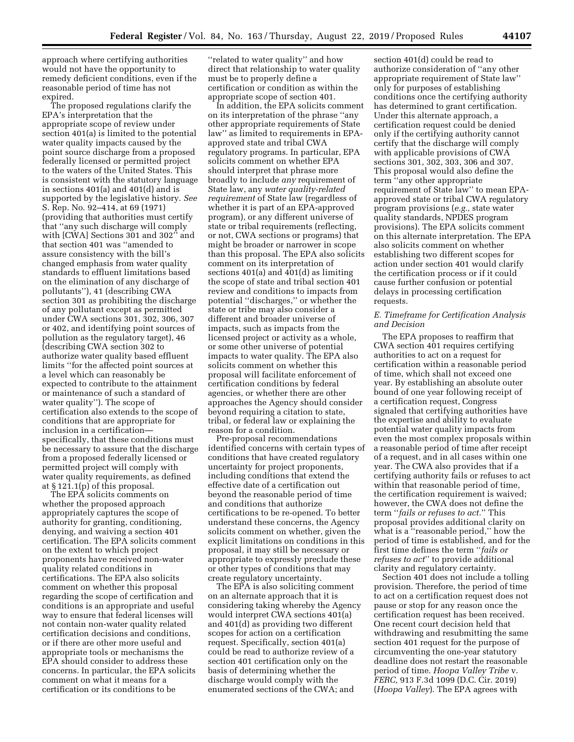approach where certifying authorities would not have the opportunity to remedy deficient conditions, even if the reasonable period of time has not expired.

The proposed regulations clarify the EPA's interpretation that the appropriate scope of review under section 401(a) is limited to the potential water quality impacts caused by the point source discharge from a proposed federally licensed or permitted project to the waters of the United States. This is consistent with the statutory language in sections 401(a) and 401(d) and is supported by the legislative history. *See*  S. Rep. No. 92–414, at 69 (1971) (providing that authorities must certify that ''any such discharge will comply with [CWA] Sections 301 and 302" and that section 401 was ''amended to assure consistency with the bill's changed emphasis from water quality standards to effluent limitations based on the elimination of any discharge of pollutants''), 41 (describing CWA section 301 as prohibiting the discharge of any pollutant except as permitted under CWA sections 301, 302, 306, 307 or 402, and identifying point sources of pollution as the regulatory target), 46 (describing CWA section 302 to authorize water quality based effluent limits ''for the affected point sources at a level which can reasonably be expected to contribute to the attainment or maintenance of such a standard of water quality''). The scope of certification also extends to the scope of conditions that are appropriate for inclusion in a certification specifically, that these conditions must be necessary to assure that the discharge from a proposed federally licensed or permitted project will comply with water quality requirements, as defined at § 121.1(p) of this proposal.

The EPA solicits comments on whether the proposed approach appropriately captures the scope of authority for granting, conditioning, denying, and waiving a section 401 certification. The EPA solicits comment on the extent to which project proponents have received non-water quality related conditions in certifications. The EPA also solicits comment on whether this proposal regarding the scope of certification and conditions is an appropriate and useful way to ensure that federal licenses will not contain non-water quality related certification decisions and conditions, or if there are other more useful and appropriate tools or mechanisms the EPA should consider to address these concerns. In particular, the EPA solicits comment on what it means for a certification or its conditions to be

''related to water quality'' and how direct that relationship to water quality must be to properly define a certification or condition as within the appropriate scope of section 401.

In addition, the EPA solicits comment on its interpretation of the phrase ''any other appropriate requirements of State law'' as limited to requirements in EPAapproved state and tribal CWA regulatory programs. In particular, EPA solicits comment on whether EPA should interpret that phrase more broadly to include *any* requirement of State law, any *water quality-related requirement* of State law (regardless of whether it is part of an EPA-approved program), or any different universe of state or tribal requirements (reflecting, or not, CWA sections or programs) that might be broader or narrower in scope than this proposal. The EPA also solicits comment on its interpretation of sections  $401(a)$  and  $401(d)$  as limiting the scope of state and tribal section 401 review and conditions to impacts from potential ''discharges,'' or whether the state or tribe may also consider a different and broader universe of impacts, such as impacts from the licensed project or activity as a whole, or some other universe of potential impacts to water quality. The EPA also solicits comment on whether this proposal will facilitate enforcement of certification conditions by federal agencies, or whether there are other approaches the Agency should consider beyond requiring a citation to state, tribal, or federal law or explaining the reason for a condition.

Pre-proposal recommendations identified concerns with certain types of conditions that have created regulatory uncertainty for project proponents, including conditions that extend the effective date of a certification out beyond the reasonable period of time and conditions that authorize certifications to be re-opened. To better understand these concerns, the Agency solicits comment on whether, given the explicit limitations on conditions in this proposal, it may still be necessary or appropriate to expressly preclude these or other types of conditions that may create regulatory uncertainty.

The EPA is also soliciting comment on an alternate approach that it is considering taking whereby the Agency would interpret CWA sections 401(a) and 401(d) as providing two different scopes for action on a certification request. Specifically, section 401(a) could be read to authorize review of a section 401 certification only on the basis of determining whether the discharge would comply with the enumerated sections of the CWA; and

section 401(d) could be read to authorize consideration of ''any other appropriate requirement of State law'' only for purposes of establishing conditions once the certifying authority has determined to grant certification. Under this alternate approach, a certification request could be denied only if the certifying authority cannot certify that the discharge will comply with applicable provisions of CWA sections 301, 302, 303, 306 and 307. This proposal would also define the term ''any other appropriate requirement of State law'' to mean EPAapproved state or tribal CWA regulatory program provisions (*e.g.,* state water quality standards, NPDES program provisions). The EPA solicits comment on this alternate interpretation. The EPA also solicits comment on whether establishing two different scopes for action under section 401 would clarify the certification process or if it could cause further confusion or potential delays in processing certification requests.

## *E. Timeframe for Certification Analysis and Decision*

The EPA proposes to reaffirm that CWA section 401 requires certifying authorities to act on a request for certification within a reasonable period of time, which shall not exceed one year. By establishing an absolute outer bound of one year following receipt of a certification request, Congress signaled that certifying authorities have the expertise and ability to evaluate potential water quality impacts from even the most complex proposals within a reasonable period of time after receipt of a request, and in all cases within one year. The CWA also provides that if a certifying authority fails or refuses to act within that reasonable period of time, the certification requirement is waived; however, the CWA does not define the term ''*fails or refuses to act.*'' This proposal provides additional clarity on what is a ''reasonable period,'' how the period of time is established, and for the first time defines the term ''*fails or refuses to act*'' to provide additional clarity and regulatory certainty.

Section 401 does not include a tolling provision. Therefore, the period of time to act on a certification request does not pause or stop for any reason once the certification request has been received. One recent court decision held that withdrawing and resubmitting the same section 401 request for the purpose of circumventing the one-year statutory deadline does not restart the reasonable period of time. *Hoopa Valley Tribe* v. *FERC,* 913 F.3d 1099 (D.C. Cir. 2019) (*Hoopa Valley*). The EPA agrees with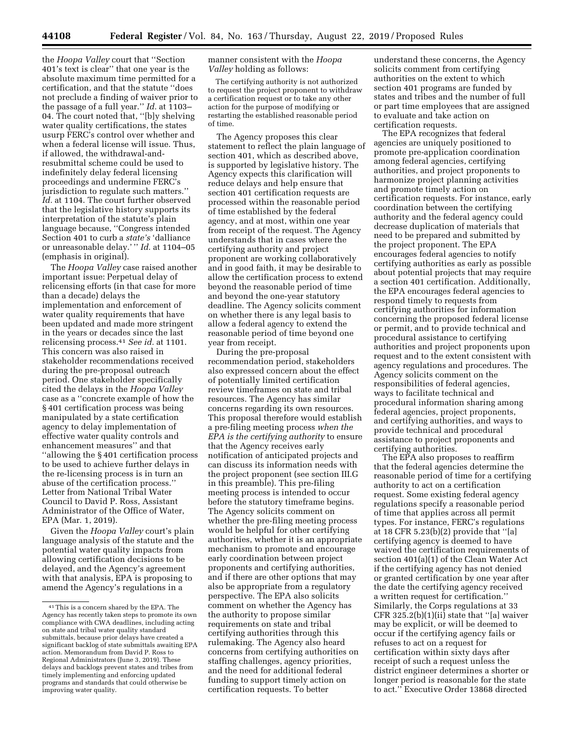the *Hoopa Valley* court that ''Section 401's text is clear'' that one year is the absolute maximum time permitted for a certification, and that the statute ''does not preclude a finding of waiver prior to the passage of a full year.'' *Id.* at 1103– 04. The court noted that, ''[b]y shelving water quality certifications, the states usurp FERC's control over whether and when a federal license will issue. Thus, if allowed, the withdrawal-andresubmittal scheme could be used to indefinitely delay federal licensing proceedings and undermine FERC's jurisdiction to regulate such matters.'' *Id.* at 1104. The court further observed that the legislative history supports its interpretation of the statute's plain language because, ''Congress intended Section 401 to curb a *state's* 'dalliance or unreasonable delay.' '' *Id.* at 1104–05 (emphasis in original).

The *Hoopa Valley* case raised another important issue: Perpetual delay of relicensing efforts (in that case for more than a decade) delays the implementation and enforcement of water quality requirements that have been updated and made more stringent in the years or decades since the last relicensing process.41 *See id.* at 1101. This concern was also raised in stakeholder recommendations received during the pre-proposal outreach period. One stakeholder specifically cited the delays in the *Hoopa Valley*  case as a ''concrete example of how the § 401 certification process was being manipulated by a state certification agency to delay implementation of effective water quality controls and enhancement measures'' and that ''allowing the § 401 certification process to be used to achieve further delays in the re-licensing process is in turn an abuse of the certification process.'' Letter from National Tribal Water Council to David P. Ross, Assistant Administrator of the Office of Water, EPA (Mar. 1, 2019).

Given the *Hoopa Valley* court's plain language analysis of the statute and the potential water quality impacts from allowing certification decisions to be delayed, and the Agency's agreement with that analysis, EPA is proposing to amend the Agency's regulations in a

manner consistent with the *Hoopa Valley* holding as follows:

The certifying authority is not authorized to request the project proponent to withdraw a certification request or to take any other action for the purpose of modifying or restarting the established reasonable period of time.

The Agency proposes this clear statement to reflect the plain language of section 401, which as described above, is supported by legislative history. The Agency expects this clarification will reduce delays and help ensure that section 401 certification requests are processed within the reasonable period of time established by the federal agency, and at most, within one year from receipt of the request. The Agency understands that in cases where the certifying authority and project proponent are working collaboratively and in good faith, it may be desirable to allow the certification process to extend beyond the reasonable period of time and beyond the one-year statutory deadline. The Agency solicits comment on whether there is any legal basis to allow a federal agency to extend the reasonable period of time beyond one year from receipt.

During the pre-proposal recommendation period, stakeholders also expressed concern about the effect of potentially limited certification review timeframes on state and tribal resources. The Agency has similar concerns regarding its own resources. This proposal therefore would establish a pre-filing meeting process *when the EPA is the certifying authority* to ensure that the Agency receives early notification of anticipated projects and can discuss its information needs with the project proponent (see section III.G in this preamble). This pre-filing meeting process is intended to occur before the statutory timeframe begins. The Agency solicits comment on whether the pre-filing meeting process would be helpful for other certifying authorities, whether it is an appropriate mechanism to promote and encourage early coordination between project proponents and certifying authorities, and if there are other options that may also be appropriate from a regulatory perspective. The EPA also solicits comment on whether the Agency has the authority to propose similar requirements on state and tribal certifying authorities through this rulemaking. The Agency also heard concerns from certifying authorities on staffing challenges, agency priorities, and the need for additional federal funding to support timely action on certification requests. To better

understand these concerns, the Agency solicits comment from certifying authorities on the extent to which section 401 programs are funded by states and tribes and the number of full or part time employees that are assigned to evaluate and take action on certification requests.

The EPA recognizes that federal agencies are uniquely positioned to promote pre-application coordination among federal agencies, certifying authorities, and project proponents to harmonize project planning activities and promote timely action on certification requests. For instance, early coordination between the certifying authority and the federal agency could decrease duplication of materials that need to be prepared and submitted by the project proponent. The EPA encourages federal agencies to notify certifying authorities as early as possible about potential projects that may require a section 401 certification. Additionally, the EPA encourages federal agencies to respond timely to requests from certifying authorities for information concerning the proposed federal license or permit, and to provide technical and procedural assistance to certifying authorities and project proponents upon request and to the extent consistent with agency regulations and procedures. The Agency solicits comment on the responsibilities of federal agencies, ways to facilitate technical and procedural information sharing among federal agencies, project proponents, and certifying authorities, and ways to provide technical and procedural assistance to project proponents and certifying authorities.

The EPA also proposes to reaffirm that the federal agencies determine the reasonable period of time for a certifying authority to act on a certification request. Some existing federal agency regulations specify a reasonable period of time that applies across all permit types. For instance, FERC's regulations at 18 CFR 5.23(b)(2) provide that ''[a] certifying agency is deemed to have waived the certification requirements of section 401(a)(1) of the Clean Water Act if the certifying agency has not denied or granted certification by one year after the date the certifying agency received a written request for certification.'' Similarly, the Corps regulations at 33 CFR 325.2(b)(1)(ii) state that ''[a] waiver may be explicit, or will be deemed to occur if the certifying agency fails or refuses to act on a request for certification within sixty days after receipt of such a request unless the district engineer determines a shorter or longer period is reasonable for the state to act.'' Executive Order 13868 directed

<sup>41</sup>This is a concern shared by the EPA. The Agency has recently taken steps to promote its own compliance with CWA deadlines, including acting on state and tribal water quality standard submittals, because prior delays have created a significant backlog of state submittals awaiting EPA action. Memorandum from David P. Ross to Regional Administrators (June 3, 2019). These delays and backlogs prevent states and tribes from timely implementing and enforcing updated programs and standards that could otherwise be improving water quality.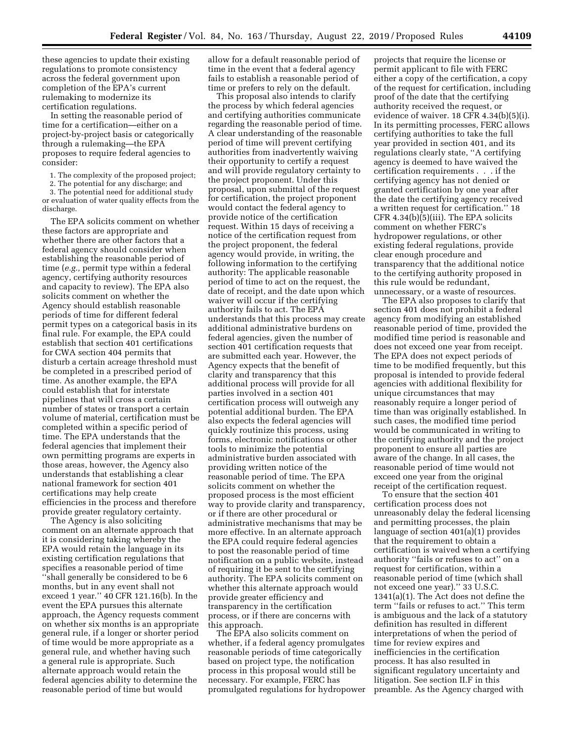these agencies to update their existing regulations to promote consistency across the federal government upon completion of the EPA's current rulemaking to modernize its certification regulations.

In setting the reasonable period of time for a certification—either on a project-by-project basis or categorically through a rulemaking—the EPA proposes to require federal agencies to consider:

1. The complexity of the proposed project;

2. The potential for any discharge; and

3. The potential need for additional study or evaluation of water quality effects from the discharge.

The EPA solicits comment on whether these factors are appropriate and whether there are other factors that a federal agency should consider when establishing the reasonable period of time (*e.g.,* permit type within a federal agency, certifying authority resources and capacity to review). The EPA also solicits comment on whether the Agency should establish reasonable periods of time for different federal permit types on a categorical basis in its final rule. For example, the EPA could establish that section 401 certifications for CWA section 404 permits that disturb a certain acreage threshold must be completed in a prescribed period of time. As another example, the EPA could establish that for interstate pipelines that will cross a certain number of states or transport a certain volume of material, certification must be completed within a specific period of time. The EPA understands that the federal agencies that implement their own permitting programs are experts in those areas, however, the Agency also understands that establishing a clear national framework for section 401 certifications may help create efficiencies in the process and therefore provide greater regulatory certainty.

The Agency is also soliciting comment on an alternate approach that it is considering taking whereby the EPA would retain the language in its existing certification regulations that specifies a reasonable period of time ''shall generally be considered to be 6 months, but in any event shall not exceed 1 year.'' 40 CFR 121.16(b). In the event the EPA pursues this alternate approach, the Agency requests comment on whether six months is an appropriate general rule, if a longer or shorter period of time would be more appropriate as a general rule, and whether having such a general rule is appropriate. Such alternate approach would retain the federal agencies ability to determine the reasonable period of time but would

allow for a default reasonable period of time in the event that a federal agency fails to establish a reasonable period of time or prefers to rely on the default.

This proposal also intends to clarify the process by which federal agencies and certifying authorities communicate regarding the reasonable period of time. A clear understanding of the reasonable period of time will prevent certifying authorities from inadvertently waiving their opportunity to certify a request and will provide regulatory certainty to the project proponent. Under this proposal, upon submittal of the request for certification, the project proponent would contact the federal agency to provide notice of the certification request. Within 15 days of receiving a notice of the certification request from the project proponent, the federal agency would provide, in writing, the following information to the certifying authority: The applicable reasonable period of time to act on the request, the date of receipt, and the date upon which waiver will occur if the certifying authority fails to act. The EPA understands that this process may create additional administrative burdens on federal agencies, given the number of section 401 certification requests that are submitted each year. However, the Agency expects that the benefit of clarity and transparency that this additional process will provide for all parties involved in a section 401 certification process will outweigh any potential additional burden. The EPA also expects the federal agencies will quickly routinize this process, using forms, electronic notifications or other tools to minimize the potential administrative burden associated with providing written notice of the reasonable period of time. The EPA solicits comment on whether the proposed process is the most efficient way to provide clarity and transparency, or if there are other procedural or administrative mechanisms that may be more effective. In an alternate approach the EPA could require federal agencies to post the reasonable period of time notification on a public website, instead of requiring it be sent to the certifying authority. The EPA solicits comment on whether this alternate approach would provide greater efficiency and transparency in the certification process, or if there are concerns with this approach.

The EPA also solicits comment on whether, if a federal agency promulgates reasonable periods of time categorically based on project type, the notification process in this proposal would still be necessary. For example, FERC has promulgated regulations for hydropower

projects that require the license or permit applicant to file with FERC either a copy of the certification, a copy of the request for certification, including proof of the date that the certifying authority received the request, or evidence of waiver. 18 CFR 4.34(b)(5)(i). In its permitting processes, FERC allows certifying authorities to take the full year provided in section 401, and its regulations clearly state, ''A certifying agency is deemed to have waived the certification requirements . . . if the certifying agency has not denied or granted certification by one year after the date the certifying agency received a written request for certification.'' 18 CFR 4.34(b)(5)(iii). The EPA solicits comment on whether FERC's hydropower regulations, or other existing federal regulations, provide clear enough procedure and transparency that the additional notice to the certifying authority proposed in this rule would be redundant, unnecessary, or a waste of resources.

The EPA also proposes to clarify that section 401 does not prohibit a federal agency from modifying an established reasonable period of time, provided the modified time period is reasonable and does not exceed one year from receipt. The EPA does not expect periods of time to be modified frequently, but this proposal is intended to provide federal agencies with additional flexibility for unique circumstances that may reasonably require a longer period of time than was originally established. In such cases, the modified time period would be communicated in writing to the certifying authority and the project proponent to ensure all parties are aware of the change. In all cases, the reasonable period of time would not exceed one year from the original receipt of the certification request.

To ensure that the section 401 certification process does not unreasonably delay the federal licensing and permitting processes, the plain language of section 401(a)(1) provides that the requirement to obtain a certification is waived when a certifying authority ''fails or refuses to act'' on a request for certification, within a reasonable period of time (which shall not exceed one year).'' 33 U.S.C. 1341(a)(1). The Act does not define the term ''fails or refuses to act.'' This term is ambiguous and the lack of a statutory definition has resulted in different interpretations of when the period of time for review expires and inefficiencies in the certification process. It has also resulted in significant regulatory uncertainty and litigation. See section II.F in this preamble. As the Agency charged with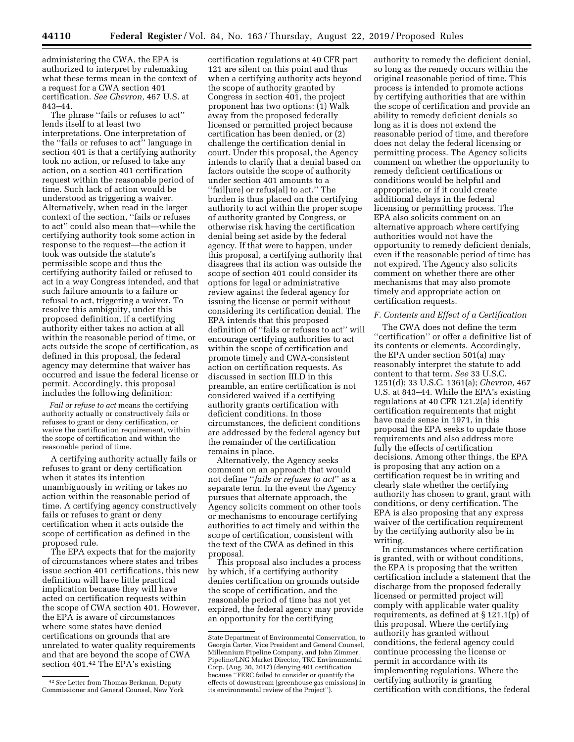administering the CWA, the EPA is authorized to interpret by rulemaking what these terms mean in the context of a request for a CWA section 401 certification. *See Chevron,* 467 U.S. at 843–44.

The phrase ''fails or refuses to act'' lends itself to at least two interpretations. One interpretation of the ''fails or refuses to act'' language in section 401 is that a certifying authority took no action, or refused to take any action, on a section 401 certification request within the reasonable period of time. Such lack of action would be understood as triggering a waiver. Alternatively, when read in the larger context of the section, ''fails or refuses to act'' could also mean that—while the certifying authority took some action in response to the request—the action it took was outside the statute's permissible scope and thus the certifying authority failed or refused to act in a way Congress intended, and that such failure amounts to a failure or refusal to act, triggering a waiver. To resolve this ambiguity, under this proposed definition, if a certifying authority either takes no action at all within the reasonable period of time, or acts outside the scope of certification, as defined in this proposal, the federal agency may determine that waiver has occurred and issue the federal license or permit. Accordingly, this proposal includes the following definition:

*Fail or refuse to act* means the certifying authority actually or constructively fails or refuses to grant or deny certification, or waive the certification requirement, within the scope of certification and within the reasonable period of time.

A certifying authority actually fails or refuses to grant or deny certification when it states its intention unambiguously in writing or takes no action within the reasonable period of time. A certifying agency constructively fails or refuses to grant or deny certification when it acts outside the scope of certification as defined in the proposed rule.

The EPA expects that for the majority of circumstances where states and tribes issue section 401 certifications, this new definition will have little practical implication because they will have acted on certification requests within the scope of CWA section 401. However, the EPA is aware of circumstances where some states have denied certifications on grounds that are unrelated to water quality requirements and that are beyond the scope of CWA section 401.42 The EPA's existing

certification regulations at 40 CFR part 121 are silent on this point and thus when a certifying authority acts beyond the scope of authority granted by Congress in section 401, the project proponent has two options: (1) Walk away from the proposed federally licensed or permitted project because certification has been denied, or (2) challenge the certification denial in court. Under this proposal, the Agency intends to clarify that a denial based on factors outside the scope of authority under section 401 amounts to a ''fail[ure] or refus[al] to act.'' The burden is thus placed on the certifying authority to act within the proper scope of authority granted by Congress, or otherwise risk having the certification denial being set aside by the federal agency. If that were to happen, under this proposal, a certifying authority that disagrees that its action was outside the scope of section 401 could consider its options for legal or administrative review against the federal agency for issuing the license or permit without considering its certification denial. The EPA intends that this proposed definition of ''fails or refuses to act'' will encourage certifying authorities to act within the scope of certification and promote timely and CWA-consistent action on certification requests. As discussed in section III.D in this preamble, an entire certification is not considered waived if a certifying authority grants certification with deficient conditions. In those circumstances, the deficient conditions are addressed by the federal agency but the remainder of the certification remains in place.

Alternatively, the Agency seeks comment on an approach that would not define ''*fails or refuses to act*'' as a separate term. In the event the Agency pursues that alternate approach, the Agency solicits comment on other tools or mechanisms to encourage certifying authorities to act timely and within the scope of certification, consistent with the text of the CWA as defined in this proposal.

This proposal also includes a process by which, if a certifying authority denies certification on grounds outside the scope of certification, and the reasonable period of time has not yet expired, the federal agency may provide an opportunity for the certifying

authority to remedy the deficient denial, so long as the remedy occurs within the original reasonable period of time. This process is intended to promote actions by certifying authorities that are within the scope of certification and provide an ability to remedy deficient denials so long as it is does not extend the reasonable period of time, and therefore does not delay the federal licensing or permitting process. The Agency solicits comment on whether the opportunity to remedy deficient certifications or conditions would be helpful and appropriate, or if it could create additional delays in the federal licensing or permitting process. The EPA also solicits comment on an alternative approach where certifying authorities would not have the opportunity to remedy deficient denials, even if the reasonable period of time has not expired. The Agency also solicits comment on whether there are other mechanisms that may also promote timely and appropriate action on certification requests.

### *F. Contents and Effect of a Certification*

The CWA does not define the term ''certification'' or offer a definitive list of its contents or elements. Accordingly, the EPA under section 501(a) may reasonably interpret the statute to add content to that term. *See* 33 U.S.C. 1251(d); 33 U.S.C. 1361(a); *Chevron,* 467 U.S. at 843–44. While the EPA's existing regulations at 40 CFR 121.2(a) identify certification requirements that might have made sense in 1971, in this proposal the EPA seeks to update those requirements and also address more fully the effects of certification decisions. Among other things, the EPA is proposing that any action on a certification request be in writing and clearly state whether the certifying authority has chosen to grant, grant with conditions, or deny certification. The EPA is also proposing that any express waiver of the certification requirement by the certifying authority also be in writing.

In circumstances where certification is granted, with or without conditions, the EPA is proposing that the written certification include a statement that the discharge from the proposed federally licensed or permitted project will comply with applicable water quality requirements, as defined at § 121.1(p) of this proposal. Where the certifying authority has granted without conditions, the federal agency could continue processing the license or permit in accordance with its implementing regulations. Where the certifying authority is granting certification with conditions, the federal

<sup>42</sup>*See* Letter from Thomas Berkman, Deputy Commissioner and General Counsel, New York

State Department of Environmental Conservation, to Georgia Carter, Vice President and General Counsel, Millennium Pipeline Company, and John Zimmer, Pipeline/LNG Market Director, TRC Environmental Corp. (Aug. 30, 2017) (denying 401 certification because ''FERC failed to consider or quantify the effects of downstream [greenhouse gas emissions] in its environmental review of the Project'').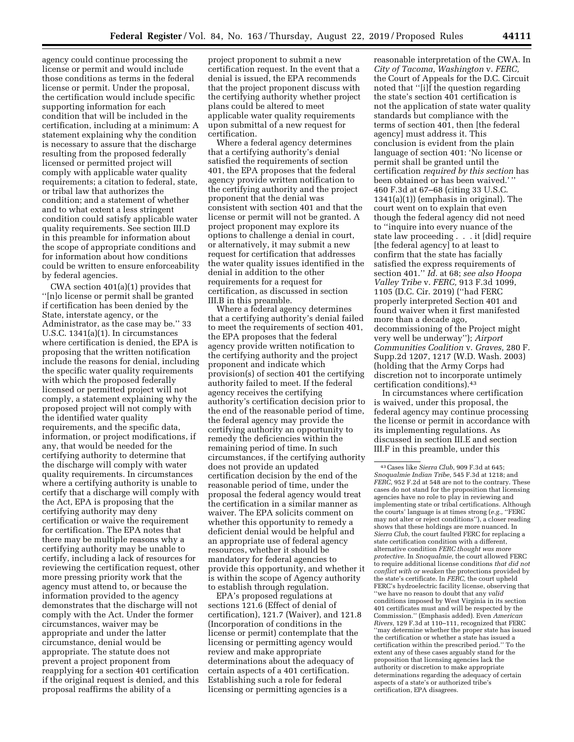agency could continue processing the license or permit and would include those conditions as terms in the federal license or permit. Under the proposal, the certification would include specific supporting information for each condition that will be included in the certification, including at a minimum: A statement explaining why the condition is necessary to assure that the discharge resulting from the proposed federally licensed or permitted project will comply with applicable water quality requirements; a citation to federal, state, or tribal law that authorizes the condition; and a statement of whether and to what extent a less stringent condition could satisfy applicable water quality requirements. See section III.D in this preamble for information about the scope of appropriate conditions and for information about how conditions could be written to ensure enforceability by federal agencies.

CWA section 401(a)(1) provides that ''[n]o license or permit shall be granted if certification has been denied by the State, interstate agency, or the Administrator, as the case may be.'' 33 U.S.C. 1341(a)(1). In circumstances where certification is denied, the EPA is proposing that the written notification include the reasons for denial, including the specific water quality requirements with which the proposed federally licensed or permitted project will not comply, a statement explaining why the proposed project will not comply with the identified water quality requirements, and the specific data, information, or project modifications, if any, that would be needed for the certifying authority to determine that the discharge will comply with water quality requirements. In circumstances where a certifying authority is unable to certify that a discharge will comply with the Act, EPA is proposing that the certifying authority may deny certification or waive the requirement for certification. The EPA notes that there may be multiple reasons why a certifying authority may be unable to certify, including a lack of resources for reviewing the certification request, other more pressing priority work that the agency must attend to, or because the information provided to the agency demonstrates that the discharge will not comply with the Act. Under the former circumstances, waiver may be appropriate and under the latter circumstance, denial would be appropriate. The statute does not prevent a project proponent from reapplying for a section 401 certification if the original request is denied, and this proposal reaffirms the ability of a

project proponent to submit a new certification request. In the event that a denial is issued, the EPA recommends that the project proponent discuss with the certifying authority whether project plans could be altered to meet applicable water quality requirements upon submittal of a new request for certification.

Where a federal agency determines that a certifying authority's denial satisfied the requirements of section 401, the EPA proposes that the federal agency provide written notification to the certifying authority and the project proponent that the denial was consistent with section 401 and that the license or permit will not be granted. A project proponent may explore its options to challenge a denial in court, or alternatively, it may submit a new request for certification that addresses the water quality issues identified in the denial in addition to the other requirements for a request for certification, as discussed in section III.B in this preamble.

Where a federal agency determines that a certifying authority's denial failed to meet the requirements of section 401, the EPA proposes that the federal agency provide written notification to the certifying authority and the project proponent and indicate which provision(s) of section 401 the certifying authority failed to meet. If the federal agency receives the certifying authority's certification decision prior to the end of the reasonable period of time, the federal agency may provide the certifying authority an opportunity to remedy the deficiencies within the remaining period of time. In such circumstances, if the certifying authority does not provide an updated certification decision by the end of the reasonable period of time, under the proposal the federal agency would treat the certification in a similar manner as waiver. The EPA solicits comment on whether this opportunity to remedy a deficient denial would be helpful and an appropriate use of federal agency resources, whether it should be mandatory for federal agencies to provide this opportunity, and whether it is within the scope of Agency authority to establish through regulation.

EPA's proposed regulations at sections 121.6 (Effect of denial of certification), 121.7 (Waiver), and 121.8 (Incorporation of conditions in the license or permit) contemplate that the licensing or permitting agency would review and make appropriate determinations about the adequacy of certain aspects of a 401 certification. Establishing such a role for federal licensing or permitting agencies is a

reasonable interpretation of the CWA. In *City of Tacoma, Washington* v. *FERC,*  the Court of Appeals for the D.C. Circuit noted that ''[i]f the question regarding the state's section 401 certification is not the application of state water quality standards but compliance with the terms of section 401, then [the federal agency] must address it. This conclusion is evident from the plain language of section 401: 'No license or permit shall be granted until the certification *required by this section* has been obtained or has been waived.'' 460 F.3d at 67–68 (citing 33 U.S.C. 1341(a)(1)) (emphasis in original). The court went on to explain that even though the federal agency did not need to ''inquire into every nuance of the state law proceeding . . . it [did] require [the federal agency] to at least to confirm that the state has facially satisfied the express requirements of section 401.'' *Id.* at 68; *see also Hoopa Valley Tribe* v. *FERC,* 913 F.3d 1099, 1105 (D.C. Cir. 2019) (''had FERC properly interpreted Section 401 and found waiver when it first manifested more than a decade ago, decommissioning of the Project might very well be underway''); *Airport Communities Coalition* v. *Graves,* 280 F. Supp.2d 1207, 1217 (W.D. Wash. 2003) (holding that the Army Corps had discretion not to incorporate untimely certification conditions).43

In circumstances where certification is waived, under this proposal, the federal agency may continue processing the license or permit in accordance with its implementing regulations. As discussed in section III.E and section III.F in this preamble, under this

<sup>43</sup>Cases like *Sierra Club,* 909 F.3d at 645; *Snoqualmie Indian Tribe,* 545 F.3d at 1218; and *FERC,* 952 F.2d at 548 are not to the contrary. These cases do not stand for the proposition that licensing agencies have no role to play in reviewing and implementing state or tribal certifications. Although the courts' language is at times strong (*e.g.,* ''FERC may not alter or reject conditions''), a closer reading shows that these holdings are more nuanced. In *Sierra Club,* the court faulted FERC for replacing a state certification condition with a different, alternative condition *FERC thought was more protective.* In *Snoqualmie,* the court allowed FERC to require additional license conditions *that did not conflict with or weaken* the protections provided by the state's certificate. In *FERC,* the court upheld FERC's hydroelectric facility license, observing that ''we have no reason to doubt that any *valid*  conditions imposed by West Virginia in its section 401 certificates must and will be respected by the Commission.'' (Emphasis added). Even *American Rivers,* 129 F.3d at 110–111, recognized that FERC ''may determine whether the proper state has issued the certification or whether a state has issued a certification within the prescribed period.'' To the extent any of these cases arguably stand for the proposition that licensing agencies lack the authority or discretion to make appropriate determinations regarding the adequacy of certain aspects of a state's or authorized tribe's certification, EPA disagrees.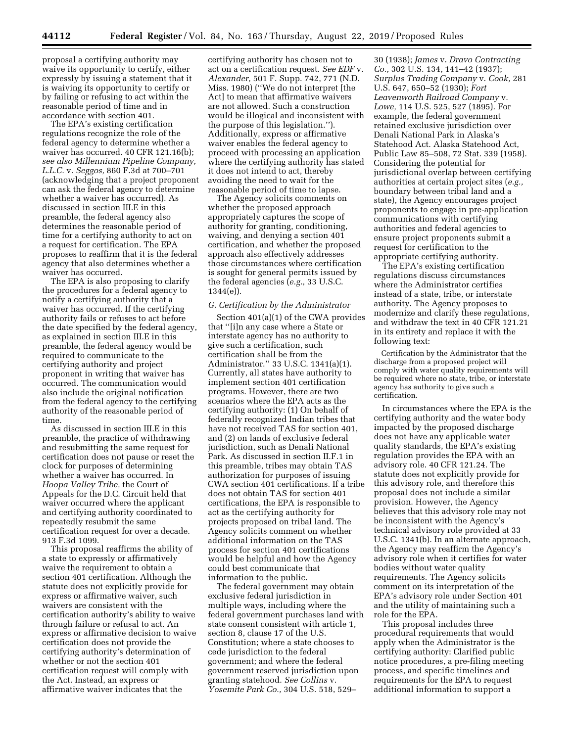proposal a certifying authority may waive its opportunity to certify, either expressly by issuing a statement that it is waiving its opportunity to certify or by failing or refusing to act within the reasonable period of time and in accordance with section 401.

The EPA's existing certification regulations recognize the role of the federal agency to determine whether a waiver has occurred. 40 CFR 121.16(b); *see also Millennium Pipeline Company, L.L.C.* v. *Seggos,* 860 F.3d at 700–701 (acknowledging that a project proponent can ask the federal agency to determine whether a waiver has occurred). As discussed in section III.E in this preamble, the federal agency also determines the reasonable period of time for a certifying authority to act on a request for certification. The EPA proposes to reaffirm that it is the federal agency that also determines whether a waiver has occurred.

The EPA is also proposing to clarify the procedures for a federal agency to notify a certifying authority that a waiver has occurred. If the certifying authority fails or refuses to act before the date specified by the federal agency, as explained in section III.E in this preamble, the federal agency would be required to communicate to the certifying authority and project proponent in writing that waiver has occurred. The communication would also include the original notification from the federal agency to the certifying authority of the reasonable period of time.

As discussed in section III.E in this preamble, the practice of withdrawing and resubmitting the same request for certification does not pause or reset the clock for purposes of determining whether a waiver has occurred. In *Hoopa Valley Tribe,* the Court of Appeals for the D.C. Circuit held that waiver occurred where the applicant and certifying authority coordinated to repeatedly resubmit the same certification request for over a decade. 913 F.3d 1099.

This proposal reaffirms the ability of a state to expressly or affirmatively waive the requirement to obtain a section 401 certification. Although the statute does not explicitly provide for express or affirmative waiver, such waivers are consistent with the certification authority's ability to waive through failure or refusal to act. An express or affirmative decision to waive certification does not provide the certifying authority's determination of whether or not the section 401 certification request will comply with the Act. Instead, an express or affirmative waiver indicates that the

certifying authority has chosen not to act on a certification request. *See EDF* v. *Alexander,* 501 F. Supp. 742, 771 (N.D. Miss. 1980) (''We do not interpret [the Act] to mean that affirmative waivers are not allowed. Such a construction would be illogical and inconsistent with the purpose of this legislation.''). Additionally, express or affirmative waiver enables the federal agency to proceed with processing an application where the certifying authority has stated it does not intend to act, thereby avoiding the need to wait for the reasonable period of time to lapse.

The Agency solicits comments on whether the proposed approach appropriately captures the scope of authority for granting, conditioning, waiving, and denying a section 401 certification, and whether the proposed approach also effectively addresses those circumstances where certification is sought for general permits issued by the federal agencies (*e.g.,* 33 U.S.C. 1344(e)).

### *G. Certification by the Administrator*

Section 401(a)(1) of the CWA provides that ''[i]n any case where a State or interstate agency has no authority to give such a certification, such certification shall be from the Administrator.'' 33 U.S.C. 1341(a)(1). Currently, all states have authority to implement section 401 certification programs. However, there are two scenarios where the EPA acts as the certifying authority: (1) On behalf of federally recognized Indian tribes that have not received TAS for section 401, and (2) on lands of exclusive federal jurisdiction, such as Denali National Park. As discussed in section II.F.1 in this preamble, tribes may obtain TAS authorization for purposes of issuing CWA section 401 certifications. If a tribe does not obtain TAS for section 401 certifications, the EPA is responsible to act as the certifying authority for projects proposed on tribal land. The Agency solicits comment on whether additional information on the TAS process for section 401 certifications would be helpful and how the Agency could best communicate that information to the public.

The federal government may obtain exclusive federal jurisdiction in multiple ways, including where the federal government purchases land with state consent consistent with article 1, section 8, clause 17 of the U.S. Constitution; where a state chooses to cede jurisdiction to the federal government; and where the federal government reserved jurisdiction upon granting statehood. *See Collins* v. *Yosemite Park Co.,* 304 U.S. 518, 529–

30 (1938); *James* v. *Dravo Contracting Co.,* 302 U.S. 134, 141–42 (1937); *Surplus Trading Company* v. *Cook,* 281 U.S. 647, 650–52 (1930); *Fort Leavenworth Railroad Company* v. *Lowe,* 114 U.S. 525, 527 (1895). For example, the federal government retained exclusive jurisdiction over Denali National Park in Alaska's Statehood Act. Alaska Statehood Act, Public Law 85–508, 72 Stat. 339 (1958). Considering the potential for jurisdictional overlap between certifying authorities at certain project sites (*e.g.,*  boundary between tribal land and a state), the Agency encourages project proponents to engage in pre-application communications with certifying authorities and federal agencies to ensure project proponents submit a request for certification to the appropriate certifying authority.

The EPA's existing certification regulations discuss circumstances where the Administrator certifies instead of a state, tribe, or interstate authority. The Agency proposes to modernize and clarify these regulations, and withdraw the text in 40 CFR 121.21 in its entirety and replace it with the following text:

Certification by the Administrator that the discharge from a proposed project will comply with water quality requirements will be required where no state, tribe, or interstate agency has authority to give such a certification.

In circumstances where the EPA is the certifying authority and the water body impacted by the proposed discharge does not have any applicable water quality standards, the EPA's existing regulation provides the EPA with an advisory role. 40 CFR 121.24. The statute does not explicitly provide for this advisory role, and therefore this proposal does not include a similar provision. However, the Agency believes that this advisory role may not be inconsistent with the Agency's technical advisory role provided at 33 U.S.C. 1341(b). In an alternate approach, the Agency may reaffirm the Agency's advisory role when it certifies for water bodies without water quality requirements. The Agency solicits comment on its interpretation of the EPA's advisory role under Section 401 and the utility of maintaining such a role for the EPA.

This proposal includes three procedural requirements that would apply when the Administrator is the certifying authority: Clarified public notice procedures, a pre-filing meeting process, and specific timelines and requirements for the EPA to request additional information to support a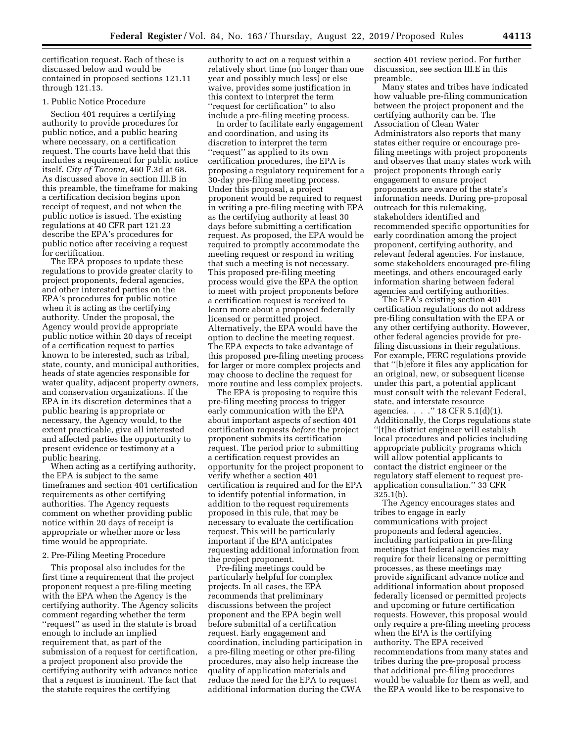certification request. Each of these is discussed below and would be contained in proposed sections 121.11 through 121.13.

## 1. Public Notice Procedure

Section 401 requires a certifying authority to provide procedures for public notice, and a public hearing where necessary, on a certification request. The courts have held that this includes a requirement for public notice itself. *City of Tacoma,* 460 F.3d at 68. As discussed above in section III.B in this preamble, the timeframe for making a certification decision begins upon receipt of request, and not when the public notice is issued. The existing regulations at 40 CFR part 121.23 describe the EPA's procedures for public notice after receiving a request for certification.

The EPA proposes to update these regulations to provide greater clarity to project proponents, federal agencies, and other interested parties on the EPA's procedures for public notice when it is acting as the certifying authority. Under the proposal, the Agency would provide appropriate public notice within 20 days of receipt of a certification request to parties known to be interested, such as tribal, state, county, and municipal authorities, heads of state agencies responsible for water quality, adjacent property owners, and conservation organizations. If the EPA in its discretion determines that a public hearing is appropriate or necessary, the Agency would, to the extent practicable, give all interested and affected parties the opportunity to present evidence or testimony at a public hearing.

When acting as a certifying authority, the EPA is subject to the same timeframes and section 401 certification requirements as other certifying authorities. The Agency requests comment on whether providing public notice within 20 days of receipt is appropriate or whether more or less time would be appropriate.

#### 2. Pre-Filing Meeting Procedure

This proposal also includes for the first time a requirement that the project proponent request a pre-filing meeting with the EPA when the Agency is the certifying authority. The Agency solicits comment regarding whether the term ''request'' as used in the statute is broad enough to include an implied requirement that, as part of the submission of a request for certification, a project proponent also provide the certifying authority with advance notice that a request is imminent. The fact that the statute requires the certifying

authority to act on a request within a relatively short time (no longer than one year and possibly much less) or else waive, provides some justification in this context to interpret the term ''request for certification'' to also include a pre-filing meeting process.

In order to facilitate early engagement and coordination, and using its discretion to interpret the term ''request'' as applied to its own certification procedures, the EPA is proposing a regulatory requirement for a 30-day pre-filing meeting process. Under this proposal, a project proponent would be required to request in writing a pre-filing meeting with EPA as the certifying authority at least 30 days before submitting a certification request. As proposed, the EPA would be required to promptly accommodate the meeting request or respond in writing that such a meeting is not necessary. This proposed pre-filing meeting process would give the EPA the option to meet with project proponents before a certification request is received to learn more about a proposed federally licensed or permitted project. Alternatively, the EPA would have the option to decline the meeting request. The EPA expects to take advantage of this proposed pre-filing meeting process for larger or more complex projects and may choose to decline the request for more routine and less complex projects.

The EPA is proposing to require this pre-filing meeting process to trigger early communication with the EPA about important aspects of section 401 certification requests *before* the project proponent submits its certification request. The period prior to submitting a certification request provides an opportunity for the project proponent to verify whether a section 401 certification is required and for the EPA to identify potential information, in addition to the request requirements proposed in this rule, that may be necessary to evaluate the certification request. This will be particularly important if the EPA anticipates requesting additional information from the project proponent.

Pre-filing meetings could be particularly helpful for complex projects. In all cases, the EPA recommends that preliminary discussions between the project proponent and the EPA begin well before submittal of a certification request. Early engagement and coordination, including participation in a pre-filing meeting or other pre-filing procedures, may also help increase the quality of application materials and reduce the need for the EPA to request additional information during the CWA

section 401 review period. For further discussion, see section III.E in this preamble.

Many states and tribes have indicated how valuable pre-filing communication between the project proponent and the certifying authority can be. The Association of Clean Water Administrators also reports that many states either require or encourage prefiling meetings with project proponents and observes that many states work with project proponents through early engagement to ensure project proponents are aware of the state's information needs. During pre-proposal outreach for this rulemaking, stakeholders identified and recommended specific opportunities for early coordination among the project proponent, certifying authority, and relevant federal agencies. For instance, some stakeholders encouraged pre-filing meetings, and others encouraged early information sharing between federal agencies and certifying authorities.

The EPA's existing section 401 certification regulations do not address pre-filing consultation with the EPA or any other certifying authority. However, other federal agencies provide for prefiling discussions in their regulations. For example, FERC regulations provide that ''[b]efore it files any application for an original, new, or subsequent license under this part, a potential applicant must consult with the relevant Federal, state, and interstate resource agencies. . . .'' 18 CFR 5.1(d)(1). Additionally, the Corps regulations state ''[t]he district engineer will establish local procedures and policies including appropriate publicity programs which will allow potential applicants to contact the district engineer or the regulatory staff element to request preapplication consultation.'' 33 CFR 325.1(b).

The Agency encourages states and tribes to engage in early communications with project proponents and federal agencies, including participation in pre-filing meetings that federal agencies may require for their licensing or permitting processes, as these meetings may provide significant advance notice and additional information about proposed federally licensed or permitted projects and upcoming or future certification requests. However, this proposal would only require a pre-filing meeting process when the EPA is the certifying authority. The EPA received recommendations from many states and tribes during the pre-proposal process that additional pre-filing procedures would be valuable for them as well, and the EPA would like to be responsive to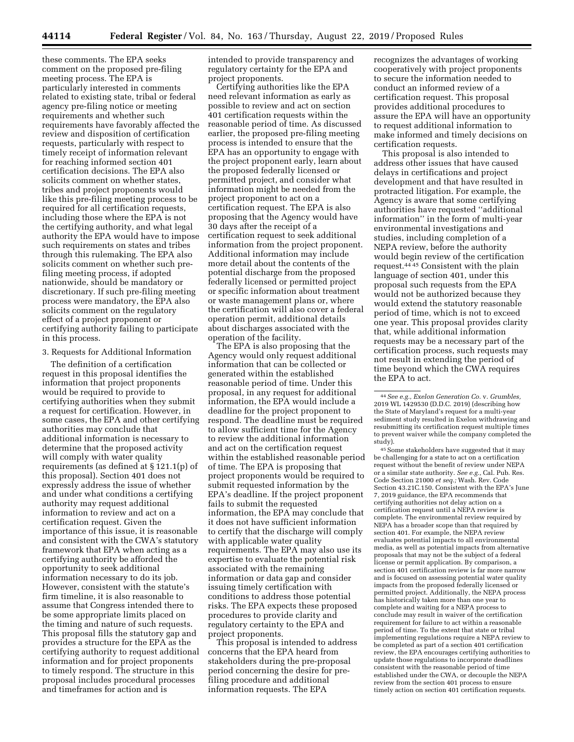these comments. The EPA seeks comment on the proposed pre-filing meeting process. The EPA is particularly interested in comments related to existing state, tribal or federal agency pre-filing notice or meeting requirements and whether such requirements have favorably affected the review and disposition of certification requests, particularly with respect to timely receipt of information relevant for reaching informed section 401 certification decisions. The EPA also solicits comment on whether states, tribes and project proponents would like this pre-filing meeting process to be required for all certification requests, including those where the EPA is not the certifying authority, and what legal authority the EPA would have to impose such requirements on states and tribes through this rulemaking. The EPA also solicits comment on whether such prefiling meeting process, if adopted nationwide, should be mandatory or discretionary. If such pre-filing meeting process were mandatory, the EPA also solicits comment on the regulatory effect of a project proponent or certifying authority failing to participate in this process.

#### 3. Requests for Additional Information

The definition of a certification request in this proposal identifies the information that project proponents would be required to provide to certifying authorities when they submit a request for certification. However, in some cases, the EPA and other certifying authorities may conclude that additional information is necessary to determine that the proposed activity will comply with water quality requirements (as defined at § 121.1(p) of this proposal). Section 401 does not expressly address the issue of whether and under what conditions a certifying authority may request additional information to review and act on a certification request. Given the importance of this issue, it is reasonable and consistent with the CWA's statutory framework that EPA when acting as a certifying authority be afforded the opportunity to seek additional information necessary to do its job. However, consistent with the statute's firm timeline, it is also reasonable to assume that Congress intended there to be some appropriate limits placed on the timing and nature of such requests. This proposal fills the statutory gap and provides a structure for the EPA as the certifying authority to request additional information and for project proponents to timely respond. The structure in this proposal includes procedural processes and timeframes for action and is

intended to provide transparency and regulatory certainty for the EPA and project proponents.

Certifying authorities like the EPA need relevant information as early as possible to review and act on section 401 certification requests within the reasonable period of time. As discussed earlier, the proposed pre-filing meeting process is intended to ensure that the EPA has an opportunity to engage with the project proponent early, learn about the proposed federally licensed or permitted project, and consider what information might be needed from the project proponent to act on a certification request. The EPA is also proposing that the Agency would have 30 days after the receipt of a certification request to seek additional information from the project proponent. Additional information may include more detail about the contents of the potential discharge from the proposed federally licensed or permitted project or specific information about treatment or waste management plans or, where the certification will also cover a federal operation permit, additional details about discharges associated with the operation of the facility.

The EPA is also proposing that the Agency would only request additional information that can be collected or generated within the established reasonable period of time. Under this proposal, in any request for additional information, the EPA would include a deadline for the project proponent to respond. The deadline must be required to allow sufficient time for the Agency to review the additional information and act on the certification request within the established reasonable period of time. The EPA is proposing that project proponents would be required to submit requested information by the EPA's deadline. If the project proponent fails to submit the requested information, the EPA may conclude that it does not have sufficient information to certify that the discharge will comply with applicable water quality requirements. The EPA may also use its expertise to evaluate the potential risk associated with the remaining information or data gap and consider issuing timely certification with conditions to address those potential risks. The EPA expects these proposed procedures to provide clarity and regulatory certainty to the EPA and project proponents.

This proposal is intended to address concerns that the EPA heard from stakeholders during the pre-proposal period concerning the desire for prefiling procedure and additional information requests. The EPA

recognizes the advantages of working cooperatively with project proponents to secure the information needed to conduct an informed review of a certification request. This proposal provides additional procedures to assure the EPA will have an opportunity to request additional information to make informed and timely decisions on certification requests.

This proposal is also intended to address other issues that have caused delays in certifications and project development and that have resulted in protracted litigation. For example, the Agency is aware that some certifying authorities have requested ''additional information'' in the form of multi-year environmental investigations and studies, including completion of a NEPA review, before the authority would begin review of the certification request.44 45 Consistent with the plain language of section 401, under this proposal such requests from the EPA would not be authorized because they would extend the statutory reasonable period of time, which is not to exceed one year. This proposal provides clarity that, while additional information requests may be a necessary part of the certification process, such requests may not result in extending the period of time beyond which the CWA requires the EPA to act.

45Some stakeholders have suggested that it may be challenging for a state to act on a certification request without the benefit of review under NEPA or a similar state authority. *See e.g.,* Cal. Pub. Res. Code Section 21000 *et seq.;* Wash. Rev. Code Section 43.21C.150. Consistent with the EPA's June 7, 2019 guidance, the EPA recommends that certifying authorities not delay action on a certification request until a NEPA review is complete. The environmental review required by NEPA has a broader scope than that required by section 401. For example, the NEPA review evaluates potential impacts to all environmental media, as well as potential impacts from alternative proposals that may not be the subject of a federal license or permit application. By comparison, a section 401 certification review is far more narrow and is focused on assessing potential water quality impacts from the proposed federally licensed or permitted project. Additionally, the NEPA process has historically taken more than one year to complete and waiting for a NEPA process to conclude may result in waiver of the certification requirement for failure to act within a reasonable period of time. To the extent that state or tribal implementing regulations require a NEPA review to be completed as part of a section 401 certification review, the EPA encourages certifying authorities to update those regulations to incorporate deadlines consistent with the reasonable period of time established under the CWA, or decouple the NEPA review from the section 401 process to ensure timely action on section 401 certification requests.

<sup>44</sup>*See e.g., Exelon Generation Co.* v. *Grumbles,*  2019 WL 1429530 (D.D.C. 2019) (describing how the State of Maryland's request for a multi-year sediment study resulted in Exelon withdrawing and resubmitting its certification request multiple times to prevent waiver while the company completed the study).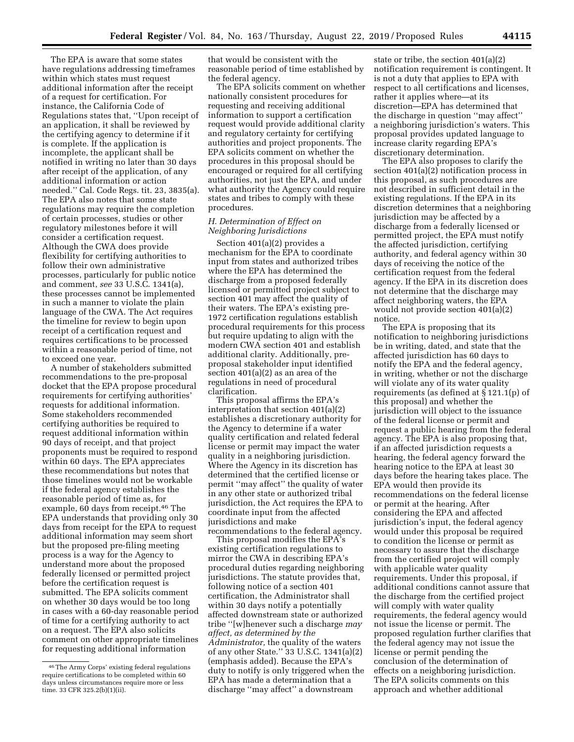The EPA is aware that some states have regulations addressing timeframes within which states must request additional information after the receipt of a request for certification. For instance, the California Code of Regulations states that, ''Upon receipt of an application, it shall be reviewed by the certifying agency to determine if it is complete. If the application is incomplete, the applicant shall be notified in writing no later than 30 days after receipt of the application, of any additional information or action needed.'' Cal. Code Regs. tit. 23, 3835(a). The EPA also notes that some state regulations may require the completion of certain processes, studies or other regulatory milestones before it will consider a certification request. Although the CWA does provide flexibility for certifying authorities to follow their own administrative processes, particularly for public notice and comment, *see* 33 U.S.C. 1341(a), these processes cannot be implemented in such a manner to violate the plain language of the CWA. The Act requires the timeline for review to begin upon receipt of a certification request and requires certifications to be processed within a reasonable period of time, not to exceed one year.

A number of stakeholders submitted recommendations to the pre-proposal docket that the EPA propose procedural requirements for certifying authorities' requests for additional information. Some stakeholders recommended certifying authorities be required to request additional information within 90 days of receipt, and that project proponents must be required to respond within 60 days. The EPA appreciates these recommendations but notes that those timelines would not be workable if the federal agency establishes the reasonable period of time as, for example, 60 days from receipt.46 The EPA understands that providing only 30 days from receipt for the EPA to request additional information may seem short but the proposed pre-filing meeting process is a way for the Agency to understand more about the proposed federally licensed or permitted project before the certification request is submitted. The EPA solicits comment on whether 30 days would be too long in cases with a 60-day reasonable period of time for a certifying authority to act on a request. The EPA also solicits comment on other appropriate timelines for requesting additional information

that would be consistent with the reasonable period of time established by the federal agency.

The EPA solicits comment on whether nationally consistent procedures for requesting and receiving additional information to support a certification request would provide additional clarity and regulatory certainty for certifying authorities and project proponents. The EPA solicits comment on whether the procedures in this proposal should be encouraged or required for all certifying authorities, not just the EPA, and under what authority the Agency could require states and tribes to comply with these procedures.

# *H. Determination of Effect on Neighboring Jurisdictions*

Section 401(a)(2) provides a mechanism for the EPA to coordinate input from states and authorized tribes where the EPA has determined the discharge from a proposed federally licensed or permitted project subject to section 401 may affect the quality of their waters. The EPA's existing pre-1972 certification regulations establish procedural requirements for this process but require updating to align with the modern CWA section 401 and establish additional clarity. Additionally, preproposal stakeholder input identified section 401(a)(2) as an area of the regulations in need of procedural clarification.

This proposal affirms the EPA's interpretation that section 401(a)(2) establishes a discretionary authority for the Agency to determine if a water quality certification and related federal license or permit may impact the water quality in a neighboring jurisdiction. Where the Agency in its discretion has determined that the certified license or permit ''may affect'' the quality of water in any other state or authorized tribal jurisdiction, the Act requires the EPA to coordinate input from the affected jurisdictions and make recommendations to the federal agency.

This proposal modifies the EPA's existing certification regulations to mirror the CWA in describing EPA's procedural duties regarding neighboring jurisdictions. The statute provides that, following notice of a section 401 certification, the Administrator shall within 30 days notify a potentially affected downstream state or authorized tribe ''[w]henever such a discharge *may affect, as determined by the Administrator,* the quality of the waters of any other State.'' 33 U.S.C. 1341(a)(2) (emphasis added). Because the EPA's duty to notify is only triggered when the EPA has made a determination that a discharge ''may affect'' a downstream

state or tribe, the section 401(a)(2) notification requirement is contingent. It is not a duty that applies to EPA with respect to all certifications and licenses, rather it applies where—at its discretion—EPA has determined that the discharge in question ''may affect'' a neighboring jurisdiction's waters. This proposal provides updated language to increase clarity regarding EPA's discretionary determination.

The EPA also proposes to clarify the section 401(a)(2) notification process in this proposal, as such procedures are not described in sufficient detail in the existing regulations. If the EPA in its discretion determines that a neighboring jurisdiction may be affected by a discharge from a federally licensed or permitted project, the EPA must notify the affected jurisdiction, certifying authority, and federal agency within 30 days of receiving the notice of the certification request from the federal agency. If the EPA in its discretion does not determine that the discharge may affect neighboring waters, the EPA would not provide section 401(a)(2) notice.

The EPA is proposing that its notification to neighboring jurisdictions be in writing, dated, and state that the affected jurisdiction has 60 days to notify the EPA and the federal agency, in writing, whether or not the discharge will violate any of its water quality requirements (as defined at § 121.1(p) of this proposal) and whether the jurisdiction will object to the issuance of the federal license or permit and request a public hearing from the federal agency. The EPA is also proposing that, if an affected jurisdiction requests a hearing, the federal agency forward the hearing notice to the EPA at least 30 days before the hearing takes place. The EPA would then provide its recommendations on the federal license or permit at the hearing. After considering the EPA and affected jurisdiction's input, the federal agency would under this proposal be required to condition the license or permit as necessary to assure that the discharge from the certified project will comply with applicable water quality requirements. Under this proposal, if additional conditions cannot assure that the discharge from the certified project will comply with water quality requirements, the federal agency would not issue the license or permit. The proposed regulation further clarifies that the federal agency may not issue the license or permit pending the conclusion of the determination of effects on a neighboring jurisdiction. The EPA solicits comments on this approach and whether additional

<sup>46</sup>The Army Corps' existing federal regulations require certifications to be completed within 60 days unless circumstances require more or less time. 33 CFR 325.2(b)(1)(ii).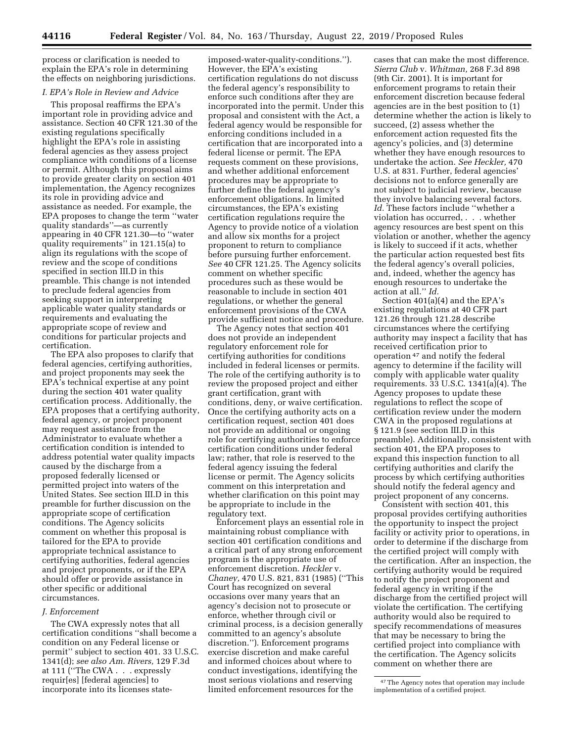process or clarification is needed to explain the EPA's role in determining the effects on neighboring jurisdictions.

# *I. EPA's Role in Review and Advice*

This proposal reaffirms the EPA's important role in providing advice and assistance. Section 40 CFR 121.30 of the existing regulations specifically highlight the EPA's role in assisting federal agencies as they assess project compliance with conditions of a license or permit. Although this proposal aims to provide greater clarity on section 401 implementation, the Agency recognizes its role in providing advice and assistance as needed. For example, the EPA proposes to change the term ''water quality standards''—as currently appearing in 40 CFR 121.30—to ''water quality requirements'' in 121.15(a) to align its regulations with the scope of review and the scope of conditions specified in section III.D in this preamble. This change is not intended to preclude federal agencies from seeking support in interpreting applicable water quality standards or requirements and evaluating the appropriate scope of review and conditions for particular projects and certification.

The EPA also proposes to clarify that federal agencies, certifying authorities, and project proponents may seek the EPA's technical expertise at any point during the section 401 water quality certification process. Additionally, the EPA proposes that a certifying authority, federal agency, or project proponent may request assistance from the Administrator to evaluate whether a certification condition is intended to address potential water quality impacts caused by the discharge from a proposed federally licensed or permitted project into waters of the United States. See section III.D in this preamble for further discussion on the appropriate scope of certification conditions. The Agency solicits comment on whether this proposal is tailored for the EPA to provide appropriate technical assistance to certifying authorities, federal agencies and project proponents, or if the EPA should offer or provide assistance in other specific or additional circumstances.

### *J. Enforcement*

The CWA expressly notes that all certification conditions ''shall become a condition on any Federal license or permit'' subject to section 401. 33 U.S.C. 1341(d); *see also Am. Rivers,* 129 F.3d at 111 (''The CWA . . . expressly requir[es] [federal agencies] to incorporate into its licenses state-

imposed-water-quality-conditions.''). However, the EPA's existing certification regulations do not discuss the federal agency's responsibility to enforce such conditions after they are incorporated into the permit. Under this proposal and consistent with the Act, a federal agency would be responsible for enforcing conditions included in a certification that are incorporated into a federal license or permit. The EPA requests comment on these provisions, and whether additional enforcement procedures may be appropriate to further define the federal agency's enforcement obligations. In limited circumstances, the EPA's existing certification regulations require the Agency to provide notice of a violation and allow six months for a project proponent to return to compliance before pursuing further enforcement. *See* 40 CFR 121.25. The Agency solicits comment on whether specific procedures such as these would be reasonable to include in section 401 regulations, or whether the general enforcement provisions of the CWA provide sufficient notice and procedure.

The Agency notes that section 401 does not provide an independent regulatory enforcement role for certifying authorities for conditions included in federal licenses or permits. The role of the certifying authority is to review the proposed project and either grant certification, grant with conditions, deny, or waive certification. Once the certifying authority acts on a certification request, section 401 does not provide an additional or ongoing role for certifying authorities to enforce certification conditions under federal law; rather, that role is reserved to the federal agency issuing the federal license or permit. The Agency solicits comment on this interpretation and whether clarification on this point may be appropriate to include in the regulatory text.

Enforcement plays an essential role in maintaining robust compliance with section 401 certification conditions and a critical part of any strong enforcement program is the appropriate use of enforcement discretion. *Heckler* v. *Chaney,* 470 U.S. 821, 831 (1985) (''This Court has recognized on several occasions over many years that an agency's decision not to prosecute or enforce, whether through civil or criminal process, is a decision generally committed to an agency's absolute discretion.''). Enforcement programs exercise discretion and make careful and informed choices about where to conduct investigations, identifying the most serious violations and reserving limited enforcement resources for the

cases that can make the most difference. *Sierra Club* v. *Whitman,* 268 F.3d 898 (9th Cir. 2001). It is important for enforcement programs to retain their enforcement discretion because federal agencies are in the best position to (1) determine whether the action is likely to succeed, (2) assess whether the enforcement action requested fits the agency's policies, and (3) determine whether they have enough resources to undertake the action. *See Heckler,* 470 U.S. at 831. Further, federal agencies' decisions not to enforce generally are not subject to judicial review, because they involve balancing several factors. *Id.* These factors include ''whether a violation has occurred, . . . whether agency resources are best spent on this violation or another, whether the agency is likely to succeed if it acts, whether the particular action requested best fits the federal agency's overall policies, and, indeed, whether the agency has enough resources to undertake the action at all.'' *Id.* 

Section 401(a)(4) and the EPA's existing regulations at 40 CFR part 121.26 through 121.28 describe circumstances where the certifying authority may inspect a facility that has received certification prior to operation 47 and notify the federal agency to determine if the facility will comply with applicable water quality requirements. 33 U.S.C. 1341(a)(4). The Agency proposes to update these regulations to reflect the scope of certification review under the modern CWA in the proposed regulations at § 121.9 (see section III.D in this preamble). Additionally, consistent with section 401, the EPA proposes to expand this inspection function to all certifying authorities and clarify the process by which certifying authorities should notify the federal agency and project proponent of any concerns.

Consistent with section 401, this proposal provides certifying authorities the opportunity to inspect the project facility or activity prior to operations, in order to determine if the discharge from the certified project will comply with the certification. After an inspection, the certifying authority would be required to notify the project proponent and federal agency in writing if the discharge from the certified project will violate the certification. The certifying authority would also be required to specify recommendations of measures that may be necessary to bring the certified project into compliance with the certification. The Agency solicits comment on whether there are

<sup>47</sup>The Agency notes that operation may include implementation of a certified project.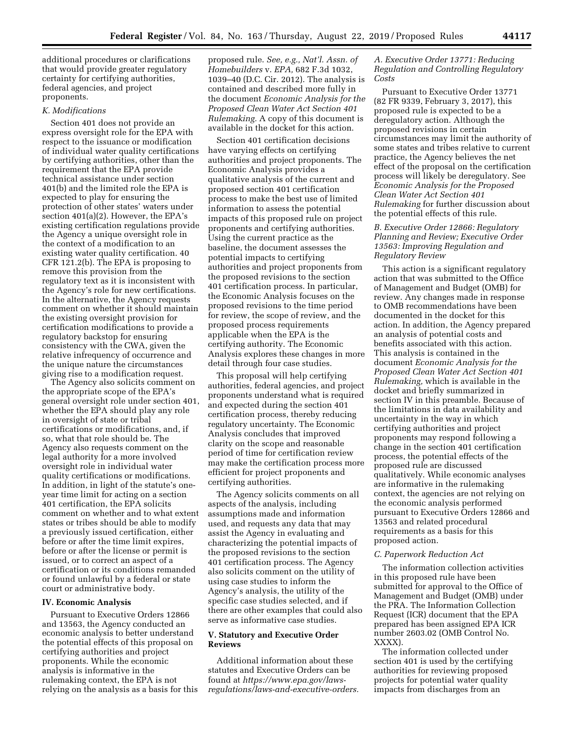additional procedures or clarifications that would provide greater regulatory certainty for certifying authorities, federal agencies, and project proponents.

## *K. Modifications*

Section 401 does not provide an express oversight role for the EPA with respect to the issuance or modification of individual water quality certifications by certifying authorities, other than the requirement that the EPA provide technical assistance under section 401(b) and the limited role the EPA is expected to play for ensuring the protection of other states' waters under section 401(a)(2). However, the EPA's existing certification regulations provide the Agency a unique oversight role in the context of a modification to an existing water quality certification. 40 CFR 121.2(b). The EPA is proposing to remove this provision from the regulatory text as it is inconsistent with the Agency's role for new certifications. In the alternative, the Agency requests comment on whether it should maintain the existing oversight provision for certification modifications to provide a regulatory backstop for ensuring consistency with the CWA, given the relative infrequency of occurrence and the unique nature the circumstances giving rise to a modification request.

The Agency also solicits comment on the appropriate scope of the EPA's general oversight role under section 401, whether the EPA should play any role in oversight of state or tribal certifications or modifications, and, if so, what that role should be. The Agency also requests comment on the legal authority for a more involved oversight role in individual water quality certifications or modifications. In addition, in light of the statute's oneyear time limit for acting on a section 401 certification, the EPA solicits comment on whether and to what extent states or tribes should be able to modify a previously issued certification, either before or after the time limit expires, before or after the license or permit is issued, or to correct an aspect of a certification or its conditions remanded or found unlawful by a federal or state court or administrative body.

#### **IV. Economic Analysis**

Pursuant to Executive Orders 12866 and 13563, the Agency conducted an economic analysis to better understand the potential effects of this proposal on certifying authorities and project proponents. While the economic analysis is informative in the rulemaking context, the EPA is not relying on the analysis as a basis for this proposed rule. *See, e.g., Nat'l. Assn. of Homebuilders* v. *EPA,* 682 F.3d 1032, 1039–40 (D.C. Cir. 2012). The analysis is contained and described more fully in the document *Economic Analysis for the Proposed Clean Water Act Section 401 Rulemaking.* A copy of this document is available in the docket for this action.

Section 401 certification decisions have varying effects on certifying authorities and project proponents. The Economic Analysis provides a qualitative analysis of the current and proposed section 401 certification process to make the best use of limited information to assess the potential impacts of this proposed rule on project proponents and certifying authorities. Using the current practice as the baseline, the document assesses the potential impacts to certifying authorities and project proponents from the proposed revisions to the section 401 certification process. In particular, the Economic Analysis focuses on the proposed revisions to the time period for review, the scope of review, and the proposed process requirements applicable when the EPA is the certifying authority. The Economic Analysis explores these changes in more detail through four case studies.

This proposal will help certifying authorities, federal agencies, and project proponents understand what is required and expected during the section 401 certification process, thereby reducing regulatory uncertainty. The Economic Analysis concludes that improved clarity on the scope and reasonable period of time for certification review may make the certification process more efficient for project proponents and certifying authorities.

The Agency solicits comments on all aspects of the analysis, including assumptions made and information used, and requests any data that may assist the Agency in evaluating and characterizing the potential impacts of the proposed revisions to the section 401 certification process. The Agency also solicits comment on the utility of using case studies to inform the Agency's analysis, the utility of the specific case studies selected, and if there are other examples that could also serve as informative case studies.

## **V. Statutory and Executive Order Reviews**

Additional information about these statutes and Executive Orders can be found at *https://www.epa.gov/lawsregulations/laws-and-executive-orders.* 

## *A. Executive Order 13771: Reducing Regulation and Controlling Regulatory Costs*

Pursuant to Executive Order 13771 (82 FR 9339, February 3, 2017), this proposed rule is expected to be a deregulatory action. Although the proposed revisions in certain circumstances may limit the authority of some states and tribes relative to current practice, the Agency believes the net effect of the proposal on the certification process will likely be deregulatory. See *Economic Analysis for the Proposed Clean Water Act Section 401 Rulemaking* for further discussion about the potential effects of this rule.

## *B. Executive Order 12866: Regulatory Planning and Review; Executive Order 13563: Improving Regulation and Regulatory Review*

This action is a significant regulatory action that was submitted to the Office of Management and Budget (OMB) for review. Any changes made in response to OMB recommendations have been documented in the docket for this action. In addition, the Agency prepared an analysis of potential costs and benefits associated with this action. This analysis is contained in the document *Economic Analysis for the Proposed Clean Water Act Section 401 Rulemaking,* which is available in the docket and briefly summarized in section IV in this preamble. Because of the limitations in data availability and uncertainty in the way in which certifying authorities and project proponents may respond following a change in the section 401 certification process, the potential effects of the proposed rule are discussed qualitatively. While economic analyses are informative in the rulemaking context, the agencies are not relying on the economic analysis performed pursuant to Executive Orders 12866 and 13563 and related procedural requirements as a basis for this proposed action.

## *C. Paperwork Reduction Act*

The information collection activities in this proposed rule have been submitted for approval to the Office of Management and Budget (OMB) under the PRA. The Information Collection Request (ICR) document that the EPA prepared has been assigned EPA ICR number 2603.02 (OMB Control No. XXXX).

The information collected under section 401 is used by the certifying authorities for reviewing proposed projects for potential water quality impacts from discharges from an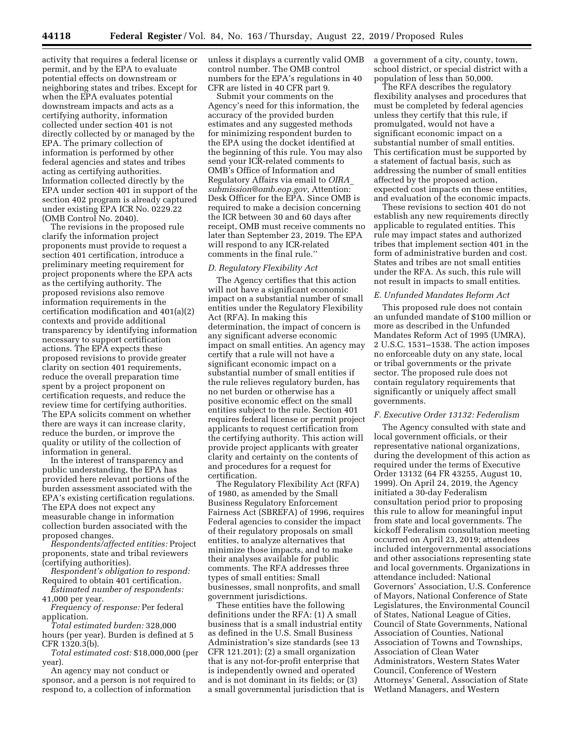activity that requires a federal license or permit, and by the EPA to evaluate potential effects on downstream or neighboring states and tribes. Except for when the EPA evaluates potential downstream impacts and acts as a certifying authority, information collected under section 401 is not directly collected by or managed by the EPA. The primary collection of information is performed by other federal agencies and states and tribes acting as certifying authorities. Information collected directly by the EPA under section 401 in support of the section 402 program is already captured under existing EPA ICR No. 0229.22 (OMB Control No. 2040).

The revisions in the proposed rule clarify the information project proponents must provide to request a section 401 certification, introduce a preliminary meeting requirement for project proponents where the EPA acts as the certifying authority. The proposed revisions also remove information requirements in the certification modification and 401(a)(2) contexts and provide additional transparency by identifying information necessary to support certification actions. The EPA expects these proposed revisions to provide greater clarity on section 401 requirements, reduce the overall preparation time spent by a project proponent on certification requests, and reduce the review time for certifying authorities. The EPA solicits comment on whether there are ways it can increase clarity, reduce the burden, or improve the quality or utility of the collection of information in general.

In the interest of transparency and public understanding, the EPA has provided here relevant portions of the burden assessment associated with the EPA's existing certification regulations. The EPA does not expect any measurable change in information collection burden associated with the proposed changes.

*Respondents/affected entities:* Project proponents, state and tribal reviewers (certifying authorities).

*Respondent's obligation to respond:*  Required to obtain 401 certification.

*Estimated number of respondents:*  41,000 per year.

*Frequency of response:* Per federal application.

*Total estimated burden:* 328,000 hours (per year). Burden is defined at 5 CFR 1320.3(b).

*Total estimated cost:* \$18,000,000 (per year).

An agency may not conduct or sponsor, and a person is not required to respond to, a collection of information

unless it displays a currently valid OMB control number. The OMB control numbers for the EPA's regulations in 40 CFR are listed in 40 CFR part 9.

Submit your comments on the Agency's need for this information, the accuracy of the provided burden estimates and any suggested methods for minimizing respondent burden to the EPA using the docket identified at the beginning of this rule. You may also send your ICR-related comments to OMB's Office of Information and Regulatory Affairs via email to *OIRA*\_ *submission@omb.eop.gov,* Attention: Desk Officer for the EPA. Since OMB is required to make a decision concerning the ICR between 30 and 60 days after receipt, OMB must receive comments no later than September 23, 2019. The EPA will respond to any ICR-related comments in the final rule.''

### *D. Regulatory Flexibility Act*

The Agency certifies that this action will not have a significant economic impact on a substantial number of small entities under the Regulatory Flexibility Act (RFA). In making this determination, the impact of concern is any significant adverse economic impact on small entities. An agency may certify that a rule will not have a significant economic impact on a substantial number of small entities if the rule relieves regulatory burden, has no net burden or otherwise has a positive economic effect on the small entities subject to the rule. Section 401 requires federal license or permit project applicants to request certification from the certifying authority. This action will provide project applicants with greater clarity and certainty on the contents of and procedures for a request for certification.

The Regulatory Flexibility Act (RFA) of 1980, as amended by the Small Business Regulatory Enforcement Fairness Act (SBREFA) of 1996, requires Federal agencies to consider the impact of their regulatory proposals on small entities, to analyze alternatives that minimize those impacts, and to make their analyses available for public comments. The RFA addresses three types of small entities: Small businesses, small nonprofits, and small government jurisdictions.

These entities have the following definitions under the RFA: (1) A small business that is a small industrial entity as defined in the U.S. Small Business Administration's size standards (see 13 CFR 121.201); (2) a small organization that is any not-for-profit enterprise that is independently owned and operated and is not dominant in its fields; or (3) a small governmental jurisdiction that is a government of a city, county, town, school district, or special district with a population of less than 50,000.

The RFA describes the regulatory flexibility analyses and procedures that must be completed by federal agencies unless they certify that this rule, if promulgated, would not have a significant economic impact on a substantial number of small entities. This certification must be supported by a statement of factual basis, such as addressing the number of small entities affected by the proposed action, expected cost impacts on these entities, and evaluation of the economic impacts.

These revisions to section 401 do not establish any new requirements directly applicable to regulated entities. This rule may impact states and authorized tribes that implement section 401 in the form of administrative burden and cost. States and tribes are not small entities under the RFA. As such, this rule will not result in impacts to small entities.

# *E. Unfunded Mandates Reform Act*

This proposed rule does not contain an unfunded mandate of \$100 million or more as described in the Unfunded Mandates Reform Act of 1995 (UMRA), 2 U.S.C. 1531–1538. The action imposes no enforceable duty on any state, local or tribal governments or the private sector. The proposed rule does not contain regulatory requirements that significantly or uniquely affect small governments.

#### *F. Executive Order 13132: Federalism*

The Agency consulted with state and local government officials, or their representative national organizations, during the development of this action as required under the terms of Executive Order 13132 (64 FR 43255, August 10, 1999). On April 24, 2019, the Agency initiated a 30-day Federalism consultation period prior to proposing this rule to allow for meaningful input from state and local governments. The kickoff Federalism consultation meeting occurred on April 23, 2019; attendees included intergovernmental associations and other associations representing state and local governments. Organizations in attendance included: National Governors' Association, U.S. Conference of Mayors, National Conference of State Legislatures, the Environmental Council of States, National League of Cities, Council of State Governments, National Association of Counties, National Association of Towns and Townships, Association of Clean Water Administrators, Western States Water Council, Conference of Western Attorneys' General, Association of State Wetland Managers, and Western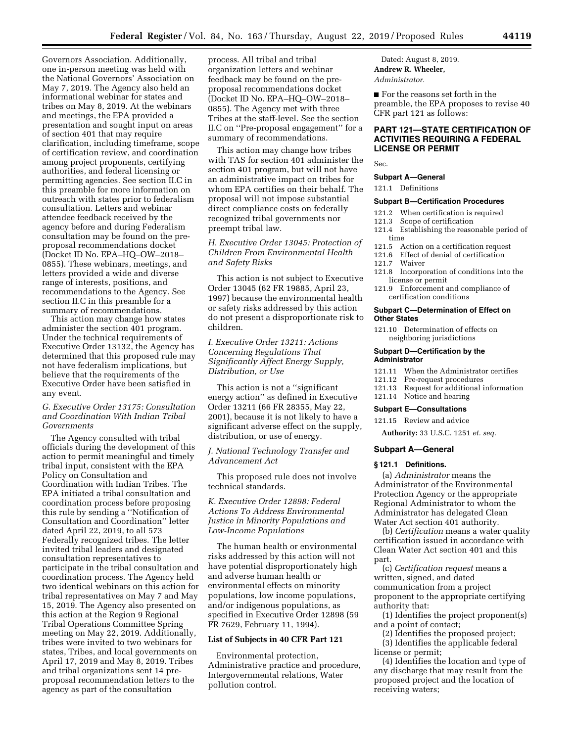Governors Association. Additionally, one in-person meeting was held with the National Governors' Association on May 7, 2019. The Agency also held an informational webinar for states and tribes on May 8, 2019. At the webinars and meetings, the EPA provided a presentation and sought input on areas of section 401 that may require clarification, including timeframe, scope of certification review, and coordination among project proponents, certifying authorities, and federal licensing or permitting agencies. See section II.C in this preamble for more information on outreach with states prior to federalism consultation. Letters and webinar attendee feedback received by the agency before and during Federalism consultation may be found on the preproposal recommendations docket (Docket ID No. EPA–HQ–OW–2018– 0855). These webinars, meetings, and letters provided a wide and diverse range of interests, positions, and recommendations to the Agency. See section II.C in this preamble for a summary of recommendations.

This action may change how states administer the section 401 program. Under the technical requirements of Executive Order 13132, the Agency has determined that this proposed rule may not have federalism implications, but believe that the requirements of the Executive Order have been satisfied in any event.

## *G. Executive Order 13175: Consultation and Coordination With Indian Tribal Governments*

The Agency consulted with tribal officials during the development of this action to permit meaningful and timely tribal input, consistent with the EPA Policy on Consultation and Coordination with Indian Tribes. The EPA initiated a tribal consultation and coordination process before proposing this rule by sending a ''Notification of Consultation and Coordination'' letter dated April 22, 2019, to all 573 Federally recognized tribes. The letter invited tribal leaders and designated consultation representatives to participate in the tribal consultation and coordination process. The Agency held two identical webinars on this action for tribal representatives on May 7 and May 15, 2019. The Agency also presented on this action at the Region 9 Regional Tribal Operations Committee Spring meeting on May 22, 2019. Additionally, tribes were invited to two webinars for states, Tribes, and local governments on April 17, 2019 and May 8, 2019. Tribes and tribal organizations sent 14 preproposal recommendation letters to the agency as part of the consultation

process. All tribal and tribal organization letters and webinar feedback may be found on the preproposal recommendations docket (Docket ID No. EPA–HQ–OW–2018– 0855). The Agency met with three Tribes at the staff-level. See the section II.C on ''Pre-proposal engagement'' for a summary of recommendations.

This action may change how tribes with TAS for section 401 administer the section 401 program, but will not have an administrative impact on tribes for whom EPA certifies on their behalf. The proposal will not impose substantial direct compliance costs on federally recognized tribal governments nor preempt tribal law.

*H. Executive Order 13045: Protection of Children From Environmental Health and Safety Risks* 

This action is not subject to Executive Order 13045 (62 FR 19885, April 23, 1997) because the environmental health or safety risks addressed by this action do not present a disproportionate risk to children.

*I. Executive Order 13211: Actions Concerning Regulations That Significantly Affect Energy Supply, Distribution, or Use* 

This action is not a ''significant energy action'' as defined in Executive Order 13211 (66 FR 28355, May 22, 2001), because it is not likely to have a significant adverse effect on the supply, distribution, or use of energy.

*J. National Technology Transfer and Advancement Act* 

This proposed rule does not involve technical standards.

## *K. Executive Order 12898: Federal Actions To Address Environmental Justice in Minority Populations and Low-Income Populations*

The human health or environmental risks addressed by this action will not have potential disproportionately high and adverse human health or environmental effects on minority populations, low income populations, and/or indigenous populations, as specified in Executive Order 12898 (59 FR 7629, February 11, 1994).

## **List of Subjects in 40 CFR Part 121**

Environmental protection, Administrative practice and procedure, Intergovernmental relations, Water pollution control.

Dated: August 8, 2019. **Andrew R. Wheeler,**  *Administrator.* 

■ For the reasons set forth in the preamble, the EPA proposes to revise 40 CFR part 121 as follows:

# **PART 121—STATE CERTIFICATION OF ACTIVITIES REQUIRING A FEDERAL LICENSE OR PERMIT**

Sec.

#### **Subpart A—General**

121.1 Definitions

### **Subpart B—Certification Procedures**

- 121.2 When certification is required<br>121.3 Scope of certification
- Scope of certification
- 121.4 Establishing the reasonable period of time
- 121.5 Action on a certification request
- 121.6 Effect of denial of certification
- 121.7 Waiver
- 121.8 Incorporation of conditions into the license or permit
- 121.9 Enforcement and compliance of certification conditions

### **Subpart C—Determination of Effect on Other States**

121.10 Determination of effects on neighboring jurisdictions

#### **Subpart D—Certification by the Administrator**

- 121.11 When the Administrator certifies
- 121.12 Pre-request procedures
- 121.13 Request for additional information
- 121.14 Notice and hearing

#### **Subpart E—Consultations**

121.15 Review and advice

**Authority:** 33 U.S.C. 1251 *et. seq.* 

#### **Subpart A—General**

### **§ 121.1 Definitions.**

(a) *Administrator* means the Administrator of the Environmental Protection Agency or the appropriate Regional Administrator to whom the Administrator has delegated Clean Water Act section 401 authority.

(b) *Certification* means a water quality certification issued in accordance with Clean Water Act section 401 and this part.

(c) *Certification request* means a written, signed, and dated communication from a project proponent to the appropriate certifying authority that:

(1) Identifies the project proponent(s) and a point of contact;

(2) Identifies the proposed project; (3) Identifies the applicable federal

license or permit;

(4) Identifies the location and type of any discharge that may result from the proposed project and the location of receiving waters;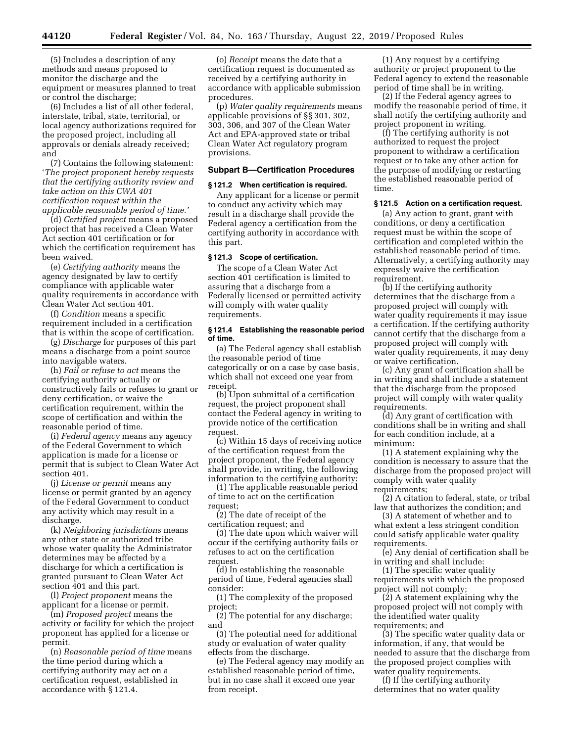(5) Includes a description of any methods and means proposed to monitor the discharge and the equipment or measures planned to treat or control the discharge;

(6) Includes a list of all other federal, interstate, tribal, state, territorial, or local agency authorizations required for the proposed project, including all approvals or denials already received; and

(7) Contains the following statement: '*The project proponent hereby requests that the certifying authority review and take action on this CWA 401 certification request within the applicable reasonable period of time.'* 

(d) *Certified project* means a proposed project that has received a Clean Water Act section 401 certification or for which the certification requirement has been waived.

(e) *Certifying authority* means the agency designated by law to certify compliance with applicable water quality requirements in accordance with Clean Water Act section 401.

(f) *Condition* means a specific requirement included in a certification that is within the scope of certification.

(g) *Discharge* for purposes of this part means a discharge from a point source into navigable waters.

(h) *Fail or refuse to act* means the certifying authority actually or constructively fails or refuses to grant or deny certification, or waive the certification requirement, within the scope of certification and within the reasonable period of time.

(i) *Federal agency* means any agency of the Federal Government to which application is made for a license or permit that is subject to Clean Water Act section 401.

(j) *License or permit* means any license or permit granted by an agency of the Federal Government to conduct any activity which may result in a discharge.

(k) *Neighboring jurisdictions* means any other state or authorized tribe whose water quality the Administrator determines may be affected by a discharge for which a certification is granted pursuant to Clean Water Act section 401 and this part.

(l) *Project proponent* means the applicant for a license or permit.

(m) *Proposed project* means the activity or facility for which the project proponent has applied for a license or permit.

(n) *Reasonable period of time* means the time period during which a certifying authority may act on a certification request, established in accordance with § 121.4.

(o) *Receipt* means the date that a certification request is documented as received by a certifying authority in accordance with applicable submission procedures.

(p) *Water quality requirements* means applicable provisions of §§ 301, 302, 303, 306, and 307 of the Clean Water Act and EPA-approved state or tribal Clean Water Act regulatory program provisions.

#### **Subpart B—Certification Procedures**

### **§ 121.2 When certification is required.**

Any applicant for a license or permit to conduct any activity which may result in a discharge shall provide the Federal agency a certification from the certifying authority in accordance with this part.

### **§ 121.3 Scope of certification.**

The scope of a Clean Water Act section 401 certification is limited to assuring that a discharge from a Federally licensed or permitted activity will comply with water quality requirements.

### **§ 121.4 Establishing the reasonable period of time.**

(a) The Federal agency shall establish the reasonable period of time categorically or on a case by case basis, which shall not exceed one year from receipt.

(b) Upon submittal of a certification request, the project proponent shall contact the Federal agency in writing to provide notice of the certification request.

(c) Within 15 days of receiving notice of the certification request from the project proponent, the Federal agency shall provide, in writing, the following information to the certifying authority:

(1) The applicable reasonable period of time to act on the certification request;

(2) The date of receipt of the certification request; and

(3) The date upon which waiver will occur if the certifying authority fails or refuses to act on the certification request.

(d) In establishing the reasonable period of time, Federal agencies shall consider:

(1) The complexity of the proposed project;

(2) The potential for any discharge; and

(3) The potential need for additional study or evaluation of water quality effects from the discharge.

(e) The Federal agency may modify an established reasonable period of time, but in no case shall it exceed one year from receipt.

(1) Any request by a certifying authority or project proponent to the Federal agency to extend the reasonable period of time shall be in writing.

(2) If the Federal agency agrees to modify the reasonable period of time, it shall notify the certifying authority and project proponent in writing.

(f) The certifying authority is not authorized to request the project proponent to withdraw a certification request or to take any other action for the purpose of modifying or restarting the established reasonable period of time.

### **§ 121.5 Action on a certification request.**

(a) Any action to grant, grant with conditions, or deny a certification request must be within the scope of certification and completed within the established reasonable period of time. Alternatively, a certifying authority may expressly waive the certification requirement.

(b) If the certifying authority determines that the discharge from a proposed project will comply with water quality requirements it may issue a certification. If the certifying authority cannot certify that the discharge from a proposed project will comply with water quality requirements, it may deny or waive certification.

(c) Any grant of certification shall be in writing and shall include a statement that the discharge from the proposed project will comply with water quality requirements.

(d) Any grant of certification with conditions shall be in writing and shall for each condition include, at a minimum:

(1) A statement explaining why the condition is necessary to assure that the discharge from the proposed project will comply with water quality requirements;

(2) A citation to federal, state, or tribal law that authorizes the condition; and

(3) A statement of whether and to what extent a less stringent condition could satisfy applicable water quality requirements.

(e) Any denial of certification shall be in writing and shall include:

(1) The specific water quality requirements with which the proposed project will not comply;

(2) A statement explaining why the proposed project will not comply with the identified water quality requirements; and

(3) The specific water quality data or information, if any, that would be needed to assure that the discharge from the proposed project complies with water quality requirements.

(f) If the certifying authority determines that no water quality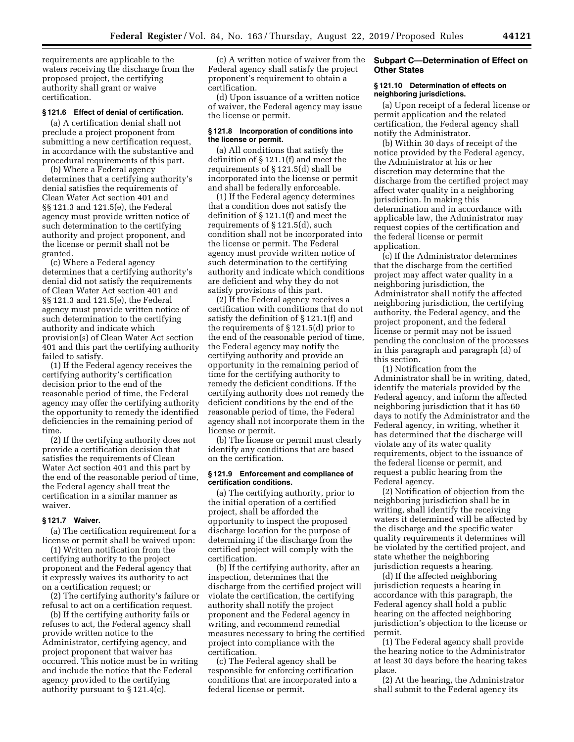requirements are applicable to the waters receiving the discharge from the proposed project, the certifying authority shall grant or waive certification.

## **§ 121.6 Effect of denial of certification.**

(a) A certification denial shall not preclude a project proponent from submitting a new certification request, in accordance with the substantive and procedural requirements of this part.

(b) Where a Federal agency determines that a certifying authority's denial satisfies the requirements of Clean Water Act section 401 and §§ 121.3 and 121.5(e), the Federal agency must provide written notice of such determination to the certifying authority and project proponent, and the license or permit shall not be granted.

(c) Where a Federal agency determines that a certifying authority's denial did not satisfy the requirements of Clean Water Act section 401 and §§ 121.3 and 121.5(e), the Federal agency must provide written notice of such determination to the certifying authority and indicate which provision(s) of Clean Water Act section 401 and this part the certifying authority failed to satisfy.

(1) If the Federal agency receives the certifying authority's certification decision prior to the end of the reasonable period of time, the Federal agency may offer the certifying authority the opportunity to remedy the identified deficiencies in the remaining period of time.

(2) If the certifying authority does not provide a certification decision that satisfies the requirements of Clean Water Act section 401 and this part by the end of the reasonable period of time, the Federal agency shall treat the certification in a similar manner as waiver.

#### **§ 121.7 Waiver.**

(a) The certification requirement for a license or permit shall be waived upon:

(1) Written notification from the certifying authority to the project proponent and the Federal agency that it expressly waives its authority to act on a certification request; or

(2) The certifying authority's failure or refusal to act on a certification request.

(b) If the certifying authority fails or refuses to act, the Federal agency shall provide written notice to the Administrator, certifying agency, and project proponent that waiver has occurred. This notice must be in writing and include the notice that the Federal agency provided to the certifying authority pursuant to § 121.4(c).

(c) A written notice of waiver from the Federal agency shall satisfy the project proponent's requirement to obtain a certification.

(d) Upon issuance of a written notice of waiver, the Federal agency may issue the license or permit.

### **§ 121.8 Incorporation of conditions into the license or permit.**

(a) All conditions that satisfy the definition of § 121.1(f) and meet the requirements of § 121.5(d) shall be incorporated into the license or permit and shall be federally enforceable.

(1) If the Federal agency determines that a condition does not satisfy the definition of § 121.1(f) and meet the requirements of § 121.5(d), such condition shall not be incorporated into the license or permit. The Federal agency must provide written notice of such determination to the certifying authority and indicate which conditions are deficient and why they do not satisfy provisions of this part.

(2) If the Federal agency receives a certification with conditions that do not satisfy the definition of § 121.1(f) and the requirements of § 121.5(d) prior to the end of the reasonable period of time, the Federal agency may notify the certifying authority and provide an opportunity in the remaining period of time for the certifying authority to remedy the deficient conditions. If the certifying authority does not remedy the deficient conditions by the end of the reasonable period of time, the Federal agency shall not incorporate them in the license or permit.

(b) The license or permit must clearly identify any conditions that are based on the certification.

## **§ 121.9 Enforcement and compliance of certification conditions.**

(a) The certifying authority, prior to the initial operation of a certified project, shall be afforded the opportunity to inspect the proposed discharge location for the purpose of determining if the discharge from the certified project will comply with the certification.

(b) If the certifying authority, after an inspection, determines that the discharge from the certified project will violate the certification, the certifying authority shall notify the project proponent and the Federal agency in writing, and recommend remedial measures necessary to bring the certified project into compliance with the certification.

(c) The Federal agency shall be responsible for enforcing certification conditions that are incorporated into a federal license or permit.

# **Subpart C—Determination of Effect on Other States**

### **§ 121.10 Determination of effects on neighboring jurisdictions.**

(a) Upon receipt of a federal license or permit application and the related certification, the Federal agency shall notify the Administrator.

(b) Within 30 days of receipt of the notice provided by the Federal agency, the Administrator at his or her discretion may determine that the discharge from the certified project may affect water quality in a neighboring jurisdiction. In making this determination and in accordance with applicable law, the Administrator may request copies of the certification and the federal license or permit application.

(c) If the Administrator determines that the discharge from the certified project may affect water quality in a neighboring jurisdiction, the Administrator shall notify the affected neighboring jurisdiction, the certifying authority, the Federal agency, and the project proponent, and the federal license or permit may not be issued pending the conclusion of the processes in this paragraph and paragraph (d) of this section.

(1) Notification from the Administrator shall be in writing, dated, identify the materials provided by the Federal agency, and inform the affected neighboring jurisdiction that it has 60 days to notify the Administrator and the Federal agency, in writing, whether it has determined that the discharge will violate any of its water quality requirements, object to the issuance of the federal license or permit, and request a public hearing from the Federal agency.

(2) Notification of objection from the neighboring jurisdiction shall be in writing, shall identify the receiving waters it determined will be affected by the discharge and the specific water quality requirements it determines will be violated by the certified project, and state whether the neighboring jurisdiction requests a hearing.

(d) If the affected neighboring jurisdiction requests a hearing in accordance with this paragraph, the Federal agency shall hold a public hearing on the affected neighboring jurisdiction's objection to the license or permit.

(1) The Federal agency shall provide the hearing notice to the Administrator at least 30 days before the hearing takes place.

(2) At the hearing, the Administrator shall submit to the Federal agency its